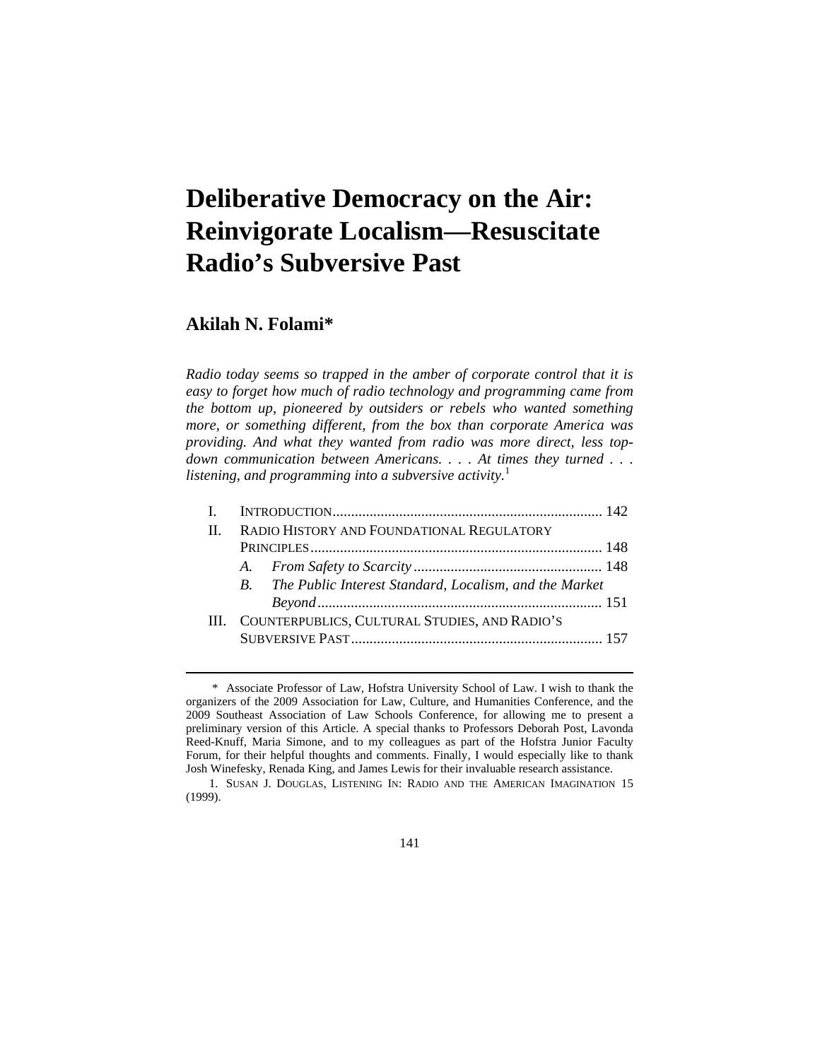# **Deliberative Democracy on the Air: Reinvigorate Localism—Resuscitate Radio's Subversive Past**

# **Akilah N. Folami\***

 $\overline{a}$ 

*Radio today seems so trapped in the amber of corporate control that it is easy to forget how much of radio technology and programming came from the bottom up, pioneered by outsiders or rebels who wanted something more, or something different, from the box than corporate America was providing. And what they wanted from radio was more direct, less topdown communication between Americans. . . . At times they turned . . . listening, and programming into a subversive activity.*<sup>1</sup>

| $\mathbf{H}$ | RADIO HISTORY AND FOUNDATIONAL REGULATORY          |                                                           |  |  |
|--------------|----------------------------------------------------|-----------------------------------------------------------|--|--|
|              |                                                    |                                                           |  |  |
|              |                                                    |                                                           |  |  |
|              |                                                    | B. The Public Interest Standard, Localism, and the Market |  |  |
|              |                                                    |                                                           |  |  |
|              | III. COUNTERPUBLICS, CULTURAL STUDIES, AND RADIO'S |                                                           |  |  |
|              |                                                    |                                                           |  |  |

141

 <sup>\*</sup> Associate Professor of Law, Hofstra University School of Law. I wish to thank the organizers of the 2009 Association for Law, Culture, and Humanities Conference, and the 2009 Southeast Association of Law Schools Conference, for allowing me to present a preliminary version of this Article. A special thanks to Professors Deborah Post, Lavonda Reed-Knuff, Maria Simone, and to my colleagues as part of the Hofstra Junior Faculty Forum, for their helpful thoughts and comments. Finally, I would especially like to thank Josh Winefesky, Renada King, and James Lewis for their invaluable research assistance.

 <sup>1.</sup> SUSAN J. DOUGLAS, LISTENING IN: RADIO AND THE AMERICAN IMAGINATION 15 (1999).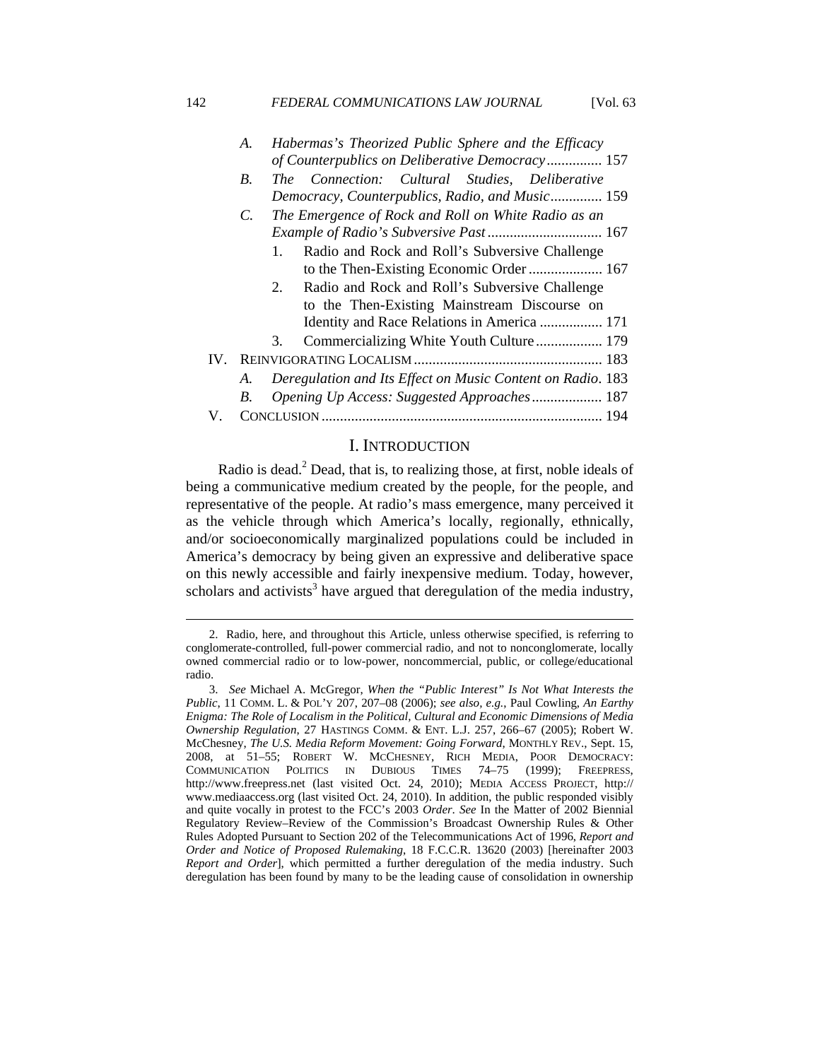#### 142 **FEDERAL COMMUNICATIONS LAW JOURNAL** [Vol. 63]

|    | A.              | Habermas's Theorized Public Sphere and the Efficacy            |  |
|----|-----------------|----------------------------------------------------------------|--|
|    |                 | of Counterpublics on Deliberative Democracy 157                |  |
|    | <i>B</i> .      | The Connection: Cultural Studies, Deliberative                 |  |
|    |                 | Democracy, Counterpublics, Radio, and Music 159                |  |
|    | $\mathcal{C}$ . | The Emergence of Rock and Roll on White Radio as an            |  |
|    |                 |                                                                |  |
|    |                 | Radio and Rock and Roll's Subversive Challenge<br>$\mathbf{1}$ |  |
|    |                 | to the Then-Existing Economic Order  167                       |  |
|    |                 | Radio and Rock and Roll's Subversive Challenge<br>$2^{\circ}$  |  |
|    |                 | to the Then-Existing Mainstream Discourse on                   |  |
|    |                 | Identity and Race Relations in America  171                    |  |
|    |                 | 3.                                                             |  |
|    |                 |                                                                |  |
|    | A.              | Deregulation and Its Effect on Music Content on Radio. 183     |  |
|    | B.              | Opening Up Access: Suggested Approaches 187                    |  |
| V. |                 |                                                                |  |
|    |                 |                                                                |  |

## I. INTRODUCTION

Radio is dead. $2$  Dead, that is, to realizing those, at first, noble ideals of being a communicative medium created by the people, for the people, and representative of the people. At radio's mass emergence, many perceived it as the vehicle through which America's locally, regionally, ethnically, and/or socioeconomically marginalized populations could be included in America's democracy by being given an expressive and deliberative space on this newly accessible and fairly inexpensive medium. Today, however, scholars and activists<sup>3</sup> have argued that deregulation of the media industry,

 <sup>2.</sup> Radio, here, and throughout this Article, unless otherwise specified, is referring to conglomerate-controlled, full-power commercial radio, and not to nonconglomerate, locally owned commercial radio or to low-power, noncommercial, public, or college/educational radio.

 <sup>3.</sup> *See* Michael A. McGregor, *When the "Public Interest" Is Not What Interests the Public*, 11 COMM. L. & POL'Y 207, 207–08 (2006); *see also, e.g.*, Paul Cowling, *An Earthy Enigma: The Role of Localism in the Political, Cultural and Economic Dimensions of Media Ownership Regulation*, 27 HASTINGS COMM. & ENT. L.J. 257, 266–67 (2005); Robert W. McChesney, *The U.S. Media Reform Movement: Going Forward*, MONTHLY REV., Sept. 15, 2008, at 51–55; ROBERT W. MCCHESNEY, RICH MEDIA, POOR DEMOCRACY: COMMUNICATION POLITICS IN DUBIOUS TIMES 74–75 (1999); FREEPRESS, http://www.freepress.net (last visited Oct. 24, 2010); MEDIA ACCESS PROJECT, http:// www.mediaaccess.org (last visited Oct. 24, 2010). In addition, the public responded visibly and quite vocally in protest to the FCC's 2003 *Order*. *See* In the Matter of 2002 Biennial Regulatory Review–Review of the Commission's Broadcast Ownership Rules & Other Rules Adopted Pursuant to Section 202 of the Telecommunications Act of 1996, *Report and Order and Notice of Proposed Rulemaking*, 18 F.C.C.R. 13620 (2003) [hereinafter 2003 *Report and Order*], which permitted a further deregulation of the media industry. Such deregulation has been found by many to be the leading cause of consolidation in ownership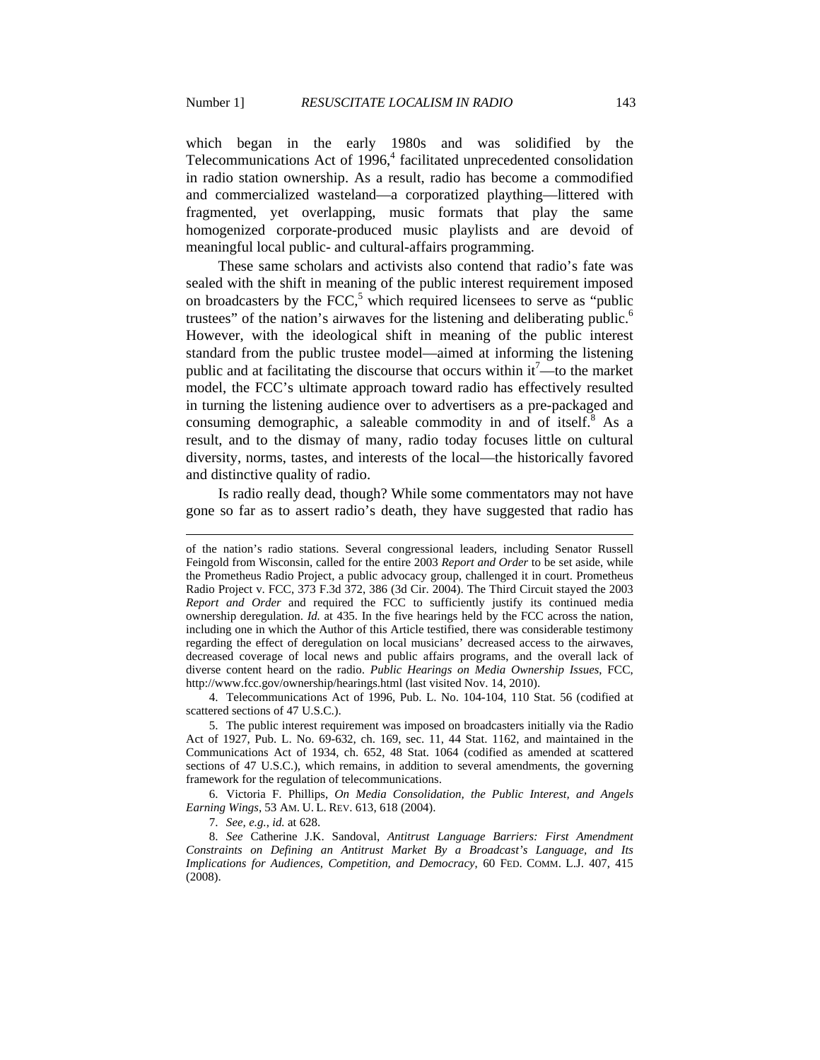$\overline{a}$ 

which began in the early 1980s and was solidified by the Telecommunications Act of 1996,<sup>4</sup> facilitated unprecedented consolidation in radio station ownership. As a result, radio has become a commodified and commercialized wasteland—a corporatized plaything—littered with fragmented, yet overlapping, music formats that play the same homogenized corporate-produced music playlists and are devoid of meaningful local public- and cultural-affairs programming.

These same scholars and activists also contend that radio's fate was sealed with the shift in meaning of the public interest requirement imposed on broadcasters by the  $FCC$ ,<sup>5</sup> which required licensees to serve as "public trustees" of the nation's airwaves for the listening and deliberating public.<sup>6</sup> However, with the ideological shift in meaning of the public interest standard from the public trustee model—aimed at informing the listening public and at facilitating the discourse that occurs within it<sup>7</sup>—to the market model, the FCC's ultimate approach toward radio has effectively resulted in turning the listening audience over to advertisers as a pre-packaged and consuming demographic, a saleable commodity in and of itself. $8$  As a result, and to the dismay of many, radio today focuses little on cultural diversity, norms, tastes, and interests of the local—the historically favored and distinctive quality of radio.

Is radio really dead, though? While some commentators may not have gone so far as to assert radio's death, they have suggested that radio has

of the nation's radio stations. Several congressional leaders, including Senator Russell Feingold from Wisconsin, called for the entire 2003 *Report and Order* to be set aside, while the Prometheus Radio Project, a public advocacy group, challenged it in court. Prometheus Radio Project v. FCC, 373 F.3d 372, 386 (3d Cir. 2004). The Third Circuit stayed the 2003 *Report and Order* and required the FCC to sufficiently justify its continued media ownership deregulation. *Id.* at 435. In the five hearings held by the FCC across the nation, including one in which the Author of this Article testified, there was considerable testimony regarding the effect of deregulation on local musicians' decreased access to the airwaves, decreased coverage of local news and public affairs programs, and the overall lack of diverse content heard on the radio. *Public Hearings on Media Ownership Issues*, FCC, http://www.fcc.gov/ownership/hearings.html (last visited Nov. 14, 2010).

 <sup>4.</sup> Telecommunications Act of 1996, Pub. L. No. 104-104, 110 Stat. 56 (codified at scattered sections of 47 U.S.C.).

 <sup>5.</sup> The public interest requirement was imposed on broadcasters initially via the Radio Act of 1927, Pub. L. No. 69-632, ch. 169, sec. 11, 44 Stat. 1162, and maintained in the Communications Act of 1934, ch. 652, 48 Stat. 1064 (codified as amended at scattered sections of 47 U.S.C.), which remains, in addition to several amendments, the governing framework for the regulation of telecommunications.

 <sup>6.</sup> Victoria F. Phillips, *On Media Consolidation, the Public Interest, and Angels Earning Wings*, 53 AM. U. L. REV. 613, 618 (2004).

 <sup>7.</sup> *See, e.g.*, *id.* at 628.

 <sup>8.</sup> *See* Catherine J.K. Sandoval, *Antitrust Language Barriers: First Amendment Constraints on Defining an Antitrust Market By a Broadcast's Language, and Its Implications for Audiences, Competition, and Democracy*, 60 FED. COMM. L.J. 407, 415 (2008).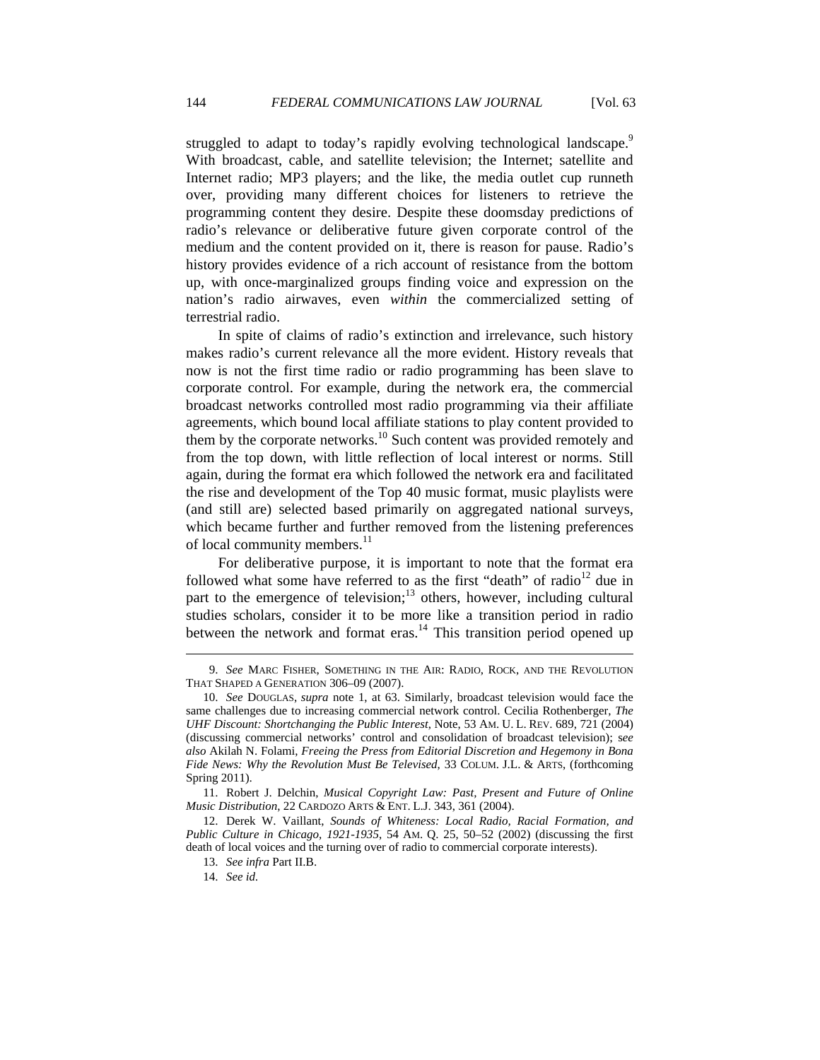struggled to adapt to today's rapidly evolving technological landscape.<sup>9</sup> With broadcast, cable, and satellite television; the Internet; satellite and Internet radio; MP3 players; and the like, the media outlet cup runneth over, providing many different choices for listeners to retrieve the programming content they desire. Despite these doomsday predictions of radio's relevance or deliberative future given corporate control of the medium and the content provided on it, there is reason for pause. Radio's history provides evidence of a rich account of resistance from the bottom up, with once-marginalized groups finding voice and expression on the nation's radio airwaves, even *within* the commercialized setting of terrestrial radio.

In spite of claims of radio's extinction and irrelevance, such history makes radio's current relevance all the more evident. History reveals that now is not the first time radio or radio programming has been slave to corporate control. For example, during the network era, the commercial broadcast networks controlled most radio programming via their affiliate agreements, which bound local affiliate stations to play content provided to them by the corporate networks.<sup>10</sup> Such content was provided remotely and from the top down, with little reflection of local interest or norms. Still again, during the format era which followed the network era and facilitated the rise and development of the Top 40 music format, music playlists were (and still are) selected based primarily on aggregated national surveys, which became further and further removed from the listening preferences of local community members.<sup>11</sup>

For deliberative purpose, it is important to note that the format era followed what some have referred to as the first "death" of radio<sup>12</sup> due in part to the emergence of television; $13$  others, however, including cultural studies scholars, consider it to be more like a transition period in radio between the network and format eras.<sup>14</sup> This transition period opened up

 <sup>9.</sup> *See* MARC FISHER, SOMETHING IN THE AIR: RADIO, ROCK, AND THE REVOLUTION THAT SHAPED A GENERATION 306–09 (2007).

 <sup>10.</sup> *See* DOUGLAS, *supra* note 1, at 63. Similarly, broadcast television would face the same challenges due to increasing commercial network control. Cecilia Rothenberger, *The UHF Discount: Shortchanging the Public Interest*, Note, 53 AM. U. L. REV. 689, 721 (2004) (discussing commercial networks' control and consolidation of broadcast television); s*ee also* Akilah N. Folami, *Freeing the Press from Editorial Discretion and Hegemony in Bona Fide News: Why the Revolution Must Be Televised*, 33 COLUM. J.L. & ARTS, (forthcoming Spring 2011).

 <sup>11.</sup> Robert J. Delchin, *Musical Copyright Law: Past, Present and Future of Online Music Distribution*, 22 CARDOZO ARTS & ENT. L.J. 343, 361 (2004).

 <sup>12.</sup> Derek W. Vaillant, *Sounds of Whiteness: Local Radio, Racial Formation, and Public Culture in Chicago, 1921-1935*, 54 AM. Q. 25, 50–52 (2002) (discussing the first death of local voices and the turning over of radio to commercial corporate interests).

 <sup>13.</sup> *See infra* Part II.B.

 <sup>14.</sup> *See id.*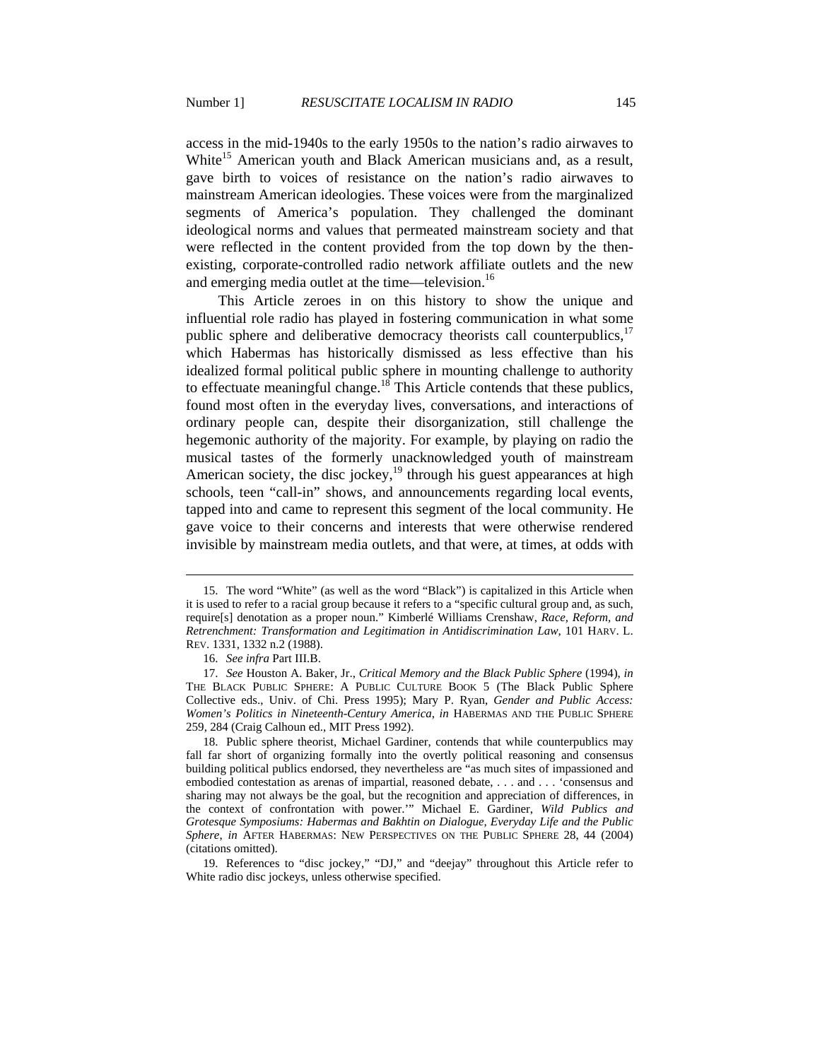access in the mid-1940s to the early 1950s to the nation's radio airwaves to White<sup>15</sup> American youth and Black American musicians and, as a result, gave birth to voices of resistance on the nation's radio airwaves to mainstream American ideologies. These voices were from the marginalized segments of America's population. They challenged the dominant ideological norms and values that permeated mainstream society and that were reflected in the content provided from the top down by the thenexisting, corporate-controlled radio network affiliate outlets and the new and emerging media outlet at the time—television.<sup>16</sup>

This Article zeroes in on this history to show the unique and influential role radio has played in fostering communication in what some public sphere and deliberative democracy theorists call counterpublics,  $17$ which Habermas has historically dismissed as less effective than his idealized formal political public sphere in mounting challenge to authority to effectuate meaningful change.<sup>18</sup> This Article contends that these publics, found most often in the everyday lives, conversations, and interactions of ordinary people can, despite their disorganization, still challenge the hegemonic authority of the majority. For example, by playing on radio the musical tastes of the formerly unacknowledged youth of mainstream American society, the disc jockey,<sup>19</sup> through his guest appearances at high schools, teen "call-in" shows, and announcements regarding local events, tapped into and came to represent this segment of the local community. He gave voice to their concerns and interests that were otherwise rendered invisible by mainstream media outlets, and that were, at times, at odds with

 <sup>15.</sup> The word "White" (as well as the word "Black") is capitalized in this Article when it is used to refer to a racial group because it refers to a "specific cultural group and, as such, require[s] denotation as a proper noun." Kimberlé Williams Crenshaw, *Race, Reform, and Retrenchment: Transformation and Legitimation in Antidiscrimination Law*, 101 HARV. L. REV. 1331, 1332 n.2 (1988).

 <sup>16.</sup> *See infra* Part III.B.

 <sup>17.</sup> *See* Houston A. Baker, Jr., *Critical Memory and the Black Public Sphere* (1994), *in* THE BLACK PUBLIC SPHERE: A PUBLIC CULTURE BOOK 5 (The Black Public Sphere Collective eds., Univ. of Chi. Press 1995); Mary P. Ryan, *Gender and Public Access: Women's Politics in Nineteenth-Century America*, *in* HABERMAS AND THE PUBLIC SPHERE 259, 284 (Craig Calhoun ed., MIT Press 1992).

 <sup>18.</sup> Public sphere theorist, Michael Gardiner, contends that while counterpublics may fall far short of organizing formally into the overtly political reasoning and consensus building political publics endorsed, they nevertheless are "as much sites of impassioned and embodied contestation as arenas of impartial, reasoned debate, . . . and . . . 'consensus and sharing may not always be the goal, but the recognition and appreciation of differences, in the context of confrontation with power.'" Michael E. Gardiner, *Wild Publics and Grotesque Symposiums: Habermas and Bakhtin on Dialogue, Everyday Life and the Public Sphere*, *in* AFTER HABERMAS: NEW PERSPECTIVES ON THE PUBLIC SPHERE 28, 44 (2004) (citations omitted).

 <sup>19.</sup> References to "disc jockey," "DJ," and "deejay" throughout this Article refer to White radio disc jockeys, unless otherwise specified.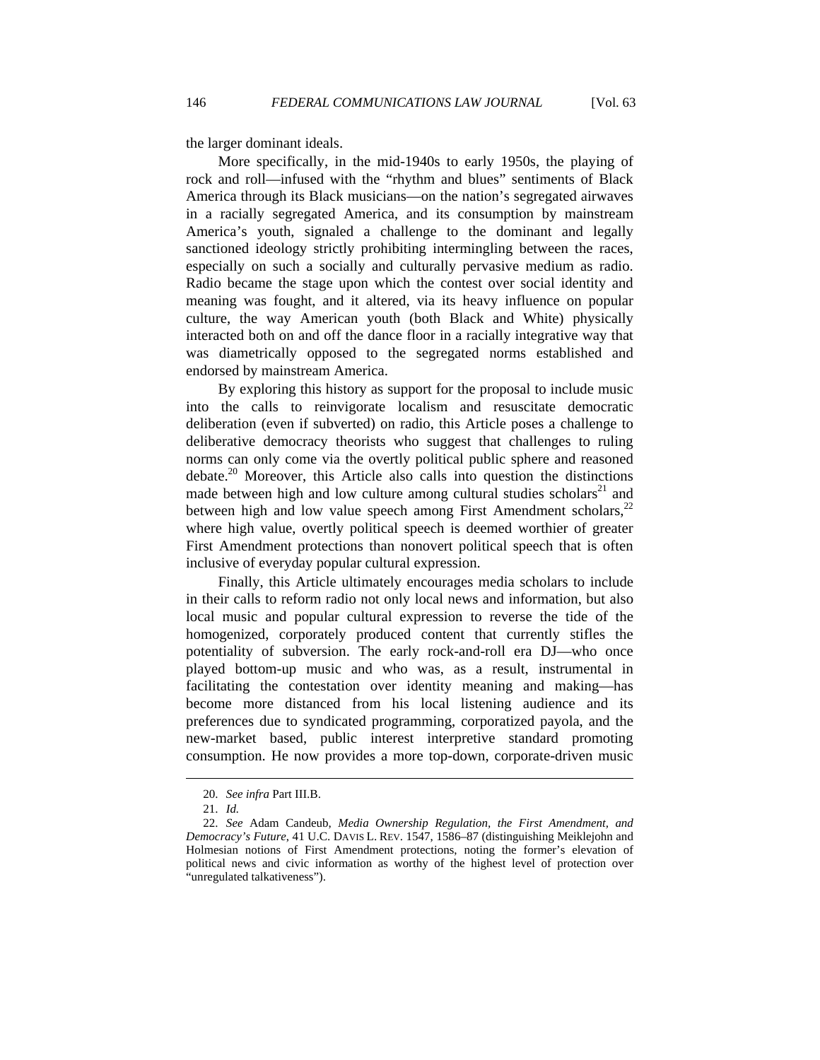the larger dominant ideals.

More specifically, in the mid-1940s to early 1950s, the playing of rock and roll—infused with the "rhythm and blues" sentiments of Black America through its Black musicians—on the nation's segregated airwaves in a racially segregated America, and its consumption by mainstream America's youth, signaled a challenge to the dominant and legally sanctioned ideology strictly prohibiting intermingling between the races, especially on such a socially and culturally pervasive medium as radio. Radio became the stage upon which the contest over social identity and meaning was fought, and it altered, via its heavy influence on popular culture, the way American youth (both Black and White) physically interacted both on and off the dance floor in a racially integrative way that was diametrically opposed to the segregated norms established and endorsed by mainstream America.

By exploring this history as support for the proposal to include music into the calls to reinvigorate localism and resuscitate democratic deliberation (even if subverted) on radio, this Article poses a challenge to deliberative democracy theorists who suggest that challenges to ruling norms can only come via the overtly political public sphere and reasoned debate.<sup>20</sup> Moreover, this Article also calls into question the distinctions made between high and low culture among cultural studies scholars $21$  and between high and low value speech among First Amendment scholars, $^{22}$ where high value, overtly political speech is deemed worthier of greater First Amendment protections than nonovert political speech that is often inclusive of everyday popular cultural expression.

Finally, this Article ultimately encourages media scholars to include in their calls to reform radio not only local news and information, but also local music and popular cultural expression to reverse the tide of the homogenized, corporately produced content that currently stifles the potentiality of subversion. The early rock-and-roll era DJ—who once played bottom-up music and who was, as a result, instrumental in facilitating the contestation over identity meaning and making—has become more distanced from his local listening audience and its preferences due to syndicated programming, corporatized payola, and the new-market based, public interest interpretive standard promoting consumption. He now provides a more top-down, corporate-driven music

 <sup>20.</sup> *See infra* Part III.B.

 <sup>21.</sup> *Id.*

 <sup>22.</sup> *See* Adam Candeub, *Media Ownership Regulation, the First Amendment, and Democracy's Future*, 41 U.C. DAVIS L. REV. 1547, 1586–87 (distinguishing Meiklejohn and Holmesian notions of First Amendment protections, noting the former's elevation of political news and civic information as worthy of the highest level of protection over "unregulated talkativeness").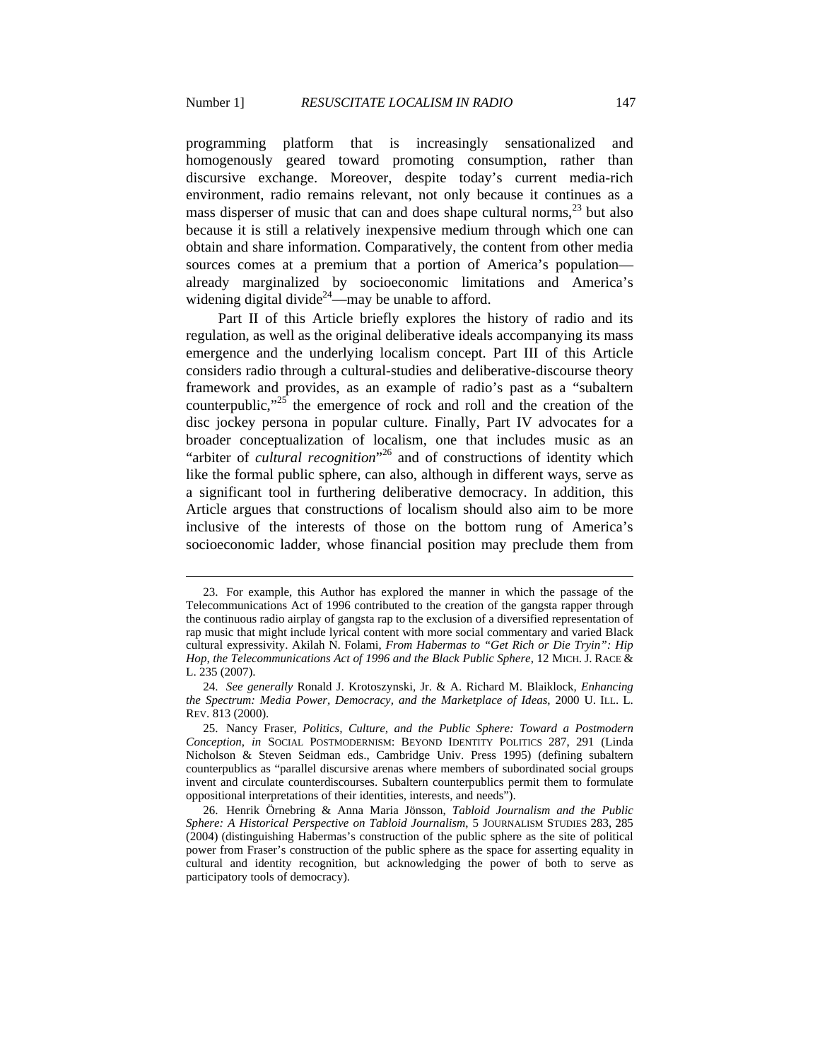$\overline{a}$ 

programming platform that is increasingly sensationalized and homogenously geared toward promoting consumption, rather than discursive exchange. Moreover, despite today's current media-rich environment, radio remains relevant, not only because it continues as a mass disperser of music that can and does shape cultural norms,  $^{23}$  but also because it is still a relatively inexpensive medium through which one can obtain and share information. Comparatively, the content from other media sources comes at a premium that a portion of America's population already marginalized by socioeconomic limitations and America's widening digital divide<sup>24</sup>—may be unable to afford.

Part II of this Article briefly explores the history of radio and its regulation, as well as the original deliberative ideals accompanying its mass emergence and the underlying localism concept. Part III of this Article considers radio through a cultural-studies and deliberative-discourse theory framework and provides, as an example of radio's past as a "subaltern counterpublic," $25$  the emergence of rock and roll and the creation of the disc jockey persona in popular culture. Finally, Part IV advocates for a broader conceptualization of localism, one that includes music as an "arbiter of *cultural recognition*"<sup>26</sup> and of constructions of identity which like the formal public sphere, can also, although in different ways, serve as a significant tool in furthering deliberative democracy. In addition, this Article argues that constructions of localism should also aim to be more inclusive of the interests of those on the bottom rung of America's socioeconomic ladder, whose financial position may preclude them from

 <sup>23.</sup> For example, this Author has explored the manner in which the passage of the Telecommunications Act of 1996 contributed to the creation of the gangsta rapper through the continuous radio airplay of gangsta rap to the exclusion of a diversified representation of rap music that might include lyrical content with more social commentary and varied Black cultural expressivity. Akilah N. Folami, *From Habermas to "Get Rich or Die Tryin": Hip Hop, the Telecommunications Act of 1996 and the Black Public Sphere*, 12 MICH. J. RACE & L. 235 (2007).

 <sup>24.</sup> *See generally* Ronald J. Krotoszynski, Jr. & A. Richard M. Blaiklock, *Enhancing the Spectrum: Media Power, Democracy, and the Marketplace of Ideas*, 2000 U. ILL. L. REV. 813 (2000).

 <sup>25.</sup> Nancy Fraser, *Politics, Culture, and the Public Sphere: Toward a Postmodern Conception*, *in* SOCIAL POSTMODERNISM: BEYOND IDENTITY POLITICS 287, 291 (Linda Nicholson & Steven Seidman eds., Cambridge Univ. Press 1995) (defining subaltern counterpublics as "parallel discursive arenas where members of subordinated social groups invent and circulate counterdiscourses. Subaltern counterpublics permit them to formulate oppositional interpretations of their identities, interests, and needs").

 <sup>26.</sup> Henrik Örnebring & Anna Maria Jönsson, *Tabloid Journalism and the Public Sphere: A Historical Perspective on Tabloid Journalism*, 5 JOURNALISM STUDIES 283, 285 (2004) (distinguishing Habermas's construction of the public sphere as the site of political power from Fraser's construction of the public sphere as the space for asserting equality in cultural and identity recognition, but acknowledging the power of both to serve as participatory tools of democracy).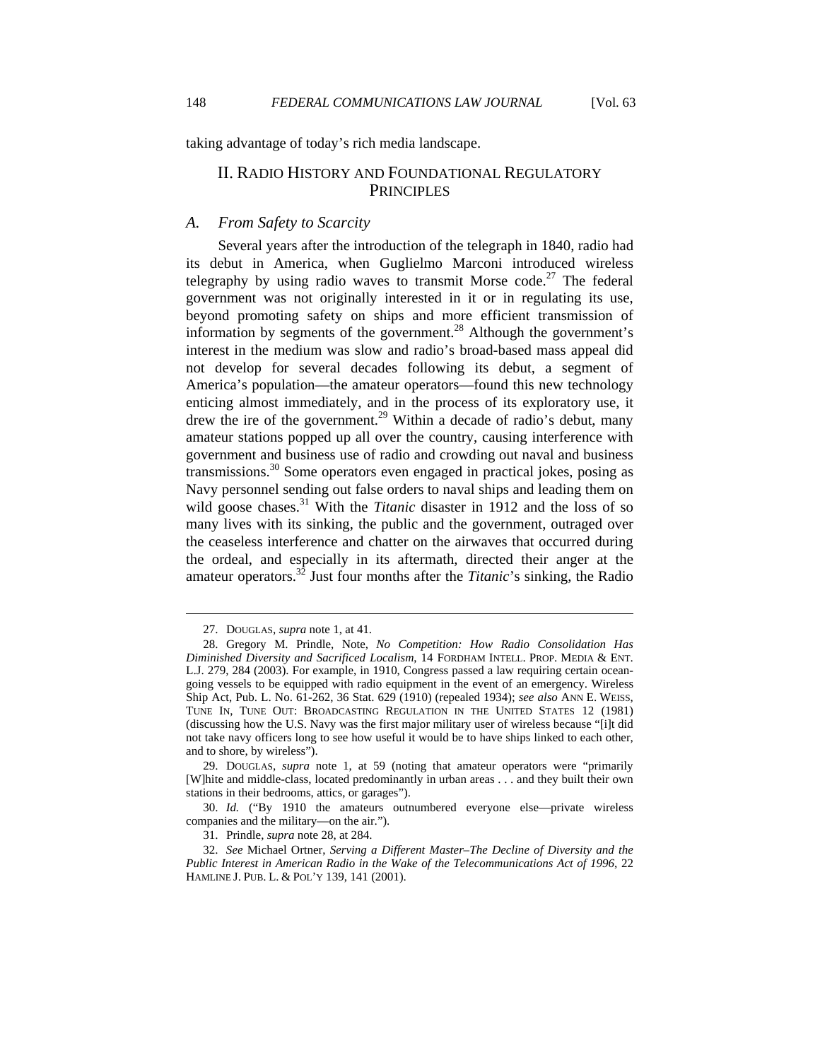taking advantage of today's rich media landscape.

# II. RADIO HISTORY AND FOUNDATIONAL REGULATORY **PRINCIPLES**

### *A. From Safety to Scarcity*

Several years after the introduction of the telegraph in 1840, radio had its debut in America, when Guglielmo Marconi introduced wireless telegraphy by using radio waves to transmit Morse code.<sup>27</sup> The federal government was not originally interested in it or in regulating its use, beyond promoting safety on ships and more efficient transmission of information by segments of the government.<sup>28</sup> Although the government's interest in the medium was slow and radio's broad-based mass appeal did not develop for several decades following its debut, a segment of America's population—the amateur operators—found this new technology enticing almost immediately, and in the process of its exploratory use, it drew the ire of the government.<sup>29</sup> Within a decade of radio's debut, many amateur stations popped up all over the country, causing interference with government and business use of radio and crowding out naval and business transmissions.<sup>30</sup> Some operators even engaged in practical jokes, posing as Navy personnel sending out false orders to naval ships and leading them on wild goose chases.<sup>31</sup> With the *Titanic* disaster in 1912 and the loss of so many lives with its sinking, the public and the government, outraged over the ceaseless interference and chatter on the airwaves that occurred during the ordeal, and especially in its aftermath, directed their anger at the amateur operators.32 Just four months after the *Titanic*'s sinking, the Radio

 <sup>27.</sup> DOUGLAS, *supra* note 1, at 41.

 <sup>28.</sup> Gregory M. Prindle, Note, *No Competition: How Radio Consolidation Has Diminished Diversity and Sacrificed Localism*, 14 FORDHAM INTELL. PROP. MEDIA & ENT. L.J. 279, 284 (2003). For example, in 1910, Congress passed a law requiring certain oceangoing vessels to be equipped with radio equipment in the event of an emergency. Wireless Ship Act, Pub. L. No. 61-262, 36 Stat. 629 (1910) (repealed 1934); *see also* ANN E. WEISS, TUNE IN, TUNE OUT: BROADCASTING REGULATION IN THE UNITED STATES 12 (1981) (discussing how the U.S. Navy was the first major military user of wireless because "[i]t did not take navy officers long to see how useful it would be to have ships linked to each other, and to shore, by wireless").

 <sup>29.</sup> DOUGLAS, *supra* note 1, at 59 (noting that amateur operators were "primarily [W]hite and middle-class, located predominantly in urban areas . . . and they built their own stations in their bedrooms, attics, or garages").

 <sup>30.</sup> *Id.* ("By 1910 the amateurs outnumbered everyone else—private wireless companies and the military—on the air.").

 <sup>31.</sup> Prindle, *supra* note 28, at 284.

 <sup>32.</sup> *See* Michael Ortner, *Serving a Different Master–The Decline of Diversity and the Public Interest in American Radio in the Wake of the Telecommunications Act of 1996*, 22 HAMLINE J. PUB. L. & POL'Y 139, 141 (2001).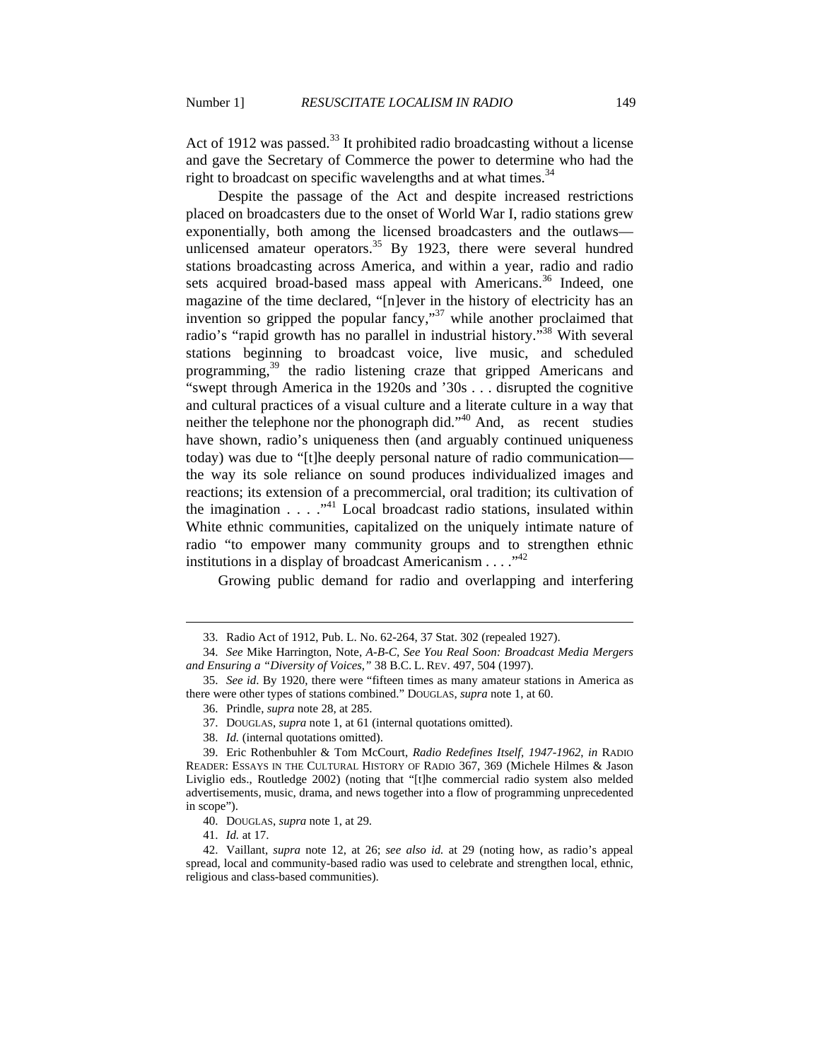Act of 1912 was passed.<sup>33</sup> It prohibited radio broadcasting without a license and gave the Secretary of Commerce the power to determine who had the right to broadcast on specific wavelengths and at what times.<sup>34</sup>

Despite the passage of the Act and despite increased restrictions placed on broadcasters due to the onset of World War I, radio stations grew exponentially, both among the licensed broadcasters and the outlaws unlicensed amateur operators.<sup>35</sup> By 1923, there were several hundred stations broadcasting across America, and within a year, radio and radio sets acquired broad-based mass appeal with Americans.<sup>36</sup> Indeed, one magazine of the time declared, "[n]ever in the history of electricity has an invention so gripped the popular fancy,"<sup>37</sup> while another proclaimed that radio's "rapid growth has no parallel in industrial history."<sup>38</sup> With several stations beginning to broadcast voice, live music, and scheduled programming,<sup>39</sup> the radio listening craze that gripped Americans and "swept through America in the 1920s and '30s . . . disrupted the cognitive and cultural practices of a visual culture and a literate culture in a way that neither the telephone nor the phonograph did."<sup>40</sup> And, as recent studies have shown, radio's uniqueness then (and arguably continued uniqueness today) was due to "[t]he deeply personal nature of radio communication the way its sole reliance on sound produces individualized images and reactions; its extension of a precommercial, oral tradition; its cultivation of the imagination  $\ldots$   $\ldots$   $\ldots$   $\ldots$  Local broadcast radio stations, insulated within White ethnic communities, capitalized on the uniquely intimate nature of radio "to empower many community groups and to strengthen ethnic institutions in a display of broadcast Americanism . . . . "<sup>42</sup>

Growing public demand for radio and overlapping and interfering

41. *Id.* at 17.

 <sup>33.</sup> Radio Act of 1912, Pub. L. No. 62-264, 37 Stat. 302 (repealed 1927).

 <sup>34.</sup> *See* Mike Harrington, Note, *A-B-C, See You Real Soon: Broadcast Media Mergers and Ensuring a "Diversity of Voices*,*"* 38 B.C. L. REV. 497, 504 (1997).

 <sup>35.</sup> *See id*. By 1920, there were "fifteen times as many amateur stations in America as there were other types of stations combined." DOUGLAS, *supra* note 1, at 60.

 <sup>36.</sup> Prindle, *supra* note 28, at 285.

 <sup>37.</sup> DOUGLAS, *supra* note 1, at 61 (internal quotations omitted).

 <sup>38.</sup> *Id.* (internal quotations omitted).

 <sup>39.</sup> Eric Rothenbuhler & Tom McCourt, *Radio Redefines Itself, 1947-1962*, *in* RADIO READER: ESSAYS IN THE CULTURAL HISTORY OF RADIO 367, 369 (Michele Hilmes & Jason Liviglio eds., Routledge 2002) (noting that "[t]he commercial radio system also melded advertisements, music, drama, and news together into a flow of programming unprecedented in scope").

 <sup>40.</sup> DOUGLAS, *supra* note 1, at 29.

 <sup>42.</sup> Vaillant, *supra* note 12, at 26; *see also id.* at 29 (noting how, as radio's appeal spread, local and community-based radio was used to celebrate and strengthen local, ethnic, religious and class-based communities).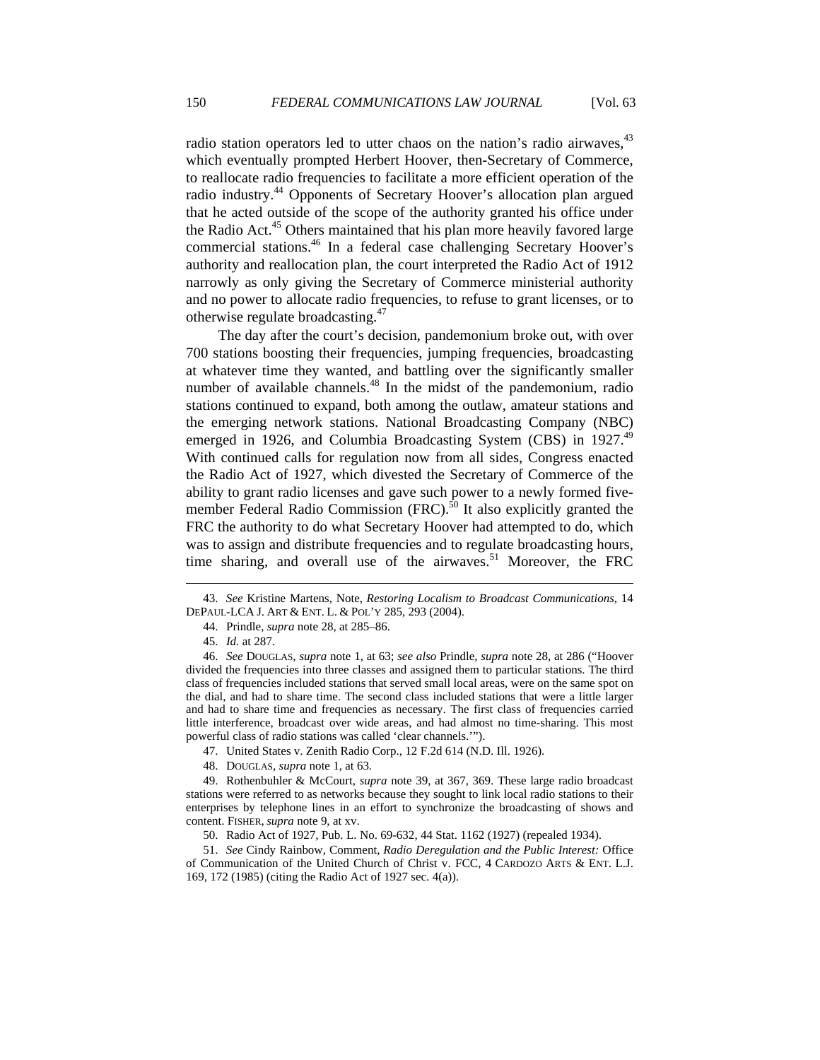radio station operators led to utter chaos on the nation's radio airwaves,  $43$ which eventually prompted Herbert Hoover, then-Secretary of Commerce, to reallocate radio frequencies to facilitate a more efficient operation of the radio industry.<sup>44</sup> Opponents of Secretary Hoover's allocation plan argued that he acted outside of the scope of the authority granted his office under the Radio Act.<sup>45</sup> Others maintained that his plan more heavily favored large commercial stations.<sup>46</sup> In a federal case challenging Secretary Hoover's authority and reallocation plan, the court interpreted the Radio Act of 1912 narrowly as only giving the Secretary of Commerce ministerial authority and no power to allocate radio frequencies, to refuse to grant licenses, or to otherwise regulate broadcasting.47

The day after the court's decision, pandemonium broke out, with over 700 stations boosting their frequencies, jumping frequencies, broadcasting at whatever time they wanted, and battling over the significantly smaller number of available channels.<sup>48</sup> In the midst of the pandemonium, radio stations continued to expand, both among the outlaw, amateur stations and the emerging network stations. National Broadcasting Company (NBC) emerged in 1926, and Columbia Broadcasting System (CBS) in 1927.<sup>49</sup> With continued calls for regulation now from all sides, Congress enacted the Radio Act of 1927, which divested the Secretary of Commerce of the ability to grant radio licenses and gave such power to a newly formed fivemember Federal Radio Commission (FRC).<sup>50</sup> It also explicitly granted the FRC the authority to do what Secretary Hoover had attempted to do, which was to assign and distribute frequencies and to regulate broadcasting hours, time sharing, and overall use of the airwaves.<sup>51</sup> Moreover, the FRC

 <sup>43.</sup> *See* Kristine Martens, Note, *Restoring Localism to Broadcast Communications*, 14 DEPAUL-LCA J. ART & ENT. L. & POL'Y 285, 293 (2004).

 <sup>44.</sup> Prindle, *supra* note 28, at 285–86.

 <sup>45.</sup> *Id.* at 287.

 <sup>46.</sup> *See* DOUGLAS, *supra* note 1, at 63; *see also* Prindle, *supra* note 28, at 286 ("Hoover divided the frequencies into three classes and assigned them to particular stations. The third class of frequencies included stations that served small local areas, were on the same spot on the dial, and had to share time. The second class included stations that were a little larger and had to share time and frequencies as necessary. The first class of frequencies carried little interference, broadcast over wide areas, and had almost no time-sharing. This most powerful class of radio stations was called 'clear channels.'").

 <sup>47.</sup> United States v. Zenith Radio Corp., 12 F.2d 614 (N.D. Ill. 1926).

 <sup>48.</sup> DOUGLAS, *supra* note 1, at 63.

 <sup>49.</sup> Rothenbuhler & McCourt, *supra* note 39, at 367, 369. These large radio broadcast stations were referred to as networks because they sought to link local radio stations to their enterprises by telephone lines in an effort to synchronize the broadcasting of shows and content. FISHER, *supra* note 9, at xv.

<sup>50.</sup> Radio Act of 1927, Pub. L. No. 69-632, 44 Stat. 1162 (1927) (repealed 1934).

 <sup>51.</sup> *See* Cindy Rainbow, Comment, *Radio Deregulation and the Public Interest:* Office of Communication of the United Church of Christ v. FCC, 4 CARDOZO ARTS & ENT. L.J. 169, 172 (1985) (citing the Radio Act of 1927 sec. 4(a)).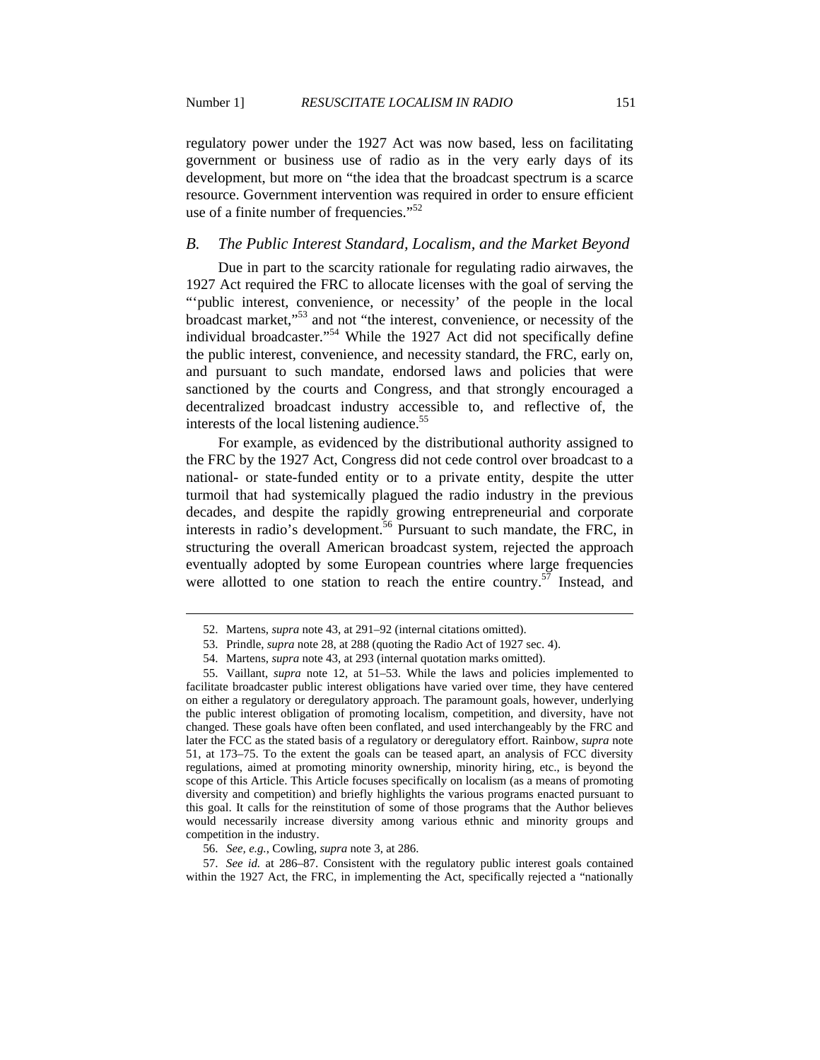regulatory power under the 1927 Act was now based, less on facilitating government or business use of radio as in the very early days of its development, but more on "the idea that the broadcast spectrum is a scarce resource. Government intervention was required in order to ensure efficient use of a finite number of frequencies."<sup>52</sup>

### *B. The Public Interest Standard, Localism, and the Market Beyond*

Due in part to the scarcity rationale for regulating radio airwaves, the 1927 Act required the FRC to allocate licenses with the goal of serving the "'public interest, convenience, or necessity' of the people in the local broadcast market,"53 and not "the interest, convenience, or necessity of the individual broadcaster."54 While the 1927 Act did not specifically define the public interest, convenience, and necessity standard, the FRC, early on, and pursuant to such mandate, endorsed laws and policies that were sanctioned by the courts and Congress, and that strongly encouraged a decentralized broadcast industry accessible to, and reflective of, the interests of the local listening audience.<sup>55</sup>

For example, as evidenced by the distributional authority assigned to the FRC by the 1927 Act, Congress did not cede control over broadcast to a national- or state-funded entity or to a private entity, despite the utter turmoil that had systemically plagued the radio industry in the previous decades, and despite the rapidly growing entrepreneurial and corporate interests in radio's development.<sup>56</sup> Pursuant to such mandate, the FRC, in structuring the overall American broadcast system, rejected the approach eventually adopted by some European countries where large frequencies were allotted to one station to reach the entire country.<sup>57</sup> Instead, and

 <sup>52.</sup> Martens, *supra* note 43, at 291–92 (internal citations omitted).

 <sup>53.</sup> Prindle, *supra* note 28, at 288 (quoting the Radio Act of 1927 sec. 4).

 <sup>54.</sup> Martens, *supra* note 43, at 293 (internal quotation marks omitted).

 <sup>55.</sup> Vaillant, *supra* note 12, at 51–53. While the laws and policies implemented to facilitate broadcaster public interest obligations have varied over time, they have centered on either a regulatory or deregulatory approach. The paramount goals, however, underlying the public interest obligation of promoting localism, competition, and diversity, have not changed. These goals have often been conflated, and used interchangeably by the FRC and later the FCC as the stated basis of a regulatory or deregulatory effort. Rainbow, *supra* note 51, at 173–75. To the extent the goals can be teased apart, an analysis of FCC diversity regulations, aimed at promoting minority ownership, minority hiring, etc., is beyond the scope of this Article. This Article focuses specifically on localism (as a means of promoting diversity and competition) and briefly highlights the various programs enacted pursuant to this goal. It calls for the reinstitution of some of those programs that the Author believes would necessarily increase diversity among various ethnic and minority groups and competition in the industry.

 <sup>56.</sup> *See, e.g.*, Cowling, *supra* note 3, at 286.

 <sup>57.</sup> *See id.* at 286–87. Consistent with the regulatory public interest goals contained within the 1927 Act, the FRC, in implementing the Act, specifically rejected a "nationally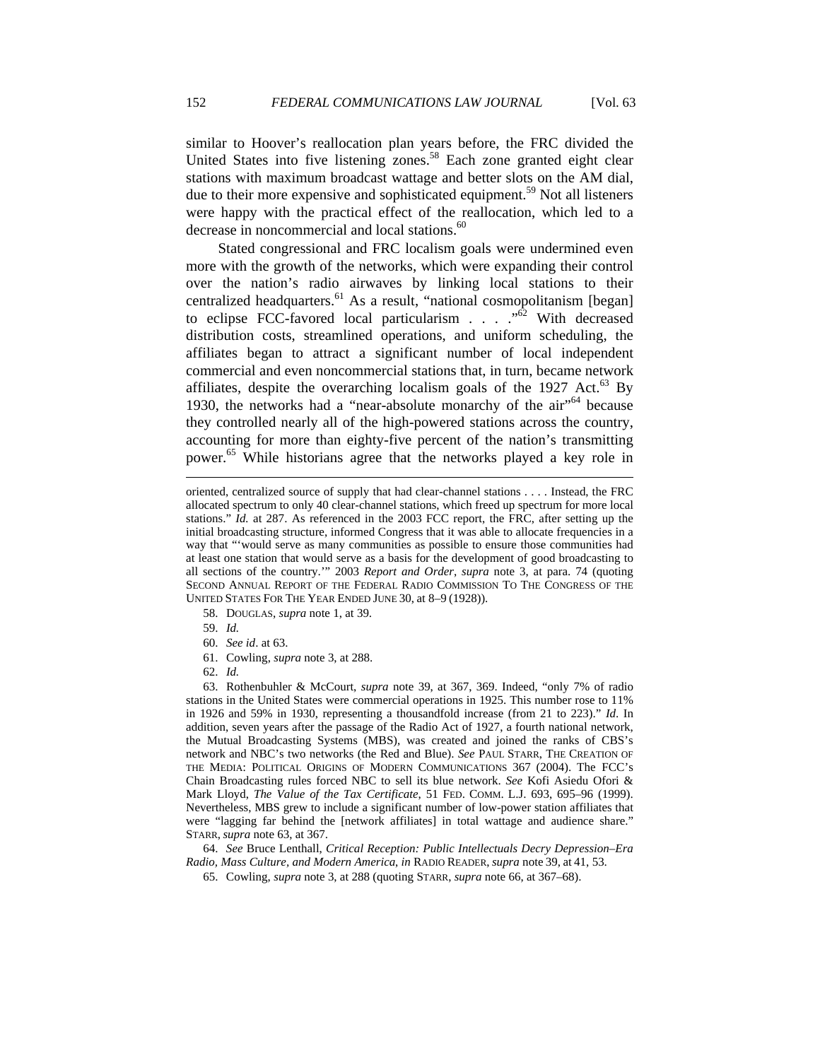similar to Hoover's reallocation plan years before, the FRC divided the United States into five listening zones.<sup>58</sup> Each zone granted eight clear stations with maximum broadcast wattage and better slots on the AM dial, due to their more expensive and sophisticated equipment.<sup>59</sup> Not all listeners were happy with the practical effect of the reallocation, which led to a decrease in noncommercial and local stations.<sup>60</sup>

Stated congressional and FRC localism goals were undermined even more with the growth of the networks, which were expanding their control over the nation's radio airwaves by linking local stations to their centralized headquarters.<sup>61</sup> As a result, "national cosmopolitanism [began] to eclipse FCC-favored local particularism  $\ldots$   $\cdots$   $\cdots$  With decreased distribution costs, streamlined operations, and uniform scheduling, the affiliates began to attract a significant number of local independent commercial and even noncommercial stations that, in turn, became network affiliates, despite the overarching localism goals of the  $1927$  Act.<sup>63</sup> By 1930, the networks had a "near-absolute monarchy of the  $air<sup>64</sup>$  because they controlled nearly all of the high-powered stations across the country, accounting for more than eighty-five percent of the nation's transmitting power.65 While historians agree that the networks played a key role in

58. DOUGLAS, *supra* note 1, at 39.

59. *Id.*

 $\overline{a}$ 

- 60. *See id*. at 63.
- 61. Cowling, *supra* note 3, at 288.
- 62. *Id.*

 63. Rothenbuhler & McCourt, *supra* note 39, at 367, 369. Indeed, "only 7% of radio stations in the United States were commercial operations in 1925. This number rose to 11% in 1926 and 59% in 1930, representing a thousandfold increase (from 21 to 223)." *Id*. In addition, seven years after the passage of the Radio Act of 1927, a fourth national network, the Mutual Broadcasting Systems (MBS), was created and joined the ranks of CBS's network and NBC's two networks (the Red and Blue). *See* PAUL STARR, THE CREATION OF THE MEDIA: POLITICAL ORIGINS OF MODERN COMMUNICATIONS 367 (2004). The FCC's Chain Broadcasting rules forced NBC to sell its blue network. *See* Kofi Asiedu Ofori & Mark Lloyd, *The Value of the Tax Certificate*, 51 FED. COMM. L.J. 693, 695–96 (1999). Nevertheless, MBS grew to include a significant number of low-power station affiliates that were "lagging far behind the [network affiliates] in total wattage and audience share." STARR, *supra* note 63, at 367.

 64. *See* Bruce Lenthall, *Critical Reception: Public Intellectuals Decry Depression–Era Radio, Mass Culture, and Modern America*, *in* RADIO READER, *supra* note 39, at 41, 53.

65. Cowling, *supra* note 3, at 288 (quoting STARR, *supra* note 66, at 367–68).

oriented, centralized source of supply that had clear-channel stations . . . . Instead, the FRC allocated spectrum to only 40 clear-channel stations, which freed up spectrum for more local stations." *Id.* at 287. As referenced in the 2003 FCC report, the FRC, after setting up the initial broadcasting structure, informed Congress that it was able to allocate frequencies in a way that "'would serve as many communities as possible to ensure those communities had at least one station that would serve as a basis for the development of good broadcasting to all sections of the country.'" 2003 *Report and Order*, *supra* note 3, at para. 74 (quoting SECOND ANNUAL REPORT OF THE FEDERAL RADIO COMMISSION TO THE CONGRESS OF THE UNITED STATES FOR THE YEAR ENDED JUNE 30, at 8–9 (1928)).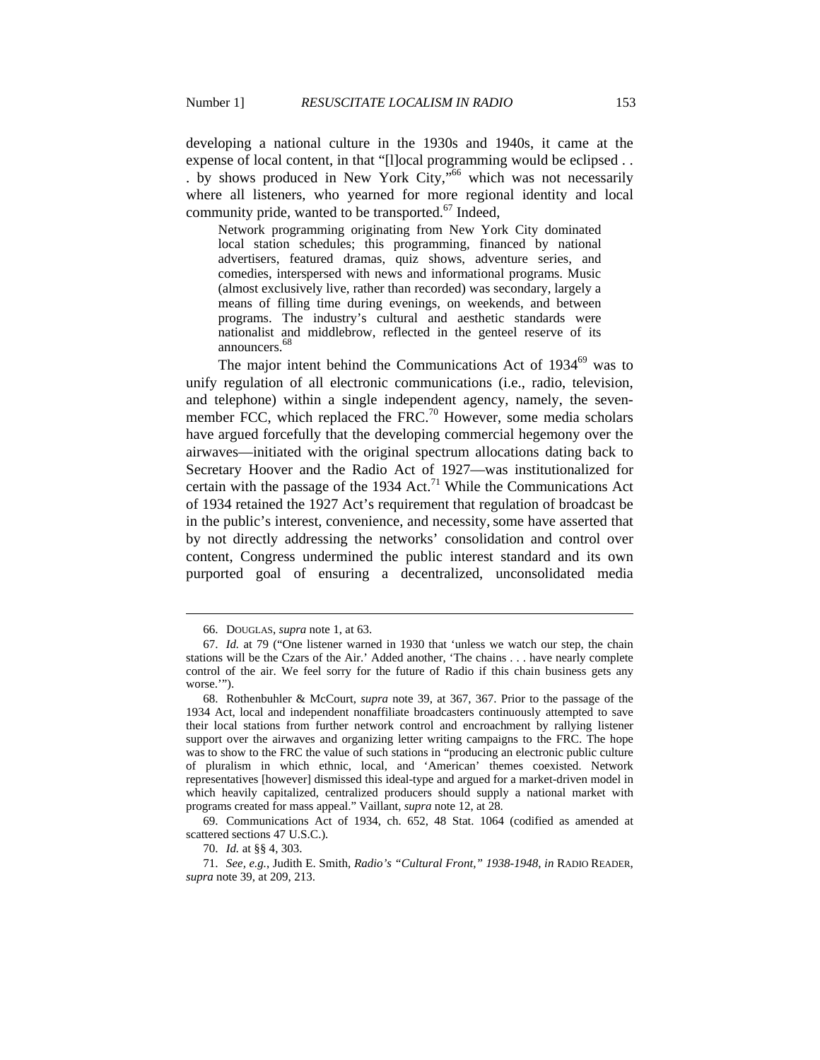developing a national culture in the 1930s and 1940s, it came at the expense of local content, in that "[l]ocal programming would be eclipsed . . . by shows produced in New York City,"66 which was not necessarily where all listeners, who yearned for more regional identity and local community pride, wanted to be transported. $67$  Indeed,

Network programming originating from New York City dominated local station schedules; this programming, financed by national advertisers, featured dramas, quiz shows, adventure series, and comedies, interspersed with news and informational programs. Music (almost exclusively live, rather than recorded) was secondary, largely a means of filling time during evenings, on weekends, and between programs. The industry's cultural and aesthetic standards were nationalist and middlebrow, reflected in the genteel reserve of its announcers. 68

The major intent behind the Communications Act of 1934<sup>69</sup> was to unify regulation of all electronic communications (i.e., radio, television, and telephone) within a single independent agency, namely, the sevenmember FCC, which replaced the FRC.<sup>70</sup> However, some media scholars have argued forcefully that the developing commercial hegemony over the airwaves—initiated with the original spectrum allocations dating back to Secretary Hoover and the Radio Act of 1927—was institutionalized for certain with the passage of the 1934 Act.<sup>71</sup> While the Communications Act of 1934 retained the 1927 Act's requirement that regulation of broadcast be in the public's interest, convenience, and necessity, some have asserted that by not directly addressing the networks' consolidation and control over content, Congress undermined the public interest standard and its own purported goal of ensuring a decentralized, unconsolidated media

 <sup>66.</sup> DOUGLAS, *supra* note 1, at 63.

 <sup>67.</sup> *Id.* at 79 ("One listener warned in 1930 that 'unless we watch our step, the chain stations will be the Czars of the Air.' Added another, 'The chains . . . have nearly complete control of the air. We feel sorry for the future of Radio if this chain business gets any worse.'").

 <sup>68.</sup> Rothenbuhler & McCourt, *supra* note 39, at 367, 367. Prior to the passage of the 1934 Act, local and independent nonaffiliate broadcasters continuously attempted to save their local stations from further network control and encroachment by rallying listener support over the airwaves and organizing letter writing campaigns to the FRC. The hope was to show to the FRC the value of such stations in "producing an electronic public culture of pluralism in which ethnic, local, and 'American' themes coexisted. Network representatives [however] dismissed this ideal-type and argued for a market-driven model in which heavily capitalized, centralized producers should supply a national market with programs created for mass appeal." Vaillant, *supra* note 12, at 28.

 <sup>69.</sup> Communications Act of 1934, ch. 652, 48 Stat. 1064 (codified as amended at scattered sections 47 U.S.C.).

 <sup>70.</sup> *Id.* at §§ 4, 303.

 <sup>71.</sup> *See, e.g.*, Judith E. Smith, *Radio's "Cultural Front," 1938-1948*, *in* RADIO READER, *supra* note 39, at 209, 213.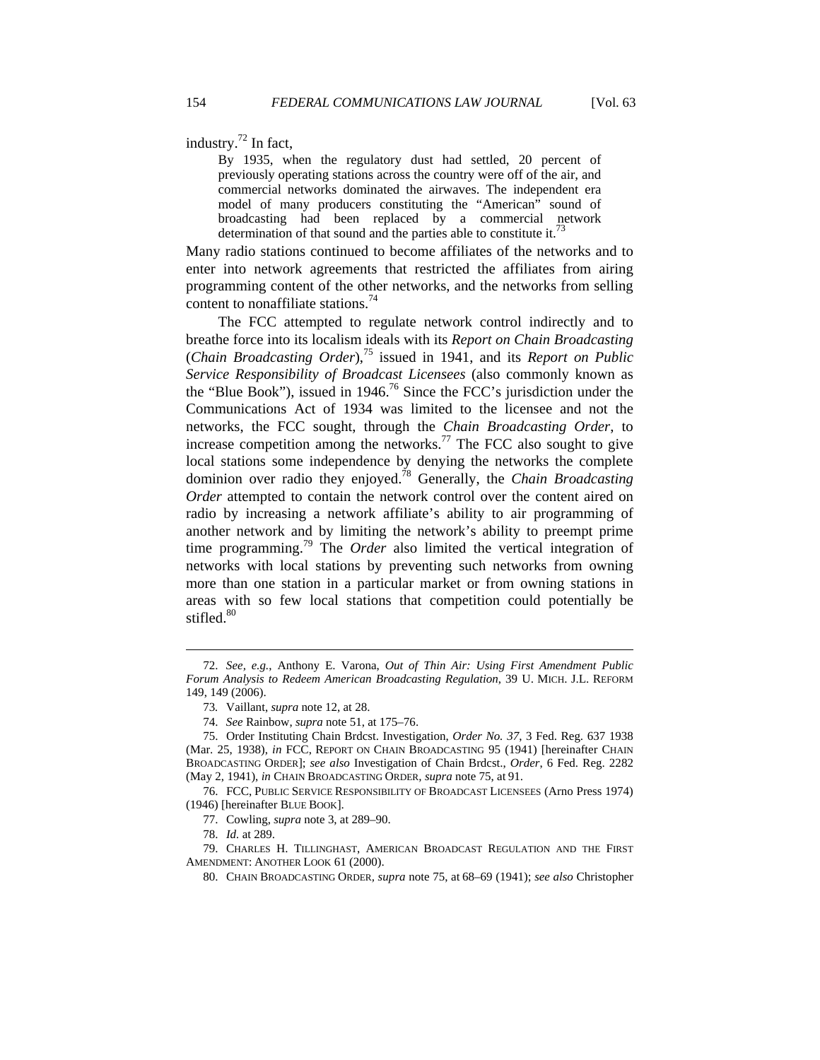industry. $^{72}$  In fact,

By 1935, when the regulatory dust had settled, 20 percent of previously operating stations across the country were off of the air, and commercial networks dominated the airwaves. The independent era model of many producers constituting the "American" sound of broadcasting had been replaced by a commercial network determination of that sound and the parties able to constitute it.<sup>7</sup>

Many radio stations continued to become affiliates of the networks and to enter into network agreements that restricted the affiliates from airing programming content of the other networks, and the networks from selling content to nonaffiliate stations.<sup>74</sup>

The FCC attempted to regulate network control indirectly and to breathe force into its localism ideals with its *Report on Chain Broadcasting*  (*Chain Broadcasting Order*),75 issued in 1941, and its *Report on Public Service Responsibility of Broadcast Licensees* (also commonly known as the "Blue Book"), issued in  $1946$ .<sup>76</sup> Since the FCC's jurisdiction under the Communications Act of 1934 was limited to the licensee and not the networks, the FCC sought, through the *Chain Broadcasting Order*, to increase competition among the networks.<sup>77</sup> The FCC also sought to give local stations some independence by denying the networks the complete dominion over radio they enjoyed.78 Generally, the *Chain Broadcasting Order* attempted to contain the network control over the content aired on radio by increasing a network affiliate's ability to air programming of another network and by limiting the network's ability to preempt prime time programming.79 The *Order* also limited the vertical integration of networks with local stations by preventing such networks from owning more than one station in a particular market or from owning stations in areas with so few local stations that competition could potentially be stifled.<sup>80</sup>

 76. FCC, PUBLIC SERVICE RESPONSIBILITY OF BROADCAST LICENSEES (Arno Press 1974) (1946) [hereinafter BLUE BOOK].

77. Cowling, *supra* note 3, at 289–90.

78. *Id.* at 289.

 $\overline{a}$ 

 79. CHARLES H. TILLINGHAST, AMERICAN BROADCAST REGULATION AND THE FIRST AMENDMENT: ANOTHER LOOK 61 (2000).

80. CHAIN BROADCASTING ORDER*, supra* note 75, at 68–69 (1941); *see also* Christopher

 <sup>72.</sup> *See, e.g.*, Anthony E. Varona, *Out of Thin Air: Using First Amendment Public Forum Analysis to Redeem American Broadcasting Regulation*, 39 U. MICH. J.L. REFORM 149, 149 (2006).

<sup>73</sup>*.* Vaillant, *supra* note 12, at 28.

 <sup>74.</sup> *See* Rainbow, *supra* note 51, at 175–76.

 <sup>75.</sup> Order Instituting Chain Brdcst. Investigation, *Order No. 37*, 3 Fed. Reg. 637 1938 (Mar. 25, 1938), *in* FCC, REPORT ON CHAIN BROADCASTING 95 (1941) [hereinafter CHAIN BROADCASTING ORDER]; *see also* Investigation of Chain Brdcst., *Order*, 6 Fed. Reg. 2282 (May 2, 1941), *in* CHAIN BROADCASTING ORDER*, supra* note 75, at 91.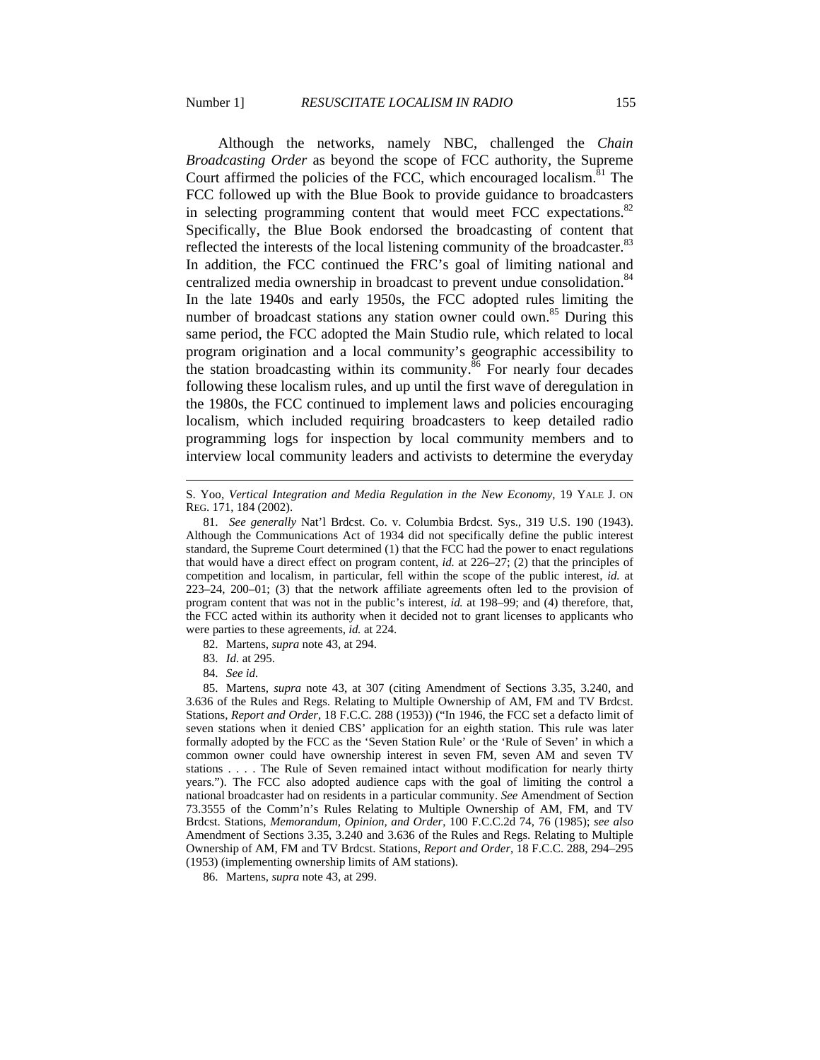Although the networks, namely NBC, challenged the *Chain Broadcasting Order* as beyond the scope of FCC authority, the Supreme Court affirmed the policies of the FCC, which encouraged localism.  $\delta$ <sup>1</sup> The FCC followed up with the Blue Book to provide guidance to broadcasters in selecting programming content that would meet FCC expectations. $82$ Specifically, the Blue Book endorsed the broadcasting of content that reflected the interests of the local listening community of the broadcaster. $83$ In addition, the FCC continued the FRC's goal of limiting national and centralized media ownership in broadcast to prevent undue consolidation.<sup>84</sup> In the late 1940s and early 1950s, the FCC adopted rules limiting the number of broadcast stations any station owner could own.<sup>85</sup> During this same period, the FCC adopted the Main Studio rule, which related to local program origination and a local community's geographic accessibility to the station broadcasting within its community. $86$  For nearly four decades following these localism rules, and up until the first wave of deregulation in the 1980s, the FCC continued to implement laws and policies encouraging localism, which included requiring broadcasters to keep detailed radio programming logs for inspection by local community members and to interview local community leaders and activists to determine the everyday

84. *See id.*

 $\overline{a}$ 

 85. Martens, *supra* note 43, at 307 (citing Amendment of Sections 3.35, 3.240, and 3.636 of the Rules and Regs. Relating to Multiple Ownership of AM, FM and TV Brdcst. Stations, *Report and Order*, 18 F.C.C. 288 (1953)) ("In 1946, the FCC set a defacto limit of seven stations when it denied CBS' application for an eighth station. This rule was later formally adopted by the FCC as the 'Seven Station Rule' or the 'Rule of Seven' in which a common owner could have ownership interest in seven FM, seven AM and seven TV stations . . . . The Rule of Seven remained intact without modification for nearly thirty years."). The FCC also adopted audience caps with the goal of limiting the control a national broadcaster had on residents in a particular community. *See* Amendment of Section 73.3555 of the Comm'n's Rules Relating to Multiple Ownership of AM, FM, and TV Brdcst. Stations, *Memorandum, Opinion, and Order*, 100 F.C.C.2d 74, 76 (1985); *see also* Amendment of Sections 3.35, 3.240 and 3.636 of the Rules and Regs. Relating to Multiple Ownership of AM, FM and TV Brdcst. Stations, *Report and Order*, 18 F.C.C. 288, 294–295 (1953) (implementing ownership limits of AM stations).

86. Martens, *supra* note 43, at 299.

S. Yoo, *Vertical Integration and Media Regulation in the New Economy*, 19 YALE J. ON REG. 171, 184 (2002).

 <sup>81.</sup> *See generally* Nat'l Brdcst. Co. v. Columbia Brdcst. Sys., 319 U.S. 190 (1943). Although the Communications Act of 1934 did not specifically define the public interest standard, the Supreme Court determined (1) that the FCC had the power to enact regulations that would have a direct effect on program content, *id.* at 226–27; (2) that the principles of competition and localism, in particular, fell within the scope of the public interest, *id.* at 223–24, 200–01; (3) that the network affiliate agreements often led to the provision of program content that was not in the public's interest, *id.* at 198–99; and (4) therefore, that, the FCC acted within its authority when it decided not to grant licenses to applicants who were parties to these agreements, *id.* at 224.

 <sup>82.</sup> Martens, *supra* note 43, at 294.

 <sup>83.</sup> *Id.* at 295.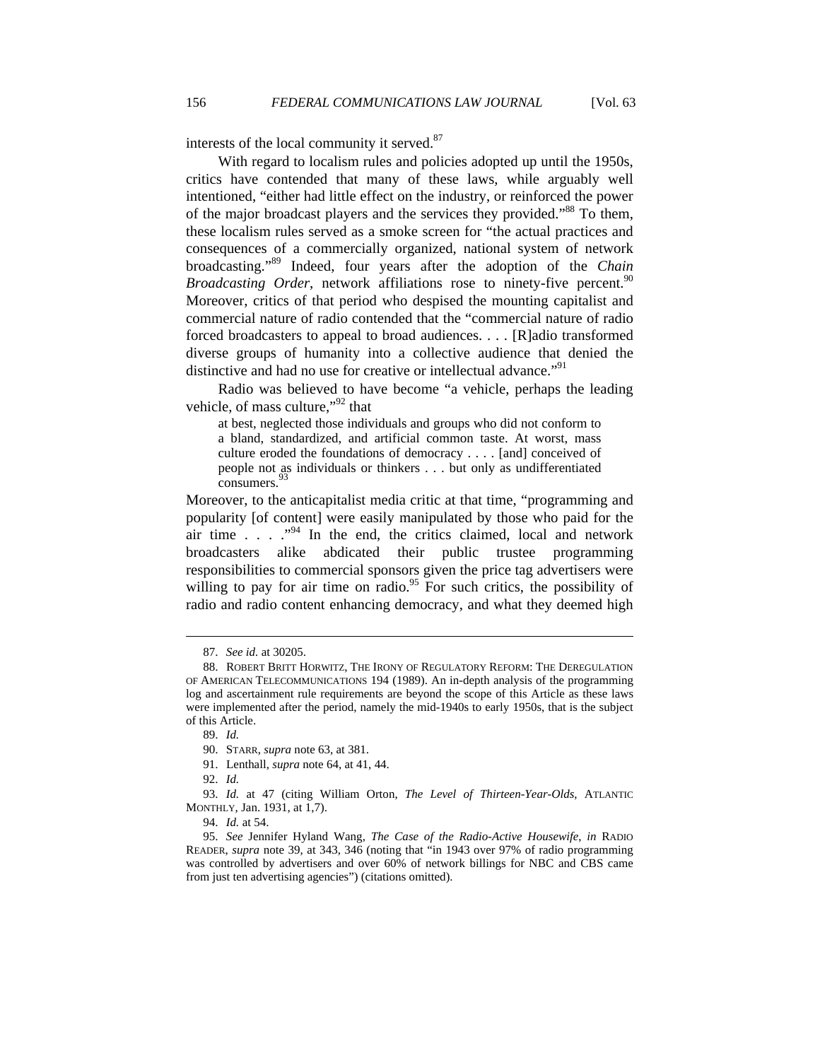interests of the local community it served.<sup>87</sup>

With regard to localism rules and policies adopted up until the 1950s, critics have contended that many of these laws, while arguably well intentioned, "either had little effect on the industry, or reinforced the power of the major broadcast players and the services they provided."<sup>88</sup> To them, these localism rules served as a smoke screen for "the actual practices and consequences of a commercially organized, national system of network broadcasting."89 Indeed, four years after the adoption of the *Chain Broadcasting Order*, network affiliations rose to ninety-five percent.<sup>90</sup> Moreover, critics of that period who despised the mounting capitalist and commercial nature of radio contended that the "commercial nature of radio forced broadcasters to appeal to broad audiences. . . . [R]adio transformed diverse groups of humanity into a collective audience that denied the distinctive and had no use for creative or intellectual advance."<sup>91</sup>

Radio was believed to have become "a vehicle, perhaps the leading vehicle, of mass culture,"92 that

at best, neglected those individuals and groups who did not conform to a bland, standardized, and artificial common taste. At worst, mass culture eroded the foundations of democracy . . . . [and] conceived of people not as individuals or thinkers . . . but only as undifferentiated consumers. 93

Moreover, to the anticapitalist media critic at that time, "programming and popularity [of content] were easily manipulated by those who paid for the air time  $\ldots$   $\cdot$ <sup>94</sup>. In the end, the critics claimed, local and network broadcasters alike abdicated their public trustee programming responsibilities to commercial sponsors given the price tag advertisers were willing to pay for air time on radio.<sup>95</sup> For such critics, the possibility of radio and radio content enhancing democracy, and what they deemed high

 <sup>87.</sup> *See id.* at 30205.

 <sup>88.</sup> ROBERT BRITT HORWITZ, THE IRONY OF REGULATORY REFORM: THE DEREGULATION OF AMERICAN TELECOMMUNICATIONS 194 (1989). An in-depth analysis of the programming log and ascertainment rule requirements are beyond the scope of this Article as these laws were implemented after the period, namely the mid-1940s to early 1950s, that is the subject of this Article.

 <sup>89.</sup> *Id.*

 <sup>90.</sup> STARR, *supra* note 63, at 381.

 <sup>91.</sup> Lenthall, *supra* note 64, at 41, 44.

 <sup>92.</sup> *Id.*

 <sup>93.</sup> *Id.* at 47 (citing William Orton, *The Level of Thirteen-Year-Olds*, ATLANTIC MONTHLY, Jan. 1931, at 1,7).

 <sup>94.</sup> *Id.* at 54.

 <sup>95.</sup> *See* Jennifer Hyland Wang, *The Case of the Radio-Active Housewife*, *in* RADIO READER, *supra* note 39, at 343, 346 (noting that "in 1943 over 97% of radio programming was controlled by advertisers and over 60% of network billings for NBC and CBS came from just ten advertising agencies") (citations omitted).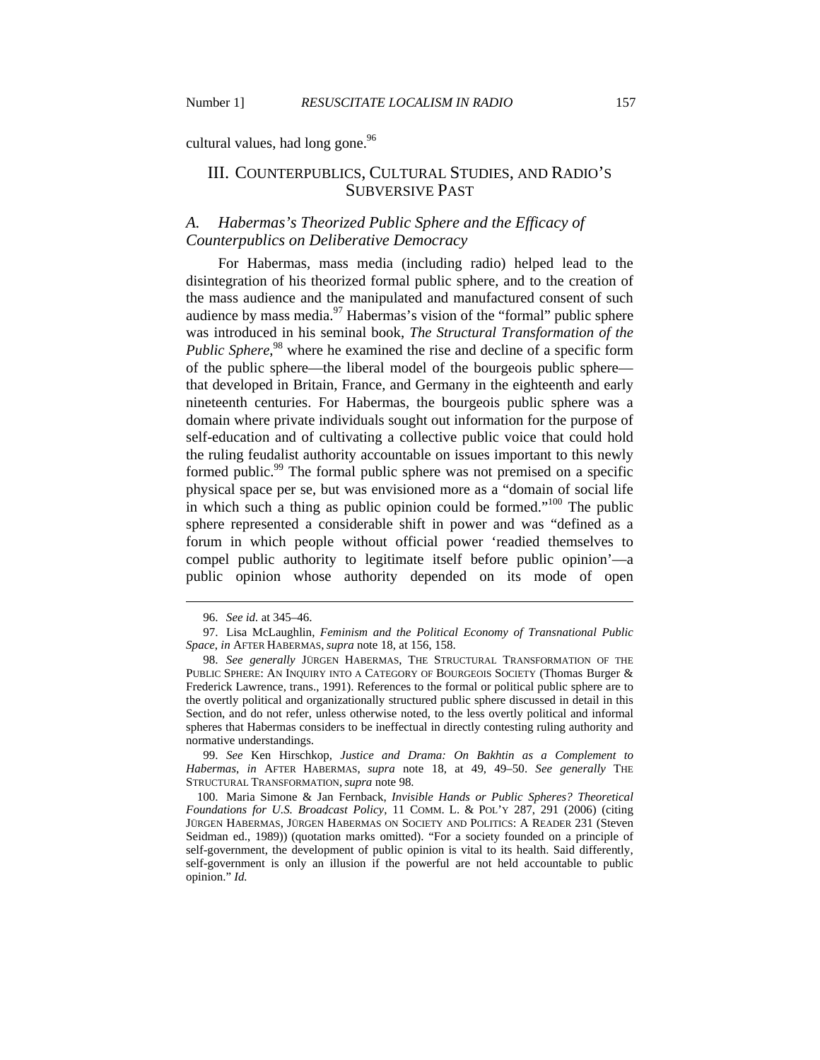cultural values, had long gone. $96$ 

# III. COUNTERPUBLICS, CULTURAL STUDIES, AND RADIO'S SUBVERSIVE PAST

## *A. Habermas's Theorized Public Sphere and the Efficacy of Counterpublics on Deliberative Democracy*

For Habermas, mass media (including radio) helped lead to the disintegration of his theorized formal public sphere, and to the creation of the mass audience and the manipulated and manufactured consent of such audience by mass media. $\frac{97}{97}$  Habermas's vision of the "formal" public sphere was introduced in his seminal book, *The Structural Transformation of the*  Public Sphere,<sup>98</sup> where he examined the rise and decline of a specific form of the public sphere—the liberal model of the bourgeois public sphere that developed in Britain, France, and Germany in the eighteenth and early nineteenth centuries. For Habermas, the bourgeois public sphere was a domain where private individuals sought out information for the purpose of self-education and of cultivating a collective public voice that could hold the ruling feudalist authority accountable on issues important to this newly formed public.<sup>99</sup> The formal public sphere was not premised on a specific physical space per se, but was envisioned more as a "domain of social life in which such a thing as public opinion could be formed."<sup>100</sup> The public sphere represented a considerable shift in power and was "defined as a forum in which people without official power 'readied themselves to compel public authority to legitimate itself before public opinion'—a public opinion whose authority depended on its mode of open

 $\overline{a}$ 

 99. *See* Ken Hirschkop, *Justice and Drama: On Bakhtin as a Complement to Habermas*, *in* AFTER HABERMAS, *supra* note 18, at 49, 49–50. *See generally* THE STRUCTURAL TRANSFORMATION, *supra* note 98.

 100. Maria Simone & Jan Fernback, *Invisible Hands or Public Spheres? Theoretical Foundations for U.S. Broadcast Policy*, 11 COMM. L. & POL'Y 287, 291 (2006) (citing JÜRGEN HABERMAS, JÜRGEN HABERMAS ON SOCIETY AND POLITICS: A READER 231 (Steven Seidman ed., 1989)) (quotation marks omitted). "For a society founded on a principle of self-government, the development of public opinion is vital to its health. Said differently, self-government is only an illusion if the powerful are not held accountable to public opinion." *Id.*

 <sup>96.</sup> *See id.* at 345–46.

 <sup>97.</sup> Lisa McLaughlin, *Feminism and the Political Economy of Transnational Public Space*, *in* AFTER HABERMAS, *supra* note 18, at 156, 158.

 <sup>98.</sup> *See generally* JÜRGEN HABERMAS, THE STRUCTURAL TRANSFORMATION OF THE PUBLIC SPHERE: AN INQUIRY INTO A CATEGORY OF BOURGEOIS SOCIETY (Thomas Burger & Frederick Lawrence, trans., 1991). References to the formal or political public sphere are to the overtly political and organizationally structured public sphere discussed in detail in this Section, and do not refer, unless otherwise noted, to the less overtly political and informal spheres that Habermas considers to be ineffectual in directly contesting ruling authority and normative understandings.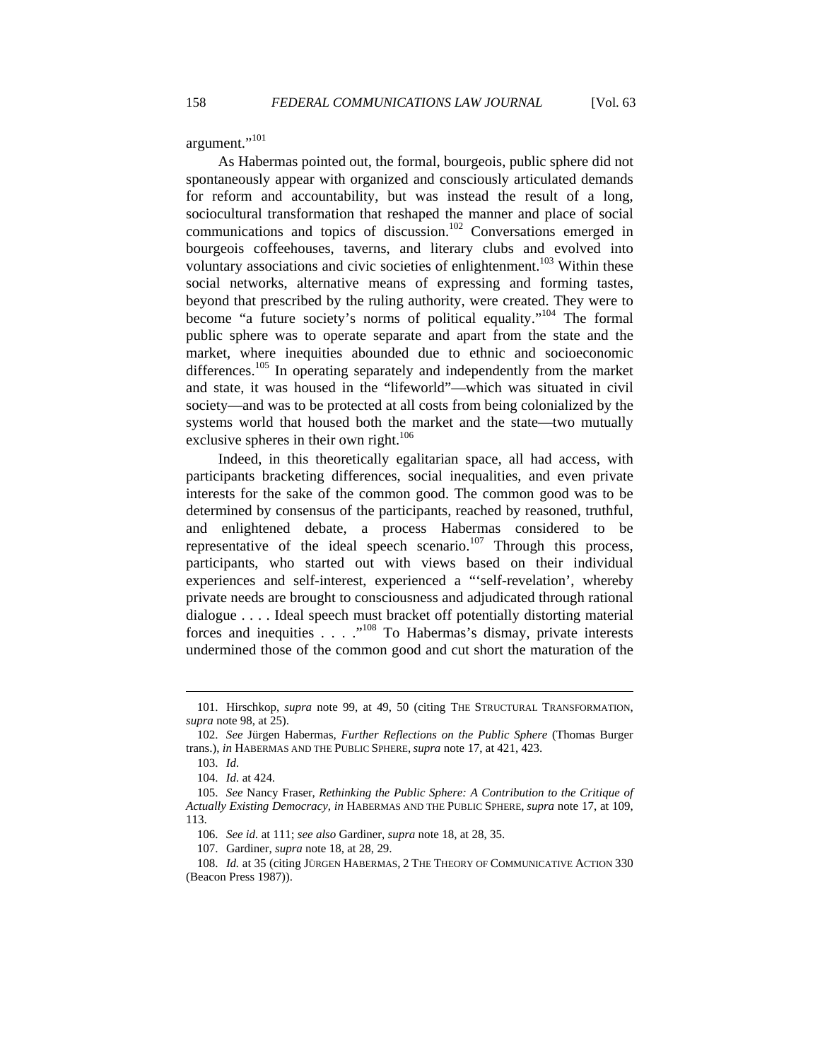argument."101

As Habermas pointed out, the formal, bourgeois, public sphere did not spontaneously appear with organized and consciously articulated demands for reform and accountability, but was instead the result of a long, sociocultural transformation that reshaped the manner and place of social communications and topics of discussion.<sup>102</sup> Conversations emerged in bourgeois coffeehouses, taverns, and literary clubs and evolved into voluntary associations and civic societies of enlightenment.<sup>103</sup> Within these social networks, alternative means of expressing and forming tastes, beyond that prescribed by the ruling authority, were created. They were to become "a future society's norms of political equality."104 The formal public sphere was to operate separate and apart from the state and the market, where inequities abounded due to ethnic and socioeconomic differences.<sup>105</sup> In operating separately and independently from the market and state, it was housed in the "lifeworld"—which was situated in civil society—and was to be protected at all costs from being colonialized by the systems world that housed both the market and the state—two mutually exclusive spheres in their own right.<sup>106</sup>

Indeed, in this theoretically egalitarian space, all had access, with participants bracketing differences, social inequalities, and even private interests for the sake of the common good. The common good was to be determined by consensus of the participants, reached by reasoned, truthful, and enlightened debate, a process Habermas considered to be representative of the ideal speech scenario.<sup>107</sup> Through this process, participants, who started out with views based on their individual experiences and self-interest, experienced a "'self-revelation', whereby private needs are brought to consciousness and adjudicated through rational dialogue . . . . Ideal speech must bracket off potentially distorting material forces and inequities . . . ."108 To Habermas's dismay, private interests undermined those of the common good and cut short the maturation of the

 <sup>101.</sup> Hirschkop, *supra* note 99, at 49, 50 (citing THE STRUCTURAL TRANSFORMATION, *supra* note 98, at 25).

 <sup>102.</sup> *See* Jürgen Habermas, *Further Reflections on the Public Sphere* (Thomas Burger trans.), *in* HABERMAS AND THE PUBLIC SPHERE, *supra* note 17, at 421, 423.

 <sup>103.</sup> *Id.* 

 <sup>104.</sup> *Id.* at 424.

 <sup>105.</sup> *See* Nancy Fraser, *Rethinking the Public Sphere: A Contribution to the Critique of Actually Existing Democracy*, *in* HABERMAS AND THE PUBLIC SPHERE, *supra* note 17, at 109, 113.

 <sup>106.</sup> *See id.* at 111; *see also* Gardiner, *supra* note 18, at 28, 35.

 <sup>107.</sup> Gardiner, *supra* note 18, at 28, 29.

 <sup>108.</sup> *Id.* at 35 (citing JÜRGEN HABERMAS, 2 THE THEORY OF COMMUNICATIVE ACTION 330 (Beacon Press 1987)).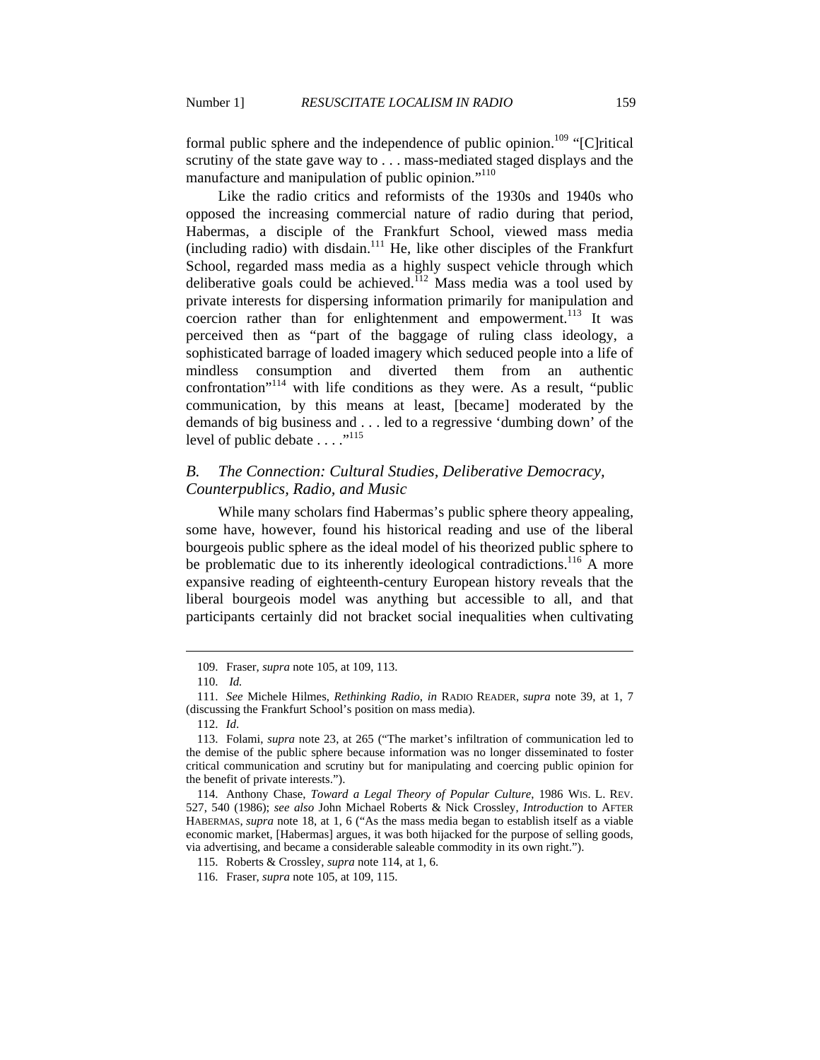formal public sphere and the independence of public opinion.<sup>109</sup> "[C]ritical scrutiny of the state gave way to . . . mass-mediated staged displays and the manufacture and manipulation of public opinion."<sup>110</sup>

Like the radio critics and reformists of the 1930s and 1940s who opposed the increasing commercial nature of radio during that period, Habermas, a disciple of the Frankfurt School, viewed mass media  $(including radio) with disdain.<sup>111</sup> He, like other disciplines of the Frankfurt$ School, regarded mass media as a highly suspect vehicle through which deliberative goals could be achieved.<sup>112</sup> Mass media was a tool used by private interests for dispersing information primarily for manipulation and coercion rather than for enlightenment and empowerment.<sup>113</sup> It was perceived then as "part of the baggage of ruling class ideology, a sophisticated barrage of loaded imagery which seduced people into a life of mindless consumption and diverted them from an authentic confrontation"114 with life conditions as they were. As a result, "public communication, by this means at least, [became] moderated by the demands of big business and . . . led to a regressive 'dumbing down' of the level of public debate . . . ."<sup>115</sup>

# *B. The Connection: Cultural Studies, Deliberative Democracy, Counterpublics, Radio, and Music*

While many scholars find Habermas's public sphere theory appealing, some have, however, found his historical reading and use of the liberal bourgeois public sphere as the ideal model of his theorized public sphere to be problematic due to its inherently ideological contradictions.<sup>116</sup> A more expansive reading of eighteenth-century European history reveals that the liberal bourgeois model was anything but accessible to all, and that participants certainly did not bracket social inequalities when cultivating

 <sup>109.</sup> Fraser, *supra* note 105, at 109, 113.

 <sup>110.</sup> *Id.* 

 <sup>111.</sup> *See* Michele Hilmes, *Rethinking Radio*, *in* RADIO READER, *supra* note 39, at 1, 7 (discussing the Frankfurt School's position on mass media).

 <sup>112.</sup> *Id*.

 <sup>113.</sup> Folami, *supra* note 23, at 265 ("The market's infiltration of communication led to the demise of the public sphere because information was no longer disseminated to foster critical communication and scrutiny but for manipulating and coercing public opinion for the benefit of private interests.").

 <sup>114.</sup> Anthony Chase, *Toward a Legal Theory of Popular Culture*, 1986 WIS. L. REV. 527, 540 (1986); *see also* John Michael Roberts & Nick Crossley, *Introduction* to AFTER HABERMAS, *supra* note 18, at 1, 6 ("As the mass media began to establish itself as a viable economic market, [Habermas] argues, it was both hijacked for the purpose of selling goods, via advertising, and became a considerable saleable commodity in its own right.").

 <sup>115.</sup> Roberts & Crossley, *supra* note 114, at 1, 6.

 <sup>116.</sup> Fraser, *supra* note 105, at 109, 115.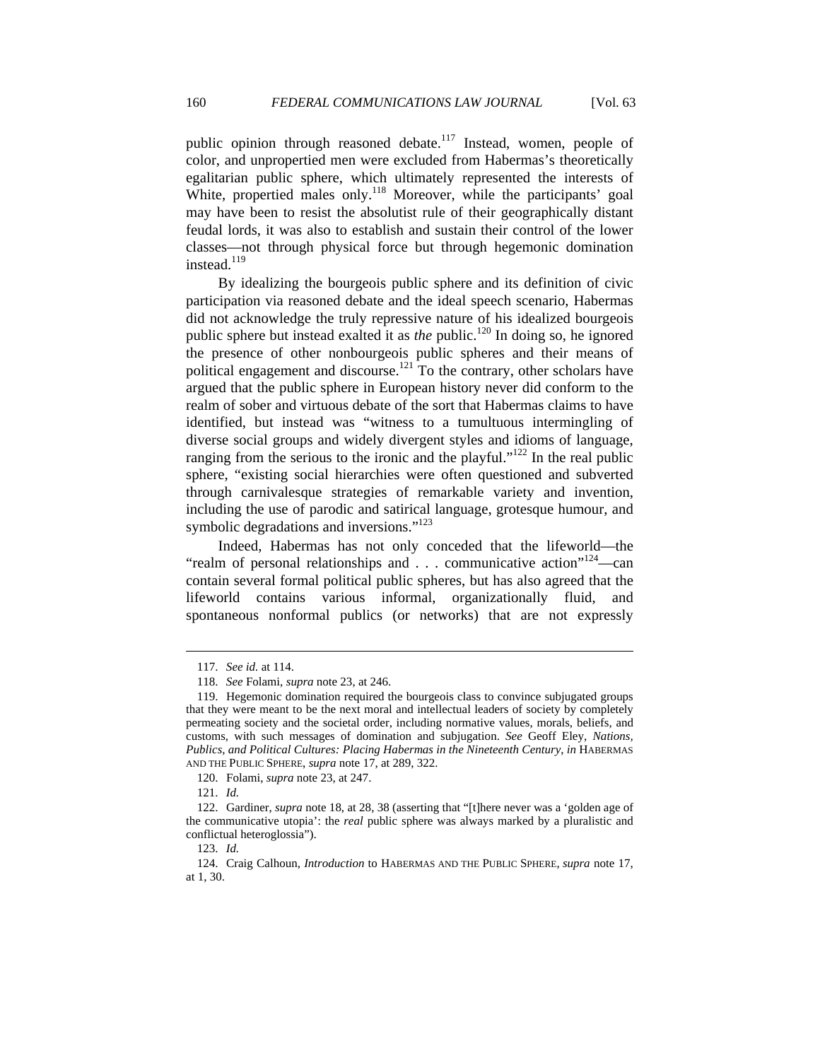public opinion through reasoned debate.<sup>117</sup> Instead, women, people of color, and unpropertied men were excluded from Habermas's theoretically egalitarian public sphere, which ultimately represented the interests of White, propertied males only.<sup>118</sup> Moreover, while the participants' goal may have been to resist the absolutist rule of their geographically distant feudal lords, it was also to establish and sustain their control of the lower classes—not through physical force but through hegemonic domination instead. $119$ 

By idealizing the bourgeois public sphere and its definition of civic participation via reasoned debate and the ideal speech scenario, Habermas did not acknowledge the truly repressive nature of his idealized bourgeois public sphere but instead exalted it as *the* public.<sup>120</sup> In doing so, he ignored the presence of other nonbourgeois public spheres and their means of political engagement and discourse.<sup>121</sup> To the contrary, other scholars have argued that the public sphere in European history never did conform to the realm of sober and virtuous debate of the sort that Habermas claims to have identified, but instead was "witness to a tumultuous intermingling of diverse social groups and widely divergent styles and idioms of language, ranging from the serious to the ironic and the playful."<sup>122</sup> In the real public sphere, "existing social hierarchies were often questioned and subverted through carnivalesque strategies of remarkable variety and invention, including the use of parodic and satirical language, grotesque humour, and symbolic degradations and inversions."<sup>123</sup>

Indeed, Habermas has not only conceded that the lifeworld—the "realm of personal relationships and  $\ldots$  communicative action"<sup>124</sup>—can contain several formal political public spheres, but has also agreed that the lifeworld contains various informal, organizationally fluid, and spontaneous nonformal publics (or networks) that are not expressly

 <sup>117.</sup> *See id.* at 114.

 <sup>118.</sup> *See* Folami, *supra* note 23, at 246.

 <sup>119.</sup> Hegemonic domination required the bourgeois class to convince subjugated groups that they were meant to be the next moral and intellectual leaders of society by completely permeating society and the societal order, including normative values, morals, beliefs, and customs, with such messages of domination and subjugation. *See* Geoff Eley, *Nations, Publics, and Political Cultures: Placing Habermas in the Nineteenth Century*, *in* HABERMAS AND THE PUBLIC SPHERE, *supra* note 17, at 289, 322.

 <sup>120.</sup> Folami, *supra* note 23, at 247.

 <sup>121.</sup> *Id.*

 <sup>122.</sup> Gardiner, *supra* note 18, at 28, 38 (asserting that "[t]here never was a 'golden age of the communicative utopia': the *real* public sphere was always marked by a pluralistic and conflictual heteroglossia").

 <sup>123.</sup> *Id.*

 <sup>124.</sup> Craig Calhoun, *Introduction* to HABERMAS AND THE PUBLIC SPHERE, *supra* note 17, at 1, 30.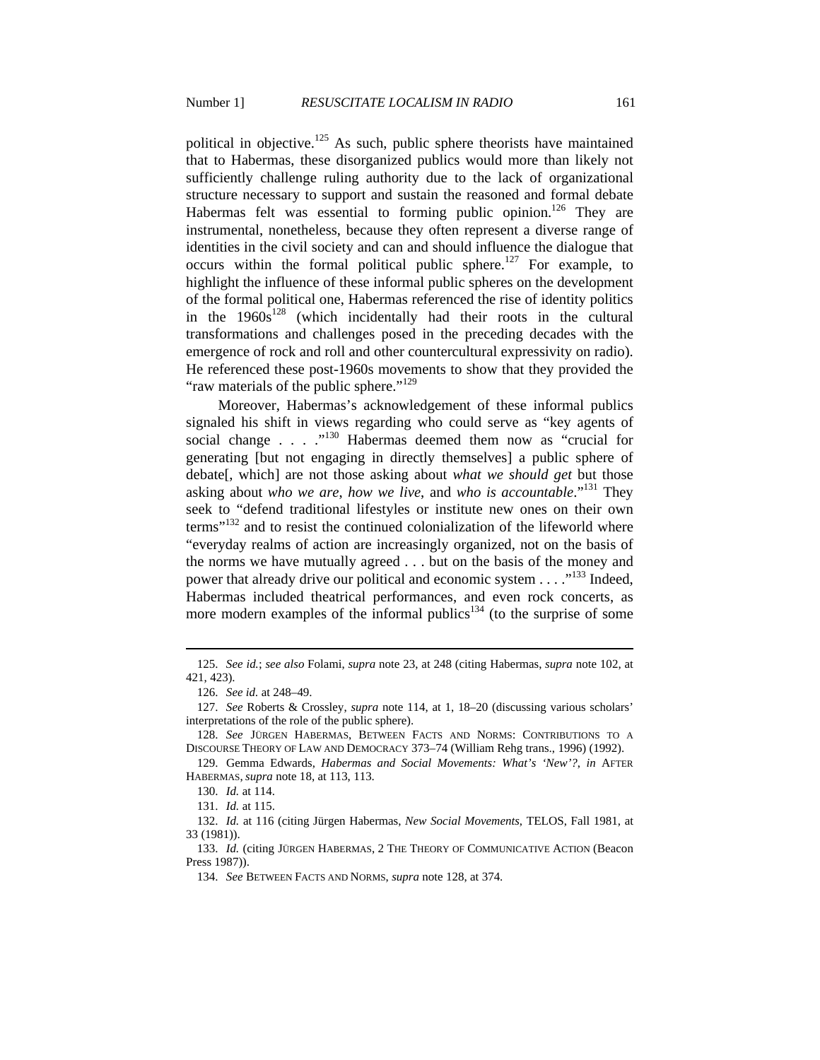political in objective.<sup>125</sup> As such, public sphere theorists have maintained that to Habermas, these disorganized publics would more than likely not sufficiently challenge ruling authority due to the lack of organizational structure necessary to support and sustain the reasoned and formal debate Habermas felt was essential to forming public opinion.<sup>126</sup> They are instrumental, nonetheless, because they often represent a diverse range of identities in the civil society and can and should influence the dialogue that occurs within the formal political public sphere.<sup>127</sup> For example, to highlight the influence of these informal public spheres on the development of the formal political one, Habermas referenced the rise of identity politics in the  $1960s^{128}$  (which incidentally had their roots in the cultural transformations and challenges posed in the preceding decades with the emergence of rock and roll and other countercultural expressivity on radio). He referenced these post-1960s movements to show that they provided the "raw materials of the public sphere."<sup>129</sup>

Moreover, Habermas's acknowledgement of these informal publics signaled his shift in views regarding who could serve as "key agents of social change . . . . .<sup>130</sup> Habermas deemed them now as "crucial for generating [but not engaging in directly themselves] a public sphere of debate[, which] are not those asking about *what we should get* but those asking about *who we are*, *how we live*, and *who is accountable*."131 They seek to "defend traditional lifestyles or institute new ones on their own  $t$ erms<sup> $n_{132}$ </sup> and to resist the continued colonialization of the lifeworld where "everyday realms of action are increasingly organized, not on the basis of the norms we have mutually agreed . . . but on the basis of the money and power that already drive our political and economic system . . . .<sup>133</sup> Indeed, Habermas included theatrical performances, and even rock concerts, as more modern examples of the informal publics<sup>134</sup> (to the surprise of some

 <sup>125.</sup> *See id.*; *see also* Folami, *supra* note 23, at 248 (citing Habermas, *supra* note 102, at 421, 423).

 <sup>126.</sup> *See id.* at 248–49.

 <sup>127.</sup> *See* Roberts & Crossley, *supra* note 114, at 1, 18–20 (discussing various scholars' interpretations of the role of the public sphere).

 <sup>128.</sup> *See* JÜRGEN HABERMAS, BETWEEN FACTS AND NORMS: CONTRIBUTIONS TO A DISCOURSE THEORY OF LAW AND DEMOCRACY 373–74 (William Rehg trans., 1996) (1992).

 <sup>129.</sup> Gemma Edwards, *Habermas and Social Movements: What's 'New'?*, *in* AFTER HABERMAS, *supra* note 18, at 113, 113.

 <sup>130.</sup> *Id.* at 114.

 <sup>131.</sup> *Id.* at 115.

 <sup>132.</sup> *Id.* at 116 (citing Jürgen Habermas, *New Social Movements*, TELOS, Fall 1981, at 33 (1981)).

 <sup>133.</sup> *Id.* (citing JÜRGEN HABERMAS, 2 THE THEORY OF COMMUNICATIVE ACTION (Beacon Press 1987)).

 <sup>134.</sup> *See* BETWEEN FACTS AND NORMS, *supra* note 128, at 374.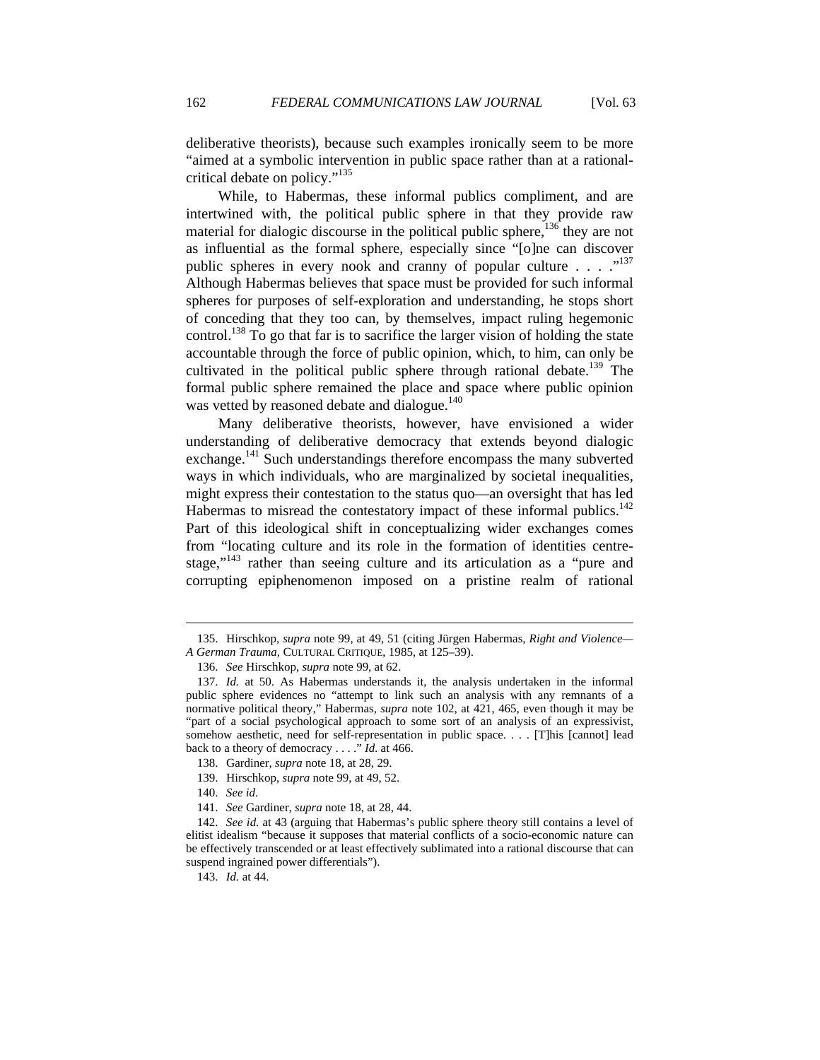deliberative theorists), because such examples ironically seem to be more "aimed at a symbolic intervention in public space rather than at a rationalcritical debate on policy."135

While, to Habermas, these informal publics compliment, and are intertwined with, the political public sphere in that they provide raw material for dialogic discourse in the political public sphere,<sup>136</sup> they are not as influential as the formal sphere, especially since "[o]ne can discover public spheres in every nook and cranny of popular culture  $\ldots$   $\ldots$   $\ldots$ Although Habermas believes that space must be provided for such informal spheres for purposes of self-exploration and understanding, he stops short of conceding that they too can, by themselves, impact ruling hegemonic control.<sup>138</sup> To go that far is to sacrifice the larger vision of holding the state accountable through the force of public opinion, which, to him, can only be cultivated in the political public sphere through rational debate.<sup>139</sup> The formal public sphere remained the place and space where public opinion was vetted by reasoned debate and dialogue.<sup>140</sup>

Many deliberative theorists, however, have envisioned a wider understanding of deliberative democracy that extends beyond dialogic exchange.<sup>141</sup> Such understandings therefore encompass the many subverted ways in which individuals, who are marginalized by societal inequalities, might express their contestation to the status quo—an oversight that has led Habermas to misread the contestatory impact of these informal publics. $142$ Part of this ideological shift in conceptualizing wider exchanges comes from "locating culture and its role in the formation of identities centrestage,"<sup>143</sup> rather than seeing culture and its articulation as a "pure and corrupting epiphenomenon imposed on a pristine realm of rational

 $\overline{a}$ 

143. *Id.* at 44.

 <sup>135.</sup> Hirschkop, *supra* note 99, at 49, 51 (citing Jürgen Habermas, *Right and Violence— A German Trauma*, CULTURAL CRITIQUE, 1985, at 125–39).

 <sup>136.</sup> *See* Hirschkop, *supra* note 99, at 62.

 <sup>137.</sup> *Id.* at 50. As Habermas understands it, the analysis undertaken in the informal public sphere evidences no "attempt to link such an analysis with any remnants of a normative political theory," Habermas, *supra* note 102, at 421, 465, even though it may be "part of a social psychological approach to some sort of an analysis of an expressivist, somehow aesthetic, need for self-representation in public space. . . . [T]his [cannot] lead back to a theory of democracy . . . ." *Id*. at 466.

 <sup>138.</sup> Gardiner, *supra* note 18, at 28, 29.

 <sup>139.</sup> Hirschkop, *supra* note 99, at 49, 52.

 <sup>140.</sup> *See id*.

 <sup>141.</sup> *See* Gardiner, *supra* note 18, at 28, 44.

 <sup>142.</sup> *See id*. at 43 (arguing that Habermas's public sphere theory still contains a level of elitist idealism "because it supposes that material conflicts of a socio-economic nature can be effectively transcended or at least effectively sublimated into a rational discourse that can suspend ingrained power differentials").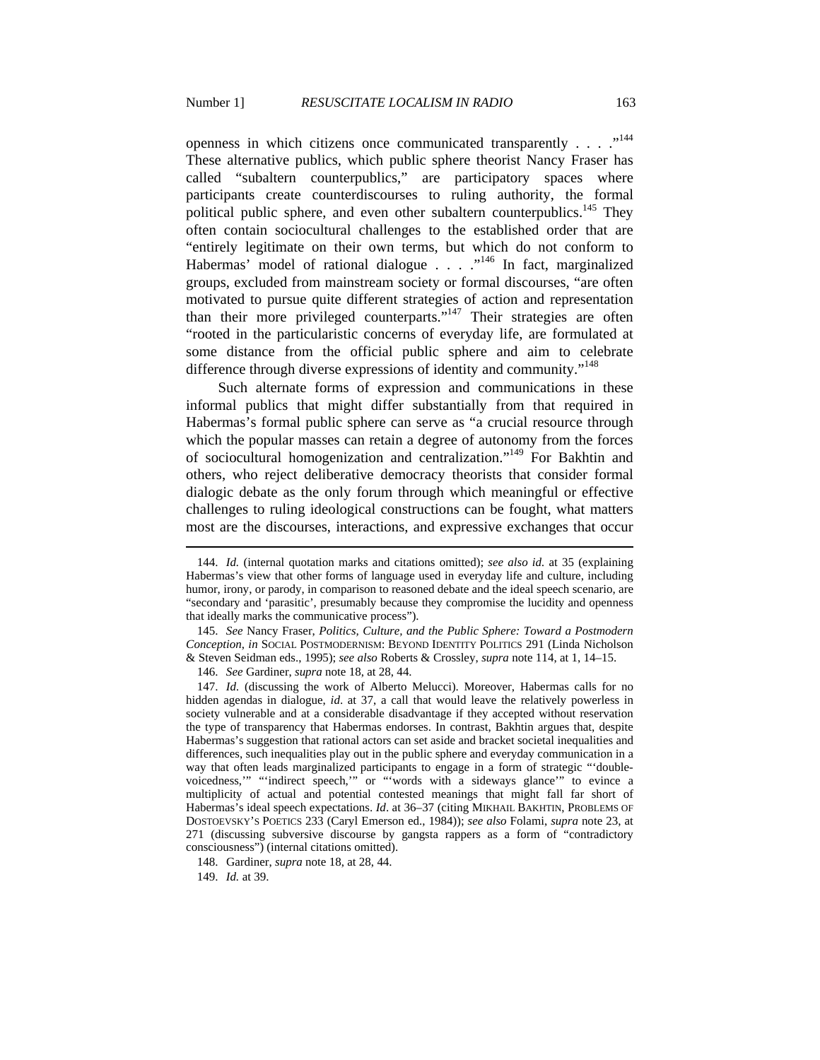openness in which citizens once communicated transparently . . . . .<sup>144</sup> These alternative publics, which public sphere theorist Nancy Fraser has called "subaltern counterpublics," are participatory spaces where participants create counterdiscourses to ruling authority, the formal political public sphere, and even other subaltern counterpublics.<sup>145</sup> They often contain sociocultural challenges to the established order that are "entirely legitimate on their own terms, but which do not conform to Habermas' model of rational dialogue . . . .<sup>"146</sup> In fact, marginalized groups, excluded from mainstream society or formal discourses, "are often motivated to pursue quite different strategies of action and representation than their more privileged counterparts." $147$  Their strategies are often "rooted in the particularistic concerns of everyday life, are formulated at some distance from the official public sphere and aim to celebrate difference through diverse expressions of identity and community."<sup>148</sup>

Such alternate forms of expression and communications in these informal publics that might differ substantially from that required in Habermas's formal public sphere can serve as "a crucial resource through which the popular masses can retain a degree of autonomy from the forces of sociocultural homogenization and centralization."149 For Bakhtin and others, who reject deliberative democracy theorists that consider formal dialogic debate as the only forum through which meaningful or effective challenges to ruling ideological constructions can be fought, what matters most are the discourses, interactions, and expressive exchanges that occur

 145. *See* Nancy Fraser, *Politics, Culture, and the Public Sphere: Toward a Postmodern Conception*, *in* SOCIAL POSTMODERNISM: BEYOND IDENTITY POLITICS 291 (Linda Nicholson & Steven Seidman eds., 1995); *see also* Roberts & Crossley, *supra* note 114, at 1, 14–15.

146. *See* Gardiner, *supra* note 18, at 28, 44.

148. Gardiner, *supra* note 18, at 28, 44.

 <sup>144.</sup> *Id.* (internal quotation marks and citations omitted); *see also id.* at 35 (explaining Habermas's view that other forms of language used in everyday life and culture, including humor, irony, or parody, in comparison to reasoned debate and the ideal speech scenario, are "secondary and 'parasitic', presumably because they compromise the lucidity and openness that ideally marks the communicative process").

 <sup>147.</sup> *Id.* (discussing the work of Alberto Melucci). Moreover, Habermas calls for no hidden agendas in dialogue, *id*. at 37, a call that would leave the relatively powerless in society vulnerable and at a considerable disadvantage if they accepted without reservation the type of transparency that Habermas endorses. In contrast, Bakhtin argues that, despite Habermas's suggestion that rational actors can set aside and bracket societal inequalities and differences, such inequalities play out in the public sphere and everyday communication in a way that often leads marginalized participants to engage in a form of strategic "'doublevoicedness,'" "'indirect speech,'" or "'words with a sideways glance'" to evince a multiplicity of actual and potential contested meanings that might fall far short of Habermas's ideal speech expectations. *Id*. at 36–37 (citing MIKHAIL BAKHTIN, PROBLEMS OF DOSTOEVSKY'S POETICS 233 (Caryl Emerson ed., 1984)); *see also* Folami, *supra* note 23, at 271 (discussing subversive discourse by gangsta rappers as a form of "contradictory consciousness") (internal citations omitted).

 <sup>149.</sup> *Id.* at 39.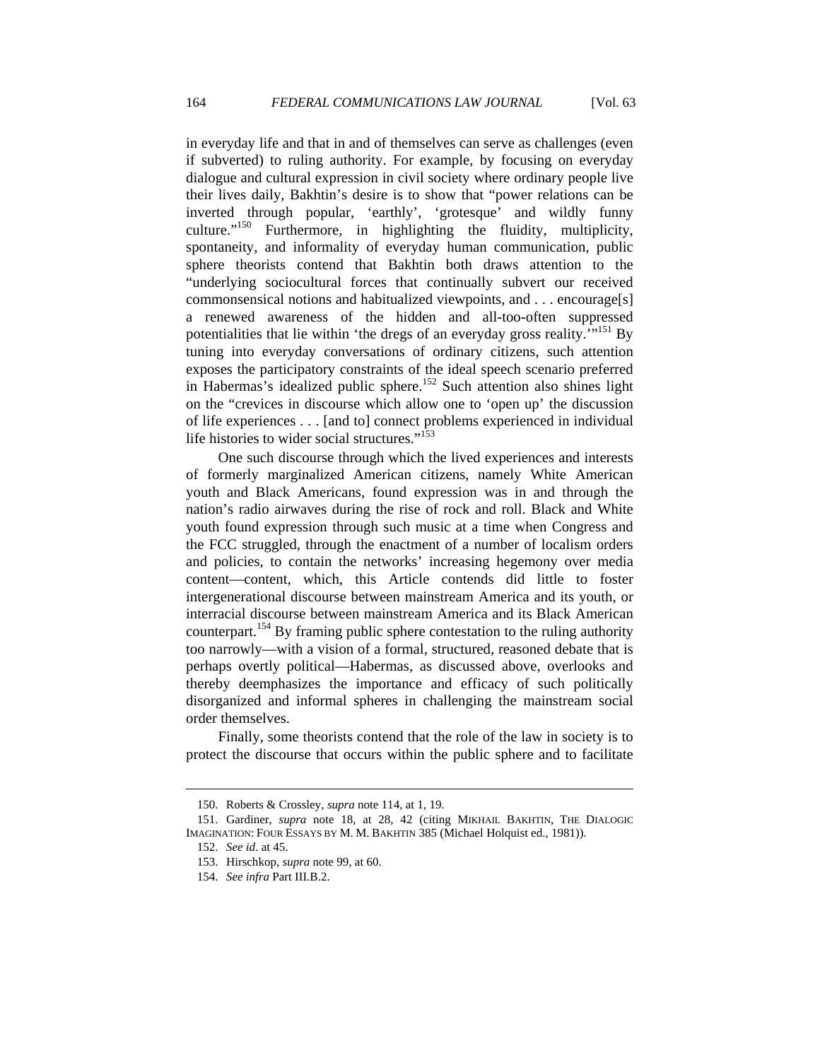in everyday life and that in and of themselves can serve as challenges (even if subverted) to ruling authority. For example, by focusing on everyday dialogue and cultural expression in civil society where ordinary people live their lives daily, Bakhtin's desire is to show that "power relations can be inverted through popular, 'earthly', 'grotesque' and wildly funny culture."<sup>150</sup> Furthermore, in highlighting the fluidity, multiplicity, spontaneity, and informality of everyday human communication, public sphere theorists contend that Bakhtin both draws attention to the "underlying sociocultural forces that continually subvert our received commonsensical notions and habitualized viewpoints, and . . . encourage[s] a renewed awareness of the hidden and all-too-often suppressed potentialities that lie within 'the dregs of an everyday gross reality. $1^{151}$  By tuning into everyday conversations of ordinary citizens, such attention exposes the participatory constraints of the ideal speech scenario preferred in Habermas's idealized public sphere.<sup>152</sup> Such attention also shines light on the "crevices in discourse which allow one to 'open up' the discussion of life experiences . . . [and to] connect problems experienced in individual life histories to wider social structures."<sup>153</sup>

One such discourse through which the lived experiences and interests of formerly marginalized American citizens, namely White American youth and Black Americans, found expression was in and through the nation's radio airwaves during the rise of rock and roll. Black and White youth found expression through such music at a time when Congress and the FCC struggled, through the enactment of a number of localism orders and policies, to contain the networks' increasing hegemony over media content—content, which, this Article contends did little to foster intergenerational discourse between mainstream America and its youth, or interracial discourse between mainstream America and its Black American counterpart.<sup>154</sup> By framing public sphere contestation to the ruling authority too narrowly—with a vision of a formal, structured, reasoned debate that is perhaps overtly political—Habermas, as discussed above, overlooks and thereby deemphasizes the importance and efficacy of such politically disorganized and informal spheres in challenging the mainstream social order themselves.

Finally, some theorists contend that the role of the law in society is to protect the discourse that occurs within the public sphere and to facilitate

 <sup>150.</sup> Roberts & Crossley, *supra* note 114, at 1, 19.

 <sup>151.</sup> Gardiner, *supra* note 18, at 28, 42 (citing MIKHAIL BAKHTIN, THE DIALOGIC IMAGINATION: FOUR ESSAYS BY M. M. BAKHTIN 385 (Michael Holquist ed., 1981)).

 <sup>152.</sup> *See id*. at 45.

 <sup>153.</sup> Hirschkop, *supra* note 99, at 60.

 <sup>154.</sup> *See infra* Part III.B.2.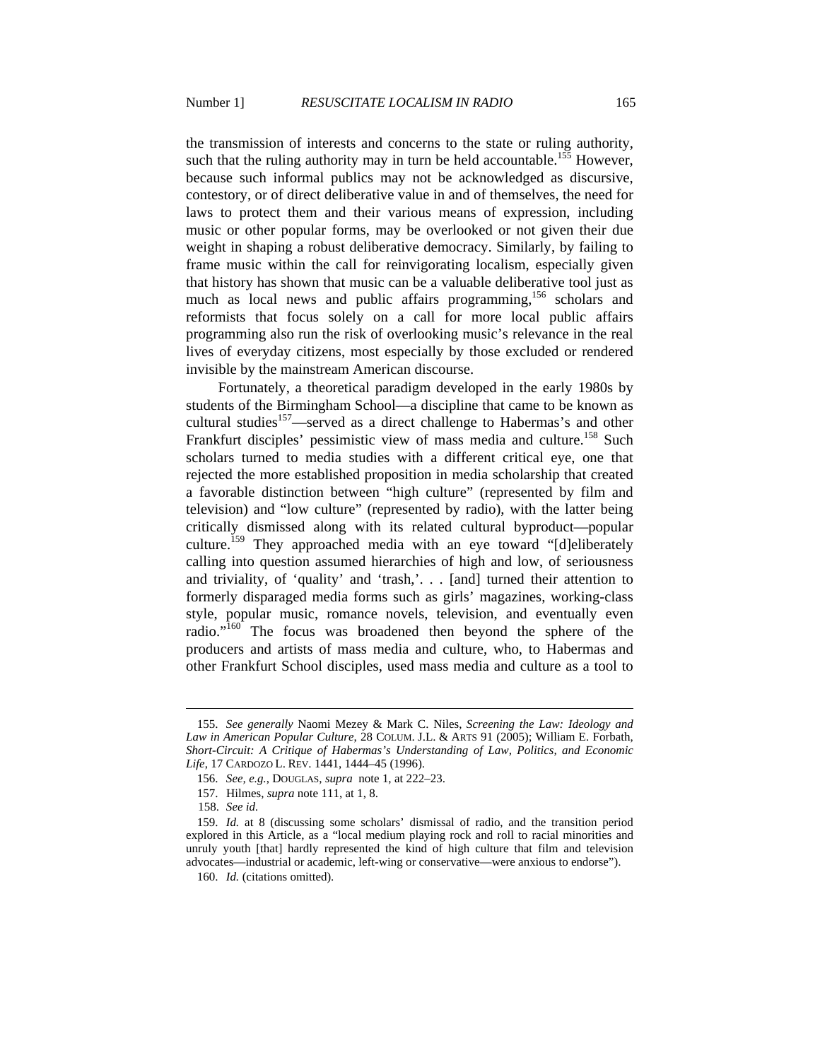the transmission of interests and concerns to the state or ruling authority, such that the ruling authority may in turn be held accountable.<sup>155</sup> However, because such informal publics may not be acknowledged as discursive, contestory, or of direct deliberative value in and of themselves, the need for laws to protect them and their various means of expression, including music or other popular forms, may be overlooked or not given their due weight in shaping a robust deliberative democracy. Similarly, by failing to frame music within the call for reinvigorating localism, especially given that history has shown that music can be a valuable deliberative tool just as much as local news and public affairs programming,<sup>156</sup> scholars and reformists that focus solely on a call for more local public affairs programming also run the risk of overlooking music's relevance in the real lives of everyday citizens, most especially by those excluded or rendered invisible by the mainstream American discourse.

Fortunately, a theoretical paradigm developed in the early 1980s by students of the Birmingham School—a discipline that came to be known as cultural studies<sup>157</sup>—served as a direct challenge to Habermas's and other Frankfurt disciples' pessimistic view of mass media and culture.<sup>158</sup> Such scholars turned to media studies with a different critical eye, one that rejected the more established proposition in media scholarship that created a favorable distinction between "high culture" (represented by film and television) and "low culture" (represented by radio), with the latter being critically dismissed along with its related cultural byproduct—popular culture.<sup>159</sup> They approached media with an eye toward "[d]eliberately calling into question assumed hierarchies of high and low, of seriousness and triviality, of 'quality' and 'trash,'. . . [and] turned their attention to formerly disparaged media forms such as girls' magazines, working-class style, popular music, romance novels, television, and eventually even radio."<sup>160</sup> The focus was broadened then beyond the sphere of the producers and artists of mass media and culture, who, to Habermas and other Frankfurt School disciples, used mass media and culture as a tool to

 <sup>155.</sup> *See generally* Naomi Mezey & Mark C. Niles, *Screening the Law: Ideology and Law in American Popular Culture*, 28 COLUM. J.L. & ARTS 91 (2005); William E. Forbath, *Short-Circuit: A Critique of Habermas's Understanding of Law, Politics, and Economic Life*, 17 CARDOZO L. REV. 1441, 1444–45 (1996).

 <sup>156.</sup> *See, e.g.*, DOUGLAS, *supra* note 1, at 222–23.

 <sup>157.</sup> Hilmes, *supra* note 111, at 1, 8.

<sup>158.</sup> *See id.*

 <sup>159.</sup> *Id.* at 8 (discussing some scholars' dismissal of radio, and the transition period explored in this Article, as a "local medium playing rock and roll to racial minorities and unruly youth [that] hardly represented the kind of high culture that film and television advocates—industrial or academic, left-wing or conservative—were anxious to endorse").

 <sup>160.</sup> *Id.* (citations omitted).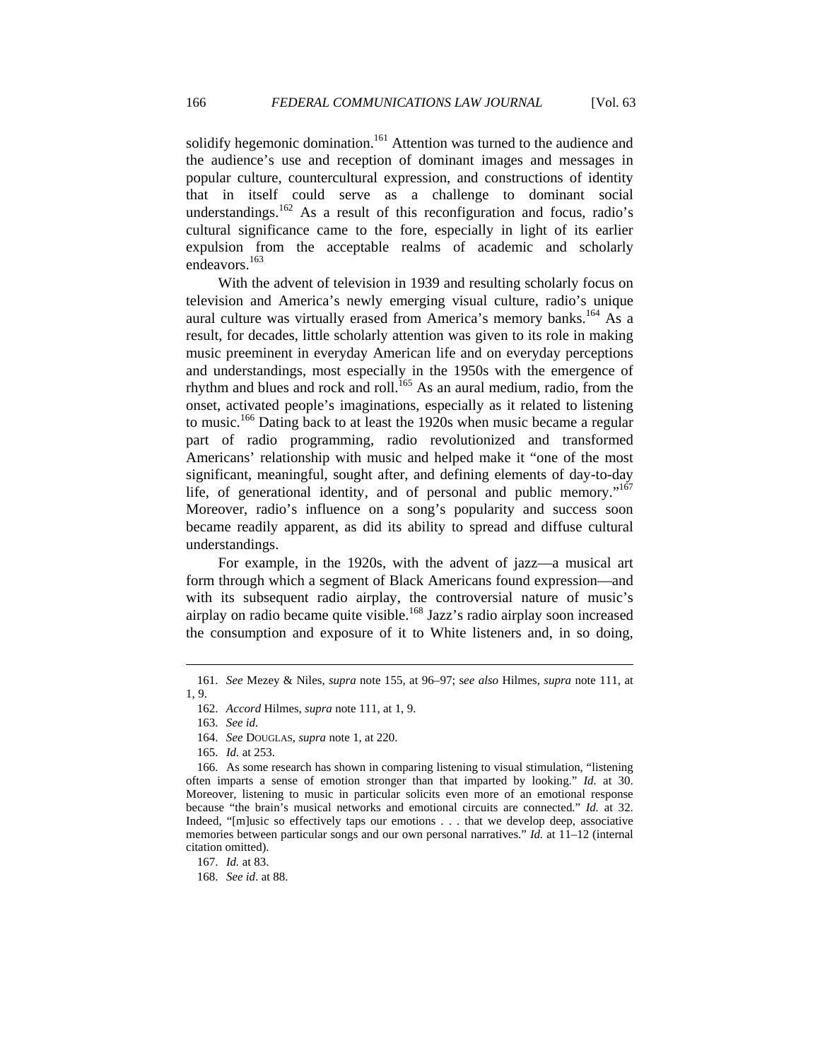solidify hegemonic domination.<sup>161</sup> Attention was turned to the audience and the audience's use and reception of dominant images and messages in popular culture, countercultural expression, and constructions of identity that in itself could serve as a challenge to dominant social understandings.<sup>162</sup> As a result of this reconfiguration and focus, radio's cultural significance came to the fore, especially in light of its earlier expulsion from the acceptable realms of academic and scholarly endeavors.<sup>163</sup>

With the advent of television in 1939 and resulting scholarly focus on television and America's newly emerging visual culture, radio's unique aural culture was virtually erased from America's memory banks.<sup>164</sup> As a result, for decades, little scholarly attention was given to its role in making music preeminent in everyday American life and on everyday perceptions and understandings, most especially in the 1950s with the emergence of rhythm and blues and rock and roll.<sup>165</sup> As an aural medium, radio, from the onset, activated people's imaginations, especially as it related to listening to music.<sup>166</sup> Dating back to at least the 1920s when music became a regular part of radio programming, radio revolutionized and transformed Americans' relationship with music and helped make it "one of the most significant, meaningful, sought after, and defining elements of day-to-day life, of generational identity, and of personal and public memory."<sup>167</sup> Moreover, radio's influence on a song's popularity and success soon became readily apparent, as did its ability to spread and diffuse cultural understandings.

For example, in the 1920s, with the advent of jazz—a musical art form through which a segment of Black Americans found expression—and with its subsequent radio airplay, the controversial nature of music's airplay on radio became quite visible.168 Jazz's radio airplay soon increased the consumption and exposure of it to White listeners and, in so doing,

 <sup>161.</sup> *See* Mezey & Niles, *supra* note 155, at 96–97; s*ee also* Hilmes, *supra* note 111, at 1, 9.

 <sup>162.</sup> *Accord* Hilmes, *supra* note 111, at 1, 9.

 <sup>163.</sup> *See id.*

 <sup>164.</sup> *See* DOUGLAS, *supra* note 1, at 220.

 <sup>165.</sup> *Id.* at 253.

 <sup>166.</sup> As some research has shown in comparing listening to visual stimulation, "listening often imparts a sense of emotion stronger than that imparted by looking." *Id.* at 30. Moreover, listening to music in particular solicits even more of an emotional response because "the brain's musical networks and emotional circuits are connected." *Id.* at 32. Indeed, "[m]usic so effectively taps our emotions . . . that we develop deep, associative memories between particular songs and our own personal narratives." *Id.* at 11–12 (internal citation omitted).

 <sup>167.</sup> *Id.* at 83.

 <sup>168.</sup> *See id*. at 88.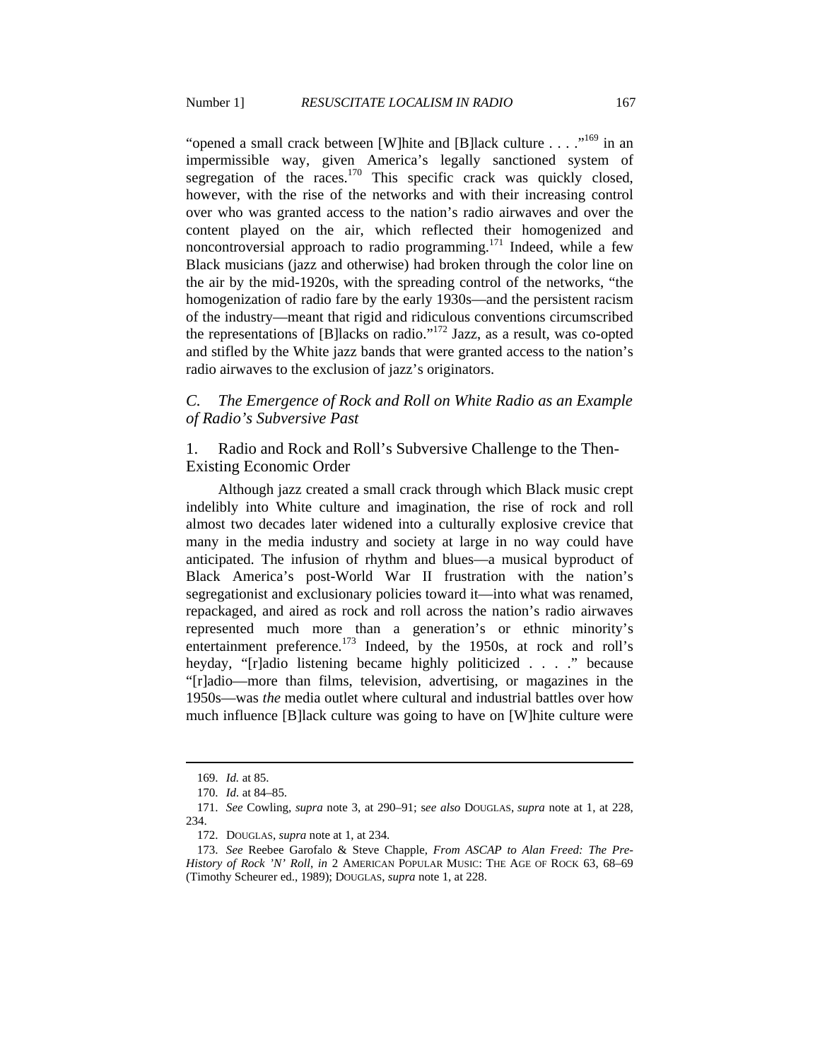"opened a small crack between [W]hite and [B]lack culture . . . ."<sup>169</sup> in an impermissible way, given America's legally sanctioned system of segregation of the races.<sup>170</sup> This specific crack was quickly closed, however, with the rise of the networks and with their increasing control over who was granted access to the nation's radio airwaves and over the content played on the air, which reflected their homogenized and noncontroversial approach to radio programming.<sup>171</sup> Indeed, while a few Black musicians (jazz and otherwise) had broken through the color line on the air by the mid-1920s, with the spreading control of the networks, "the homogenization of radio fare by the early 1930s—and the persistent racism of the industry—meant that rigid and ridiculous conventions circumscribed the representations of [B]lacks on radio."<sup>172</sup> Jazz, as a result, was co-opted and stifled by the White jazz bands that were granted access to the nation's radio airwaves to the exclusion of jazz's originators.

### *C. The Emergence of Rock and Roll on White Radio as an Example of Radio's Subversive Past*

1. Radio and Rock and Roll's Subversive Challenge to the Then-Existing Economic Order

Although jazz created a small crack through which Black music crept indelibly into White culture and imagination, the rise of rock and roll almost two decades later widened into a culturally explosive crevice that many in the media industry and society at large in no way could have anticipated. The infusion of rhythm and blues—a musical byproduct of Black America's post-World War II frustration with the nation's segregationist and exclusionary policies toward it—into what was renamed, repackaged, and aired as rock and roll across the nation's radio airwaves represented much more than a generation's or ethnic minority's entertainment preference.<sup>173</sup> Indeed, by the 1950s, at rock and roll's heyday, "[r]adio listening became highly politicized . . . ." because "[r]adio—more than films, television, advertising, or magazines in the 1950s—was *the* media outlet where cultural and industrial battles over how much influence [B]lack culture was going to have on [W]hite culture were

 <sup>169.</sup> *Id.* at 85.

 <sup>170.</sup> *Id.* at 84–85.

 <sup>171.</sup> *See* Cowling, *supra* note 3, at 290–91; s*ee also* DOUGLAS, *supra* note at 1, at 228, 234.

 <sup>172.</sup> DOUGLAS, *supra* note at 1, at 234.

 <sup>173.</sup> *See* Reebee Garofalo & Steve Chapple, *From ASCAP to Alan Freed: The Pre-History of Rock 'N' Roll*, *in* 2 AMERICAN POPULAR MUSIC: THE AGE OF ROCK 63, 68–69 (Timothy Scheurer ed., 1989); DOUGLAS, *supra* note 1, at 228.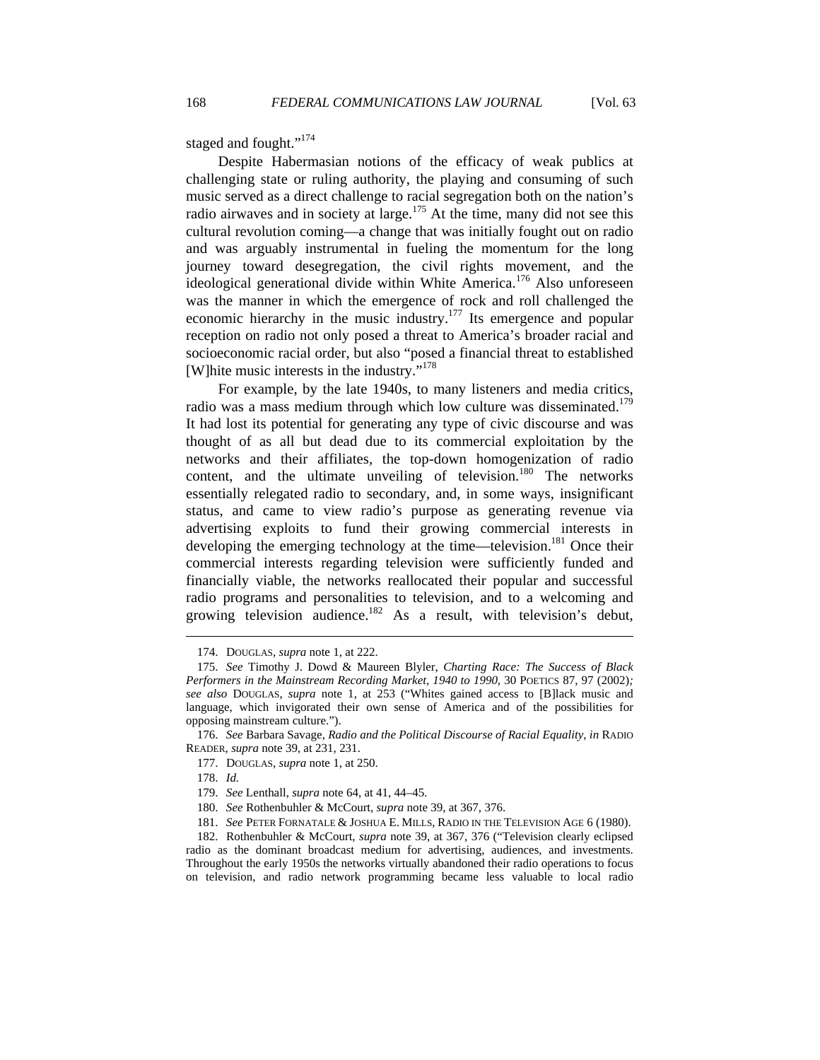staged and fought."<sup>174</sup>

Despite Habermasian notions of the efficacy of weak publics at challenging state or ruling authority, the playing and consuming of such music served as a direct challenge to racial segregation both on the nation's radio airwaves and in society at large.<sup>175</sup> At the time, many did not see this cultural revolution coming—a change that was initially fought out on radio and was arguably instrumental in fueling the momentum for the long journey toward desegregation, the civil rights movement, and the ideological generational divide within White America.<sup>176</sup> Also unforeseen was the manner in which the emergence of rock and roll challenged the economic hierarchy in the music industry.<sup>177</sup> Its emergence and popular reception on radio not only posed a threat to America's broader racial and socioeconomic racial order, but also "posed a financial threat to established [W]hite music interests in the industry."178

For example, by the late 1940s, to many listeners and media critics, radio was a mass medium through which low culture was disseminated.<sup>179</sup> It had lost its potential for generating any type of civic discourse and was thought of as all but dead due to its commercial exploitation by the networks and their affiliates, the top-down homogenization of radio content, and the ultimate unveiling of television.<sup>180</sup> The networks essentially relegated radio to secondary, and, in some ways, insignificant status, and came to view radio's purpose as generating revenue via advertising exploits to fund their growing commercial interests in developing the emerging technology at the time—television.<sup>181</sup> Once their commercial interests regarding television were sufficiently funded and financially viable, the networks reallocated their popular and successful radio programs and personalities to television, and to a welcoming and growing television audience.<sup>182</sup> As a result, with television's debut,

 $\overline{a}$ 

181. *See* PETER FORNATALE & JOSHUA E. MILLS, RADIO IN THE TELEVISION AGE 6 (1980).

 <sup>174.</sup> DOUGLAS, *supra* note 1, at 222.

 <sup>175.</sup> *See* Timothy J. Dowd & Maureen Blyler, *Charting Race: The Success of Black Performers in the Mainstream Recording Market, 1940 to 1990*, 30 POETICS 87, 97 (2002)*; see also* DOUGLAS, *supra* note 1, at 253 ("Whites gained access to [B]lack music and language, which invigorated their own sense of America and of the possibilities for opposing mainstream culture.").

 <sup>176.</sup> *See* Barbara Savage, *Radio and the Political Discourse of Racial Equality*, *in* RADIO READER, *supra* note 39, at 231, 231.

 <sup>177.</sup> DOUGLAS, *supra* note 1, at 250.

 <sup>178.</sup> *Id.*

 <sup>179.</sup> *See* Lenthall, *supra* note 64, at 41, 44–45.

 <sup>180.</sup> *See* Rothenbuhler & McCourt, *supra* note 39, at 367, 376.

 <sup>182.</sup> Rothenbuhler & McCourt, *supra* note 39, at 367, 376 ("Television clearly eclipsed radio as the dominant broadcast medium for advertising, audiences, and investments. Throughout the early 1950s the networks virtually abandoned their radio operations to focus on television, and radio network programming became less valuable to local radio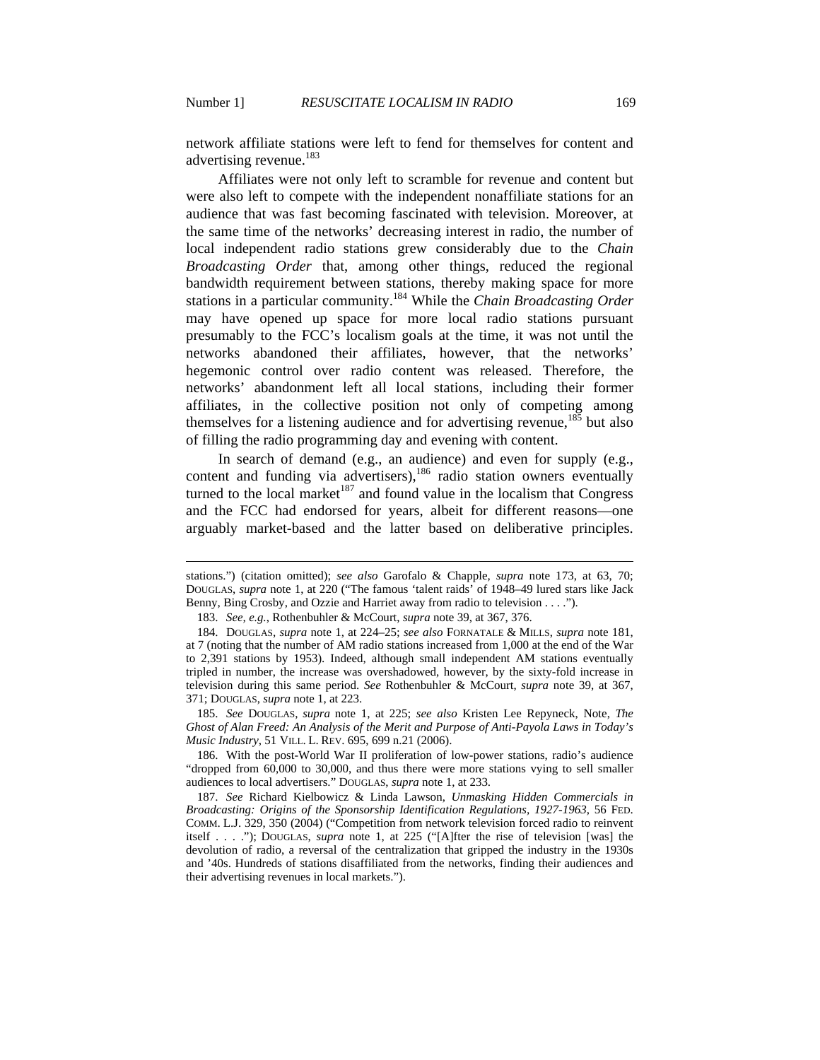$\overline{a}$ 

network affiliate stations were left to fend for themselves for content and advertising revenue.<sup>183</sup>

Affiliates were not only left to scramble for revenue and content but were also left to compete with the independent nonaffiliate stations for an audience that was fast becoming fascinated with television. Moreover, at the same time of the networks' decreasing interest in radio, the number of local independent radio stations grew considerably due to the *Chain Broadcasting Order* that, among other things, reduced the regional bandwidth requirement between stations, thereby making space for more stations in a particular community.184 While the *Chain Broadcasting Order* may have opened up space for more local radio stations pursuant presumably to the FCC's localism goals at the time, it was not until the networks abandoned their affiliates, however, that the networks' hegemonic control over radio content was released. Therefore, the networks' abandonment left all local stations, including their former affiliates, in the collective position not only of competing among themselves for a listening audience and for advertising revenue,<sup>185</sup> but also of filling the radio programming day and evening with content.

In search of demand (e.g., an audience) and even for supply (e.g., content and funding via advertisers),<sup>186</sup> radio station owners eventually turned to the local market<sup>187</sup> and found value in the localism that Congress and the FCC had endorsed for years, albeit for different reasons—one arguably market-based and the latter based on deliberative principles.

 185. *See* DOUGLAS, *supra* note 1, at 225; *see also* Kristen Lee Repyneck, Note, *The Ghost of Alan Freed: An Analysis of the Merit and Purpose of Anti-Payola Laws in Today's Music Industry*, 51 VILL. L. REV. 695, 699 n.21 (2006).

stations.") (citation omitted); *see also* Garofalo & Chapple, *supra* note 173, at 63, 70; DOUGLAS, *supra* note 1, at 220 ("The famous 'talent raids' of 1948–49 lured stars like Jack Benny, Bing Crosby, and Ozzie and Harriet away from radio to television . . . .").

 <sup>183.</sup> *See, e.g.*, Rothenbuhler & McCourt, *supra* note 39, at 367, 376.

 <sup>184.</sup> DOUGLAS, *supra* note 1, at 224–25; *see also* FORNATALE & MILLS, *supra* note 181, at 7 (noting that the number of AM radio stations increased from 1,000 at the end of the War to 2,391 stations by 1953). Indeed, although small independent AM stations eventually tripled in number, the increase was overshadowed, however, by the sixty-fold increase in television during this same period. *See* Rothenbuhler & McCourt, *supra* note 39, at 367, 371; DOUGLAS, *supra* note 1, at 223.

 <sup>186.</sup> With the post-World War II proliferation of low-power stations, radio's audience "dropped from 60,000 to 30,000, and thus there were more stations vying to sell smaller audiences to local advertisers." DOUGLAS, *supra* note 1, at 233.

 <sup>187.</sup> *See* Richard Kielbowicz & Linda Lawson, *Unmasking Hidden Commercials in Broadcasting: Origins of the Sponsorship Identification Regulations, 1927-1963*, 56 FED. COMM. L.J. 329, 350 (2004) ("Competition from network television forced radio to reinvent itself . . . ."); DOUGLAS, *supra* note 1, at 225 ("[A]fter the rise of television [was] the devolution of radio, a reversal of the centralization that gripped the industry in the 1930s and '40s. Hundreds of stations disaffiliated from the networks, finding their audiences and their advertising revenues in local markets.").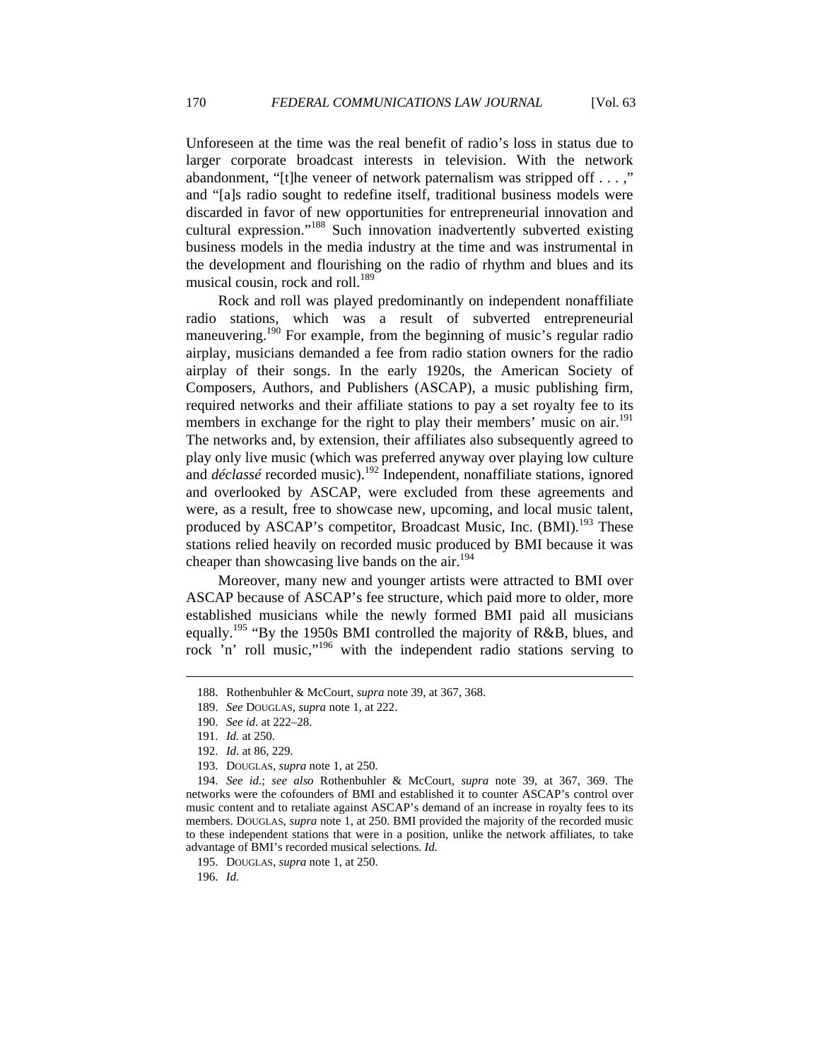Unforeseen at the time was the real benefit of radio's loss in status due to larger corporate broadcast interests in television. With the network abandonment, "[t]he veneer of network paternalism was stripped off . . . ," and "[a]s radio sought to redefine itself, traditional business models were discarded in favor of new opportunities for entrepreneurial innovation and cultural expression."188 Such innovation inadvertently subverted existing business models in the media industry at the time and was instrumental in the development and flourishing on the radio of rhythm and blues and its musical cousin, rock and roll. $^{189}$ 

Rock and roll was played predominantly on independent nonaffiliate radio stations, which was a result of subverted entrepreneurial maneuvering.<sup>190</sup> For example, from the beginning of music's regular radio airplay, musicians demanded a fee from radio station owners for the radio airplay of their songs. In the early 1920s, the American Society of Composers, Authors, and Publishers (ASCAP), a music publishing firm, required networks and their affiliate stations to pay a set royalty fee to its members in exchange for the right to play their members' music on air.<sup>191</sup> The networks and, by extension, their affiliates also subsequently agreed to play only live music (which was preferred anyway over playing low culture and *déclassé* recorded music).<sup>192</sup> Independent, nonaffiliate stations, ignored and overlooked by ASCAP, were excluded from these agreements and were, as a result, free to showcase new, upcoming, and local music talent, produced by ASCAP's competitor, Broadcast Music, Inc. (BMI).<sup>193</sup> These stations relied heavily on recorded music produced by BMI because it was cheaper than showcasing live bands on the air.<sup>194</sup>

Moreover, many new and younger artists were attracted to BMI over ASCAP because of ASCAP's fee structure, which paid more to older, more established musicians while the newly formed BMI paid all musicians equally.<sup>195</sup> "By the 1950s BMI controlled the majority of R&B, blues, and rock 'n' roll music,"196 with the independent radio stations serving to

 $\overline{a}$ 

196. *Id.*

 <sup>188.</sup> Rothenbuhler & McCourt, *supra* note 39, at 367, 368.

 <sup>189.</sup> *See* DOUGLAS, *supra* note 1, at 222.

 <sup>190.</sup> *See id.* at 222–28.

 <sup>191.</sup> *Id.* at 250.

 <sup>192.</sup> *Id.* at 86, 229.

 <sup>193.</sup> DOUGLAS, *supra* note 1, at 250.

 <sup>194.</sup> *See id.*; *see also* Rothenbuhler & McCourt, *supra* note 39, at 367, 369. The networks were the cofounders of BMI and established it to counter ASCAP's control over music content and to retaliate against ASCAP's demand of an increase in royalty fees to its members. DOUGLAS, *supra* note 1, at 250. BMI provided the majority of the recorded music to these independent stations that were in a position, unlike the network affiliates, to take advantage of BMI's recorded musical selections. *Id.*

 <sup>195.</sup> DOUGLAS, *supra* note 1, at 250.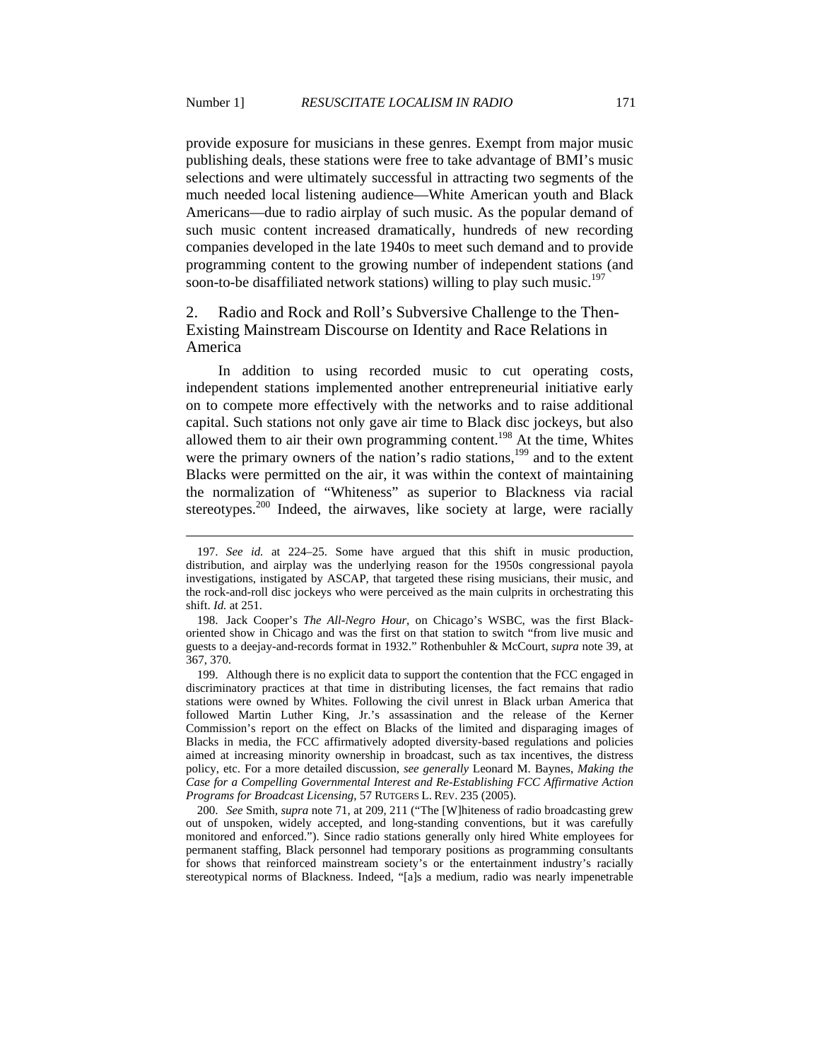provide exposure for musicians in these genres. Exempt from major music publishing deals, these stations were free to take advantage of BMI's music selections and were ultimately successful in attracting two segments of the much needed local listening audience—White American youth and Black Americans—due to radio airplay of such music. As the popular demand of such music content increased dramatically, hundreds of new recording companies developed in the late 1940s to meet such demand and to provide programming content to the growing number of independent stations (and soon-to-be disaffiliated network stations) willing to play such music.<sup>197</sup>

# 2. Radio and Rock and Roll's Subversive Challenge to the Then-Existing Mainstream Discourse on Identity and Race Relations in America

In addition to using recorded music to cut operating costs, independent stations implemented another entrepreneurial initiative early on to compete more effectively with the networks and to raise additional capital. Such stations not only gave air time to Black disc jockeys, but also allowed them to air their own programming content.<sup>198</sup> At the time, Whites were the primary owners of the nation's radio stations, $199$  and to the extent Blacks were permitted on the air, it was within the context of maintaining the normalization of "Whiteness" as superior to Blackness via racial stereotypes.<sup>200</sup> Indeed, the airwaves, like society at large, were racially

 <sup>197.</sup> *See id.* at 224–25. Some have argued that this shift in music production, distribution, and airplay was the underlying reason for the 1950s congressional payola investigations, instigated by ASCAP, that targeted these rising musicians, their music, and the rock-and-roll disc jockeys who were perceived as the main culprits in orchestrating this shift. *Id.* at 251.

 <sup>198.</sup> Jack Cooper's *The All-Negro Hour*, on Chicago's WSBC, was the first Blackoriented show in Chicago and was the first on that station to switch "from live music and guests to a deejay-and-records format in 1932." Rothenbuhler & McCourt, *supra* note 39, at 367, 370.

 <sup>199.</sup> Although there is no explicit data to support the contention that the FCC engaged in discriminatory practices at that time in distributing licenses, the fact remains that radio stations were owned by Whites. Following the civil unrest in Black urban America that followed Martin Luther King, Jr.'s assassination and the release of the Kerner Commission's report on the effect on Blacks of the limited and disparaging images of Blacks in media, the FCC affirmatively adopted diversity-based regulations and policies aimed at increasing minority ownership in broadcast, such as tax incentives, the distress policy, etc. For a more detailed discussion, *see generally* Leonard M. Baynes, *Making the Case for a Compelling Governmental Interest and Re-Establishing FCC Affirmative Action Programs for Broadcast Licensing*, 57 RUTGERS L. REV. 235 (2005).

 <sup>200.</sup> *See* Smith, *supra* note 71, at 209, 211 ("The [W]hiteness of radio broadcasting grew out of unspoken, widely accepted, and long-standing conventions, but it was carefully monitored and enforced."). Since radio stations generally only hired White employees for permanent staffing, Black personnel had temporary positions as programming consultants for shows that reinforced mainstream society's or the entertainment industry's racially stereotypical norms of Blackness. Indeed, "[a]s a medium, radio was nearly impenetrable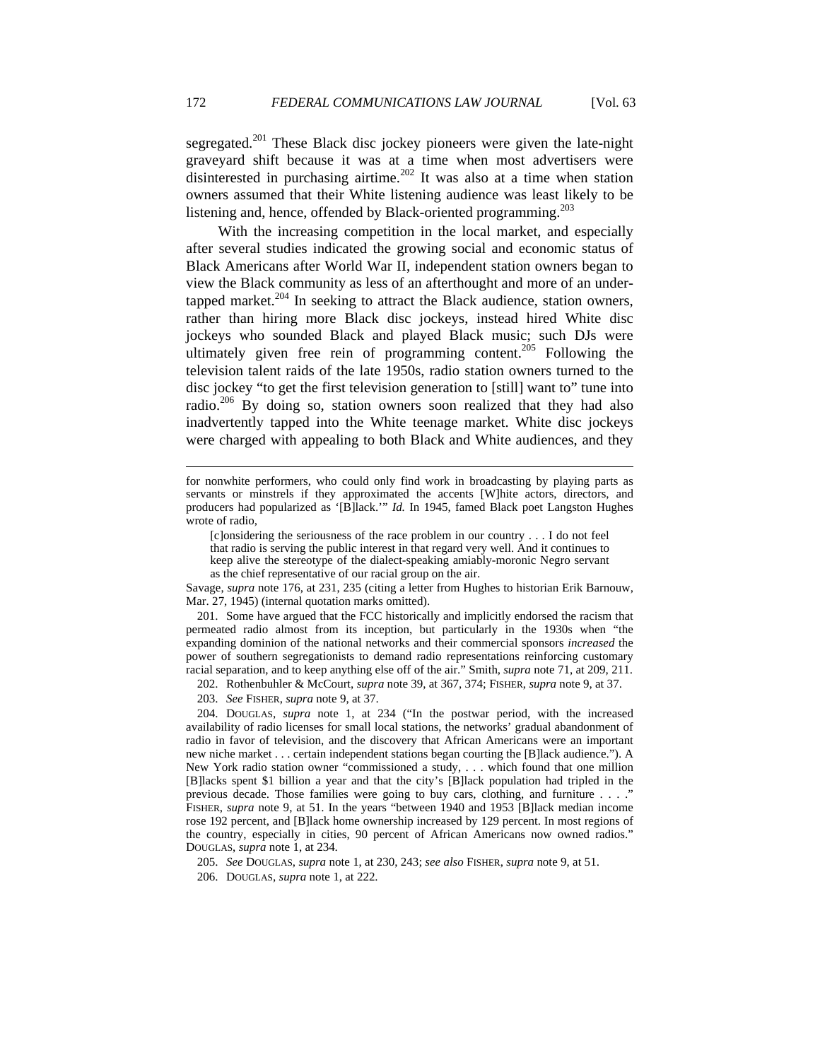segregated.<sup>201</sup> These Black disc jockey pioneers were given the late-night graveyard shift because it was at a time when most advertisers were disinterested in purchasing airtime.<sup>202</sup> It was also at a time when station owners assumed that their White listening audience was least likely to be listening and, hence, offended by Black-oriented programming.<sup>203</sup>

With the increasing competition in the local market, and especially after several studies indicated the growing social and economic status of Black Americans after World War II, independent station owners began to view the Black community as less of an afterthought and more of an undertapped market.<sup>204</sup> In seeking to attract the Black audience, station owners, rather than hiring more Black disc jockeys, instead hired White disc jockeys who sounded Black and played Black music; such DJs were ultimately given free rein of programming content.<sup>205</sup> Following the television talent raids of the late 1950s, radio station owners turned to the disc jockey "to get the first television generation to [still] want to" tune into radio. $206$  By doing so, station owners soon realized that they had also inadvertently tapped into the White teenage market. White disc jockeys were charged with appealing to both Black and White audiences, and they

Savage, *supra* note 176, at 231, 235 (citing a letter from Hughes to historian Erik Barnouw, Mar. 27, 1945) (internal quotation marks omitted).

 201. Some have argued that the FCC historically and implicitly endorsed the racism that permeated radio almost from its inception, but particularly in the 1930s when "the expanding dominion of the national networks and their commercial sponsors *increased* the power of southern segregationists to demand radio representations reinforcing customary racial separation, and to keep anything else off of the air." Smith, *supra* note 71, at 209, 211.

202. Rothenbuhler & McCourt, *supra* note 39, at 367, 374; FISHER, *supra* note 9, at 37.

203. *See* FISHER, *supra* note 9, at 37.

 204. DOUGLAS, *supra* note 1, at 234 ("In the postwar period, with the increased availability of radio licenses for small local stations, the networks' gradual abandonment of radio in favor of television, and the discovery that African Americans were an important new niche market . . . certain independent stations began courting the [B]lack audience."). A New York radio station owner "commissioned a study, . . . which found that one million [B]lacks spent \$1 billion a year and that the city's [B]lack population had tripled in the previous decade. Those families were going to buy cars, clothing, and furniture . . . ." FISHER, *supra* note 9, at 51. In the years "between 1940 and 1953 [B]lack median income rose 192 percent, and [B]lack home ownership increased by 129 percent. In most regions of the country, especially in cities, 90 percent of African Americans now owned radios." DOUGLAS, *supra* note 1, at 234.

205. *See* DOUGLAS, *supra* note 1, at 230, 243; *see also* FISHER, *supra* note 9, at 51.

206. DOUGLAS, *supra* note 1, at 222.

for nonwhite performers, who could only find work in broadcasting by playing parts as servants or minstrels if they approximated the accents [W]hite actors, directors, and producers had popularized as '[B]lack.'" *Id.* In 1945, famed Black poet Langston Hughes wrote of radio,

<sup>[</sup>c]onsidering the seriousness of the race problem in our country . . . I do not feel that radio is serving the public interest in that regard very well. And it continues to keep alive the stereotype of the dialect-speaking amiably-moronic Negro servant as the chief representative of our racial group on the air.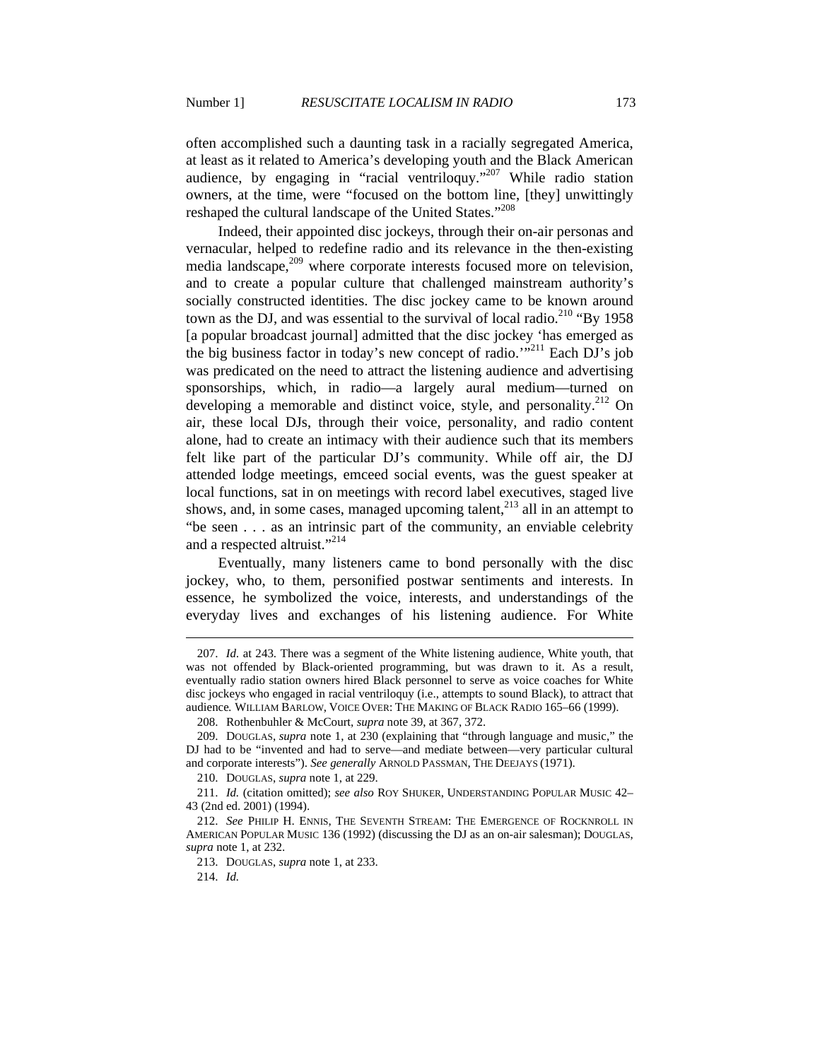often accomplished such a daunting task in a racially segregated America, at least as it related to America's developing youth and the Black American audience, by engaging in "racial ventriloquy."207 While radio station owners, at the time, were "focused on the bottom line, [they] unwittingly reshaped the cultural landscape of the United States."<sup>208</sup>

Indeed, their appointed disc jockeys, through their on-air personas and vernacular, helped to redefine radio and its relevance in the then-existing media landscape,<sup>209</sup> where corporate interests focused more on television, and to create a popular culture that challenged mainstream authority's socially constructed identities. The disc jockey came to be known around town as the DJ, and was essential to the survival of local radio.<sup>210</sup> "By 1958" [a popular broadcast journal] admitted that the disc jockey 'has emerged as the big business factor in today's new concept of radio.' $12^{11}$  Each DJ's job was predicated on the need to attract the listening audience and advertising sponsorships, which, in radio—a largely aural medium—turned on developing a memorable and distinct voice, style, and personality.<sup>212</sup> On air, these local DJs, through their voice, personality, and radio content alone, had to create an intimacy with their audience such that its members felt like part of the particular DJ's community. While off air, the DJ attended lodge meetings, emceed social events, was the guest speaker at local functions, sat in on meetings with record label executives, staged live shows, and, in some cases, managed upcoming talent, $2^{13}$  all in an attempt to "be seen . . . as an intrinsic part of the community, an enviable celebrity and a respected altruist."<sup>214</sup>

Eventually, many listeners came to bond personally with the disc jockey, who, to them, personified postwar sentiments and interests. In essence, he symbolized the voice, interests, and understandings of the everyday lives and exchanges of his listening audience. For White

 <sup>207.</sup> *Id.* at 243. There was a segment of the White listening audience, White youth, that was not offended by Black-oriented programming, but was drawn to it. As a result, eventually radio station owners hired Black personnel to serve as voice coaches for White disc jockeys who engaged in racial ventriloquy (i.e., attempts to sound Black), to attract that audience*.* WILLIAM BARLOW, VOICE OVER: THE MAKING OF BLACK RADIO 165–66 (1999).

 <sup>208.</sup> Rothenbuhler & McCourt, *supra* note 39, at 367, 372.

 <sup>209.</sup> DOUGLAS, *supra* note 1, at 230 (explaining that "through language and music," the DJ had to be "invented and had to serve—and mediate between—very particular cultural and corporate interests"). *See generally* ARNOLD PASSMAN, THE DEEJAYS (1971).

 <sup>210.</sup> DOUGLAS, *supra* note 1, at 229.

 <sup>211.</sup> *Id.* (citation omitted); *see also* ROY SHUKER, UNDERSTANDING POPULAR MUSIC 42– 43 (2nd ed. 2001) (1994).

 <sup>212.</sup> *See* PHILIP H. ENNIS, THE SEVENTH STREAM: THE EMERGENCE OF ROCKNROLL IN AMERICAN POPULAR MUSIC 136 (1992) (discussing the DJ as an on-air salesman); DOUGLAS, *supra* note 1, at 232.

 <sup>213.</sup> DOUGLAS, *supra* note 1, at 233.

 <sup>214.</sup> *Id.*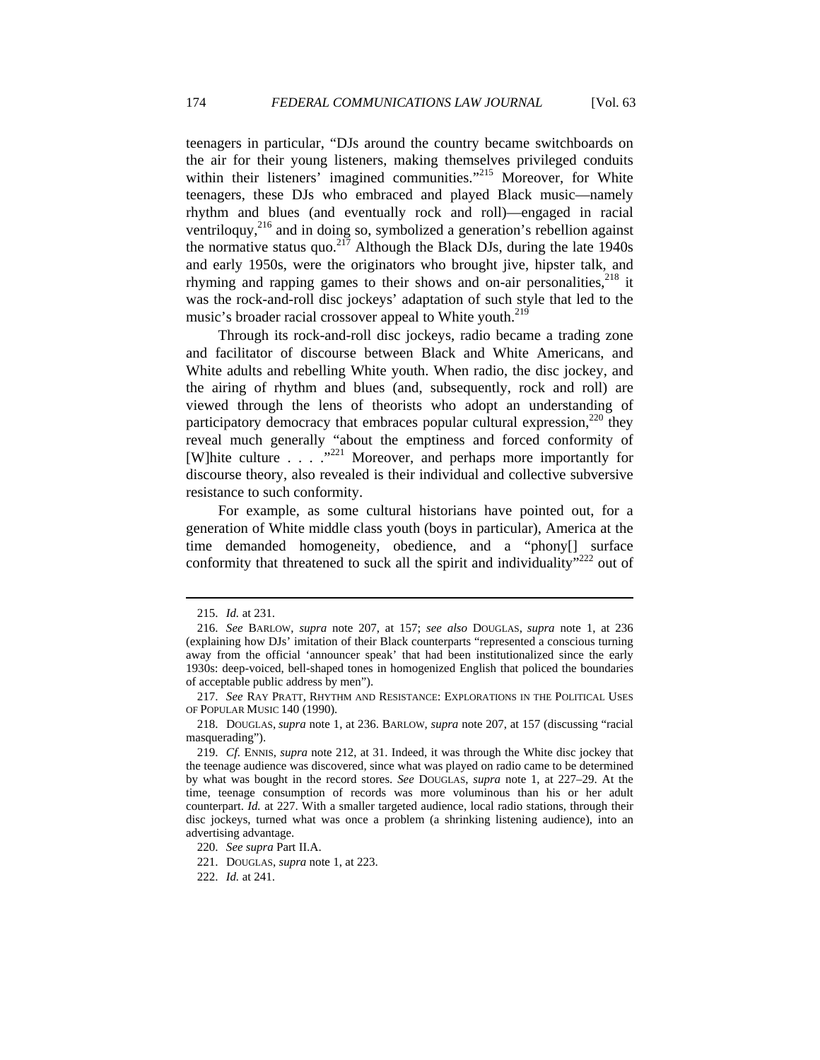teenagers in particular, "DJs around the country became switchboards on the air for their young listeners, making themselves privileged conduits within their listeners' imagined communities."<sup>215</sup> Moreover, for White teenagers, these DJs who embraced and played Black music—namely rhythm and blues (and eventually rock and roll)—engaged in racial ventriloquy,<sup>216</sup> and in doing so, symbolized a generation's rebellion against the normative status quo.<sup>217</sup> Although the Black DJs, during the late 1940s and early 1950s, were the originators who brought jive, hipster talk, and rhyming and rapping games to their shows and on-air personalities.<sup>218</sup> it was the rock-and-roll disc jockeys' adaptation of such style that led to the music's broader racial crossover appeal to White youth.<sup>219</sup>

Through its rock-and-roll disc jockeys, radio became a trading zone and facilitator of discourse between Black and White Americans, and White adults and rebelling White youth. When radio, the disc jockey, and the airing of rhythm and blues (and, subsequently, rock and roll) are viewed through the lens of theorists who adopt an understanding of participatory democracy that embraces popular cultural expression, $^{220}$  they reveal much generally "about the emptiness and forced conformity of [W]hite culture  $\ldots$  ...<sup>"221</sup> Moreover, and perhaps more importantly for discourse theory, also revealed is their individual and collective subversive resistance to such conformity.

For example, as some cultural historians have pointed out, for a generation of White middle class youth (boys in particular), America at the time demanded homogeneity, obedience, and a "phony[] surface conformity that threatened to suck all the spirit and individuality"<sup>222</sup> out of

 <sup>215.</sup> *Id.* at 231.

 <sup>216.</sup> *See* BARLOW, *supra* note 207, at 157; *see also* DOUGLAS, *supra* note 1, at 236 (explaining how DJs' imitation of their Black counterparts "represented a conscious turning away from the official 'announcer speak' that had been institutionalized since the early 1930s: deep-voiced, bell-shaped tones in homogenized English that policed the boundaries of acceptable public address by men").

 <sup>217.</sup> *See* RAY PRATT, RHYTHM AND RESISTANCE: EXPLORATIONS IN THE POLITICAL USES OF POPULAR MUSIC 140 (1990).

 <sup>218.</sup> DOUGLAS, *supra* note 1, at 236. BARLOW, *supra* note 207, at 157 (discussing "racial masquerading").

 <sup>219.</sup> *Cf.* ENNIS, *supra* note 212, at 31. Indeed, it was through the White disc jockey that the teenage audience was discovered, since what was played on radio came to be determined by what was bought in the record stores. *See* DOUGLAS, *supra* note 1, at 227–29. At the time, teenage consumption of records was more voluminous than his or her adult counterpart. *Id.* at 227. With a smaller targeted audience, local radio stations, through their disc jockeys, turned what was once a problem (a shrinking listening audience), into an advertising advantage.

 <sup>220.</sup> *See supra* Part II.A.

 <sup>221.</sup> DOUGLAS, *supra* note 1, at 223.

 <sup>222.</sup> *Id.* at 241.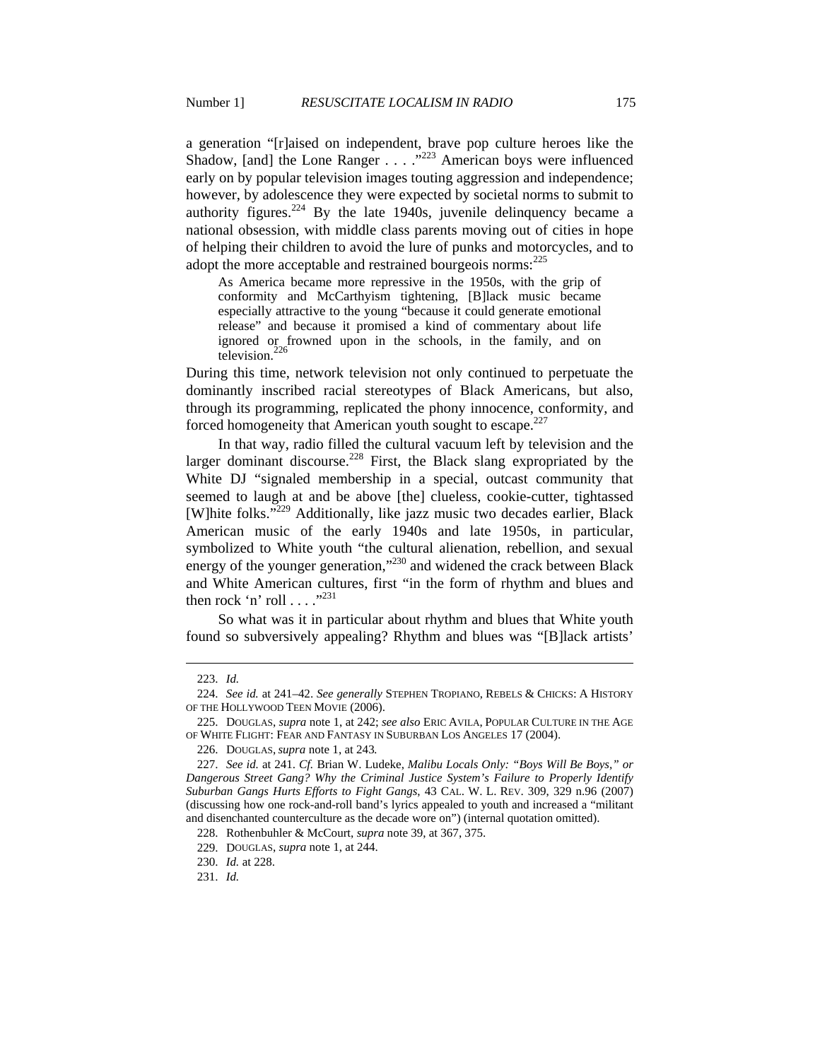a generation "[r]aised on independent, brave pop culture heroes like the Shadow, [and] the Lone Ranger  $\ldots$  ...  $\frac{1}{223}$  American boys were influenced early on by popular television images touting aggression and independence; however, by adolescence they were expected by societal norms to submit to authority figures.<sup>224</sup> By the late 1940s, juvenile delinquency became a national obsession, with middle class parents moving out of cities in hope of helping their children to avoid the lure of punks and motorcycles, and to adopt the more acceptable and restrained bourgeois norms:  $225$ 

As America became more repressive in the 1950s, with the grip of conformity and McCarthyism tightening, [B]lack music became especially attractive to the young "because it could generate emotional release" and because it promised a kind of commentary about life ignored or frowned upon in the schools, in the family, and on television.<sup>226</sup>

During this time, network television not only continued to perpetuate the dominantly inscribed racial stereotypes of Black Americans, but also, through its programming, replicated the phony innocence, conformity, and forced homogeneity that American youth sought to escape. $227$ 

In that way, radio filled the cultural vacuum left by television and the larger dominant discourse.<sup>228</sup> First, the Black slang expropriated by the White DJ "signaled membership in a special, outcast community that seemed to laugh at and be above [the] clueless, cookie-cutter, tightassed [W]hite folks."229 Additionally, like jazz music two decades earlier, Black American music of the early 1940s and late 1950s, in particular, symbolized to White youth "the cultural alienation, rebellion, and sexual energy of the younger generation,"<sup>230</sup> and widened the crack between Black and White American cultures, first "in the form of rhythm and blues and then rock 'n' roll  $\dots$ ."<sup>231</sup>

So what was it in particular about rhythm and blues that White youth found so subversively appealing? Rhythm and blues was "[B]lack artists'

 <sup>223.</sup> *Id.*

 <sup>224.</sup> *See id.* at 241–42. *See generally* STEPHEN TROPIANO, REBELS & CHICKS: A HISTORY OF THE HOLLYWOOD TEEN MOVIE (2006).

 <sup>225.</sup> DOUGLAS, *supra* note 1, at 242; *see also* ERIC AVILA, POPULAR CULTURE IN THE AGE OF WHITE FLIGHT: FEAR AND FANTASY IN SUBURBAN LOS ANGELES 17 (2004).

 <sup>226.</sup> DOUGLAS, *supra* note 1, at 243*.*

 <sup>227.</sup> *See id.* at 241. *Cf.* Brian W. Ludeke, *Malibu Locals Only: "Boys Will Be Boys," or Dangerous Street Gang? Why the Criminal Justice System's Failure to Properly Identify Suburban Gangs Hurts Efforts to Fight Gangs*, 43 CAL. W. L. REV. 309, 329 n.96 (2007) (discussing how one rock-and-roll band's lyrics appealed to youth and increased a "militant and disenchanted counterculture as the decade wore on") (internal quotation omitted).

 <sup>228.</sup> Rothenbuhler & McCourt, *supra* note 39, at 367, 375.

 <sup>229.</sup> DOUGLAS, *supra* note 1, at 244.

 <sup>230.</sup> *Id.* at 228.

 <sup>231.</sup> *Id.*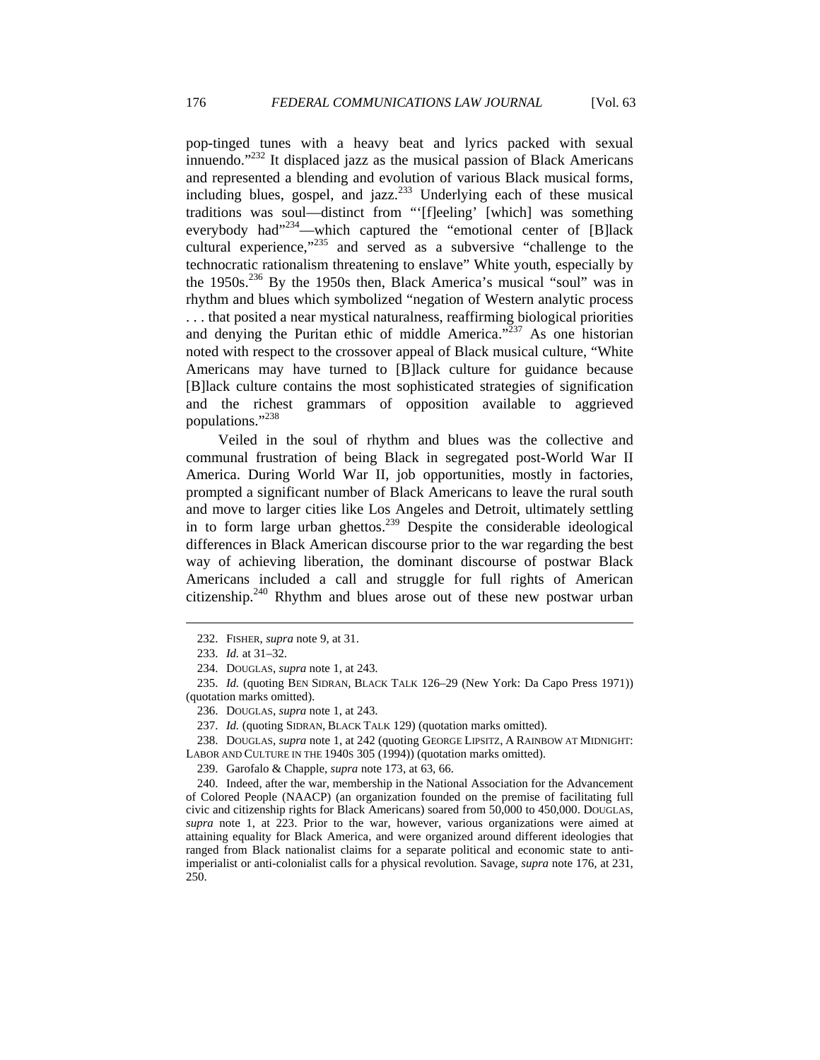pop-tinged tunes with a heavy beat and lyrics packed with sexual innuendo." $^{232}$  It displaced jazz as the musical passion of Black Americans and represented a blending and evolution of various Black musical forms, including blues, gospel, and jazz.<sup>233</sup> Underlying each of these musical traditions was soul—distinct from "'[f]eeling' [which] was something everybody had"<sup>234</sup>—which captured the "emotional center of [B]lack cultural experience,"235 and served as a subversive "challenge to the technocratic rationalism threatening to enslave" White youth, especially by the 1950s.<sup>236</sup> By the 1950s then, Black America's musical "soul" was in rhythm and blues which symbolized "negation of Western analytic process . . . that posited a near mystical naturalness, reaffirming biological priorities and denying the Puritan ethic of middle America."<sup>237</sup> As one historian noted with respect to the crossover appeal of Black musical culture, "White Americans may have turned to [B]lack culture for guidance because [B]lack culture contains the most sophisticated strategies of signification and the richest grammars of opposition available to aggrieved populations."238

Veiled in the soul of rhythm and blues was the collective and communal frustration of being Black in segregated post-World War II America. During World War II, job opportunities, mostly in factories, prompted a significant number of Black Americans to leave the rural south and move to larger cities like Los Angeles and Detroit, ultimately settling in to form large urban ghettos.<sup>239</sup> Despite the considerable ideological differences in Black American discourse prior to the war regarding the best way of achieving liberation, the dominant discourse of postwar Black Americans included a call and struggle for full rights of American citizenship. $240$  Rhythm and blues arose out of these new postwar urban

 $\overline{a}$ 

 238. DOUGLAS, *supra* note 1, at 242 (quoting GEORGE LIPSITZ, A RAINBOW AT MIDNIGHT: LABOR AND CULTURE IN THE 1940S 305 (1994)) (quotation marks omitted).

 <sup>232.</sup> FISHER, *supra* note 9, at 31.

 <sup>233.</sup> *Id.* at 31–32.

 <sup>234.</sup> DOUGLAS, *supra* note 1, at 243.

 <sup>235.</sup> *Id.* (quoting BEN SIDRAN, BLACK TALK 126–29 (New York: Da Capo Press 1971)) (quotation marks omitted).

 <sup>236.</sup> DOUGLAS, *supra* note 1, at 243.

 <sup>237.</sup> *Id.* (quoting SIDRAN, BLACK TALK 129) (quotation marks omitted).

 <sup>239.</sup> Garofalo & Chapple, *supra* note 173, at 63, 66.

 <sup>240.</sup> Indeed, after the war, membership in the National Association for the Advancement of Colored People (NAACP) (an organization founded on the premise of facilitating full civic and citizenship rights for Black Americans) soared from 50,000 to 450,000. DOUGLAS, *supra* note 1, at 223. Prior to the war, however, various organizations were aimed at attaining equality for Black America, and were organized around different ideologies that ranged from Black nationalist claims for a separate political and economic state to antiimperialist or anti-colonialist calls for a physical revolution. Savage, *supra* note 176, at 231, 250.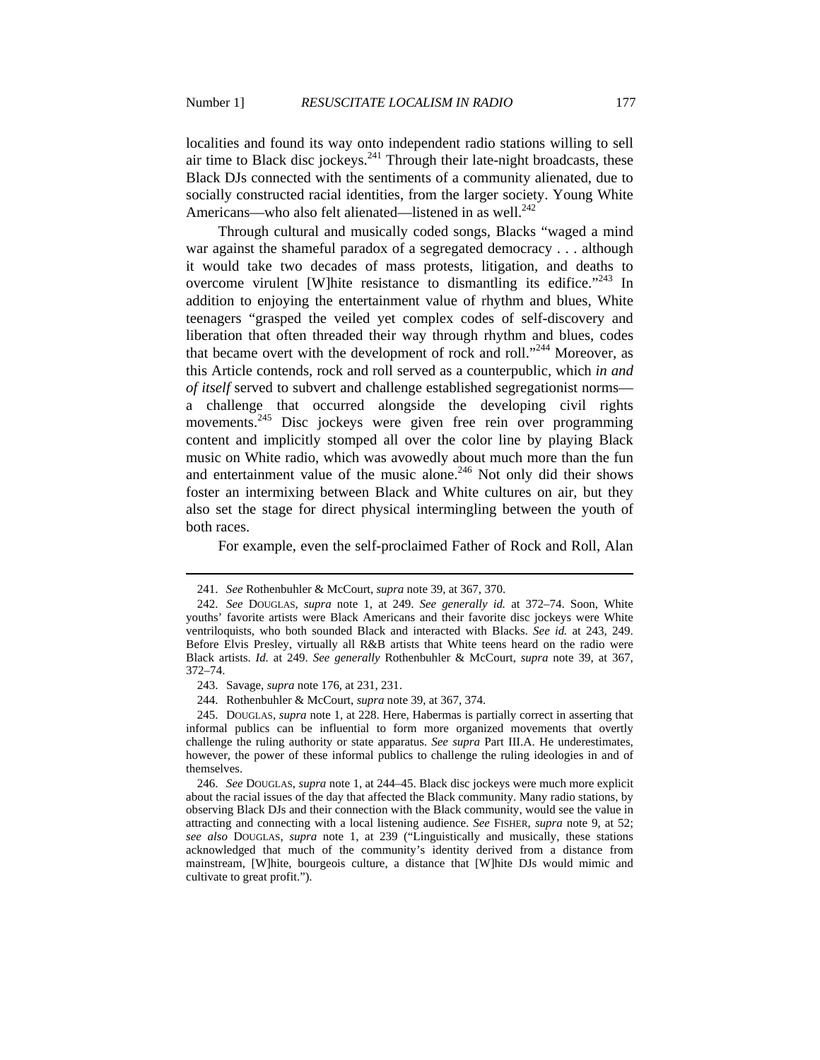$\overline{a}$ 

localities and found its way onto independent radio stations willing to sell air time to Black disc jockeys.<sup>241</sup> Through their late-night broadcasts, these Black DJs connected with the sentiments of a community alienated, due to socially constructed racial identities, from the larger society. Young White Americans—who also felt alienated—listened in as well. $^{242}$ 

Through cultural and musically coded songs, Blacks "waged a mind war against the shameful paradox of a segregated democracy . . . although it would take two decades of mass protests, litigation, and deaths to overcome virulent [W] hite resistance to dismantling its edifice.<sup> $243$ </sup> In addition to enjoying the entertainment value of rhythm and blues, White teenagers "grasped the veiled yet complex codes of self-discovery and liberation that often threaded their way through rhythm and blues, codes that became overt with the development of rock and roll."<sup>244</sup> Moreover, as this Article contends, rock and roll served as a counterpublic, which *in and of itself* served to subvert and challenge established segregationist norms a challenge that occurred alongside the developing civil rights movements.<sup>245</sup> Disc jockeys were given free rein over programming content and implicitly stomped all over the color line by playing Black music on White radio, which was avowedly about much more than the fun and entertainment value of the music alone.<sup>246</sup> Not only did their shows foster an intermixing between Black and White cultures on air, but they also set the stage for direct physical intermingling between the youth of both races.

For example, even the self-proclaimed Father of Rock and Roll, Alan

244. Rothenbuhler & McCourt, *supra* note 39, at 367, 374.

 245. DOUGLAS, *supra* note 1, at 228. Here, Habermas is partially correct in asserting that informal publics can be influential to form more organized movements that overtly challenge the ruling authority or state apparatus. *See supra* Part III.A. He underestimates, however, the power of these informal publics to challenge the ruling ideologies in and of themselves.

 246. *See* DOUGLAS, *supra* note 1, at 244–45. Black disc jockeys were much more explicit about the racial issues of the day that affected the Black community. Many radio stations, by observing Black DJs and their connection with the Black community, would see the value in attracting and connecting with a local listening audience. *See* FISHER, *supra* note 9, at 52; *see also* DOUGLAS, *supra* note 1, at 239 ("Linguistically and musically, these stations acknowledged that much of the community's identity derived from a distance from mainstream, [W]hite, bourgeois culture, a distance that [W]hite DJs would mimic and cultivate to great profit.").

 <sup>241.</sup> *See* Rothenbuhler & McCourt, *supra* note 39, at 367, 370.

 <sup>242.</sup> *See* DOUGLAS, *supra* note 1, at 249. *See generally id.* at 372–74. Soon, White youths' favorite artists were Black Americans and their favorite disc jockeys were White ventriloquists, who both sounded Black and interacted with Blacks. *See id.* at 243, 249. Before Elvis Presley, virtually all R&B artists that White teens heard on the radio were Black artists. *Id.* at 249. *See generally* Rothenbuhler & McCourt, *supra* note 39, at 367, 372–74.

 <sup>243.</sup> Savage, *supra* note 176, at 231, 231.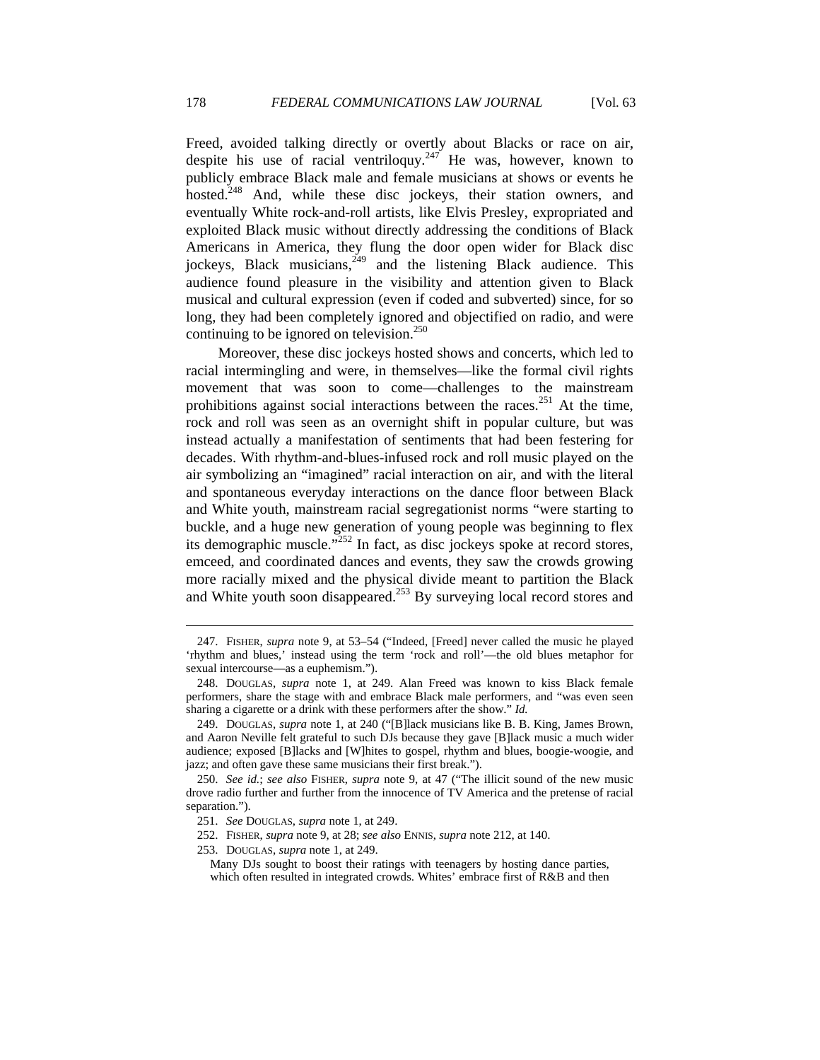Freed, avoided talking directly or overtly about Blacks or race on air, despite his use of racial ventriloquy.<sup>247</sup> He was, however, known to publicly embrace Black male and female musicians at shows or events he hosted.<sup>248</sup> And, while these disc jockeys, their station owners, and eventually White rock-and-roll artists, like Elvis Presley, expropriated and exploited Black music without directly addressing the conditions of Black Americans in America, they flung the door open wider for Black disc jockeys, Black musicians,  $249$  and the listening Black audience. This audience found pleasure in the visibility and attention given to Black musical and cultural expression (even if coded and subverted) since, for so long, they had been completely ignored and objectified on radio, and were continuing to be ignored on television. $250$ 

Moreover, these disc jockeys hosted shows and concerts, which led to racial intermingling and were, in themselves—like the formal civil rights movement that was soon to come—challenges to the mainstream prohibitions against social interactions between the races.<sup>251</sup> At the time, rock and roll was seen as an overnight shift in popular culture, but was instead actually a manifestation of sentiments that had been festering for decades. With rhythm-and-blues-infused rock and roll music played on the air symbolizing an "imagined" racial interaction on air, and with the literal and spontaneous everyday interactions on the dance floor between Black and White youth, mainstream racial segregationist norms "were starting to buckle, and a huge new generation of young people was beginning to flex its demographic muscle."252 In fact, as disc jockeys spoke at record stores, emceed, and coordinated dances and events, they saw the crowds growing more racially mixed and the physical divide meant to partition the Black and White youth soon disappeared.<sup>253</sup> By surveying local record stores and

 <sup>247.</sup> FISHER, *supra* note 9, at 53–54 ("Indeed, [Freed] never called the music he played 'rhythm and blues,' instead using the term 'rock and roll'—the old blues metaphor for sexual intercourse—as a euphemism.").

 <sup>248.</sup> DOUGLAS, *supra* note 1, at 249. Alan Freed was known to kiss Black female performers, share the stage with and embrace Black male performers, and "was even seen sharing a cigarette or a drink with these performers after the show." *Id.*

 <sup>249.</sup> DOUGLAS, *supra* note 1, at 240 ("[B]lack musicians like B. B. King, James Brown, and Aaron Neville felt grateful to such DJs because they gave [B]lack music a much wider audience; exposed [B]lacks and [W]hites to gospel, rhythm and blues, boogie-woogie, and jazz; and often gave these same musicians their first break.").

 <sup>250.</sup> *See id.*; *see also* FISHER, *supra* note 9, at 47 ("The illicit sound of the new music drove radio further and further from the innocence of TV America and the pretense of racial separation.").

 <sup>251.</sup> *See* DOUGLAS, *supra* note 1, at 249.

 <sup>252.</sup> FISHER, *supra* note 9, at 28; *see also* ENNIS, *supra* note 212, at 140.

 <sup>253.</sup> DOUGLAS, *supra* note 1, at 249.

Many DJs sought to boost their ratings with teenagers by hosting dance parties, which often resulted in integrated crowds. Whites' embrace first of R&B and then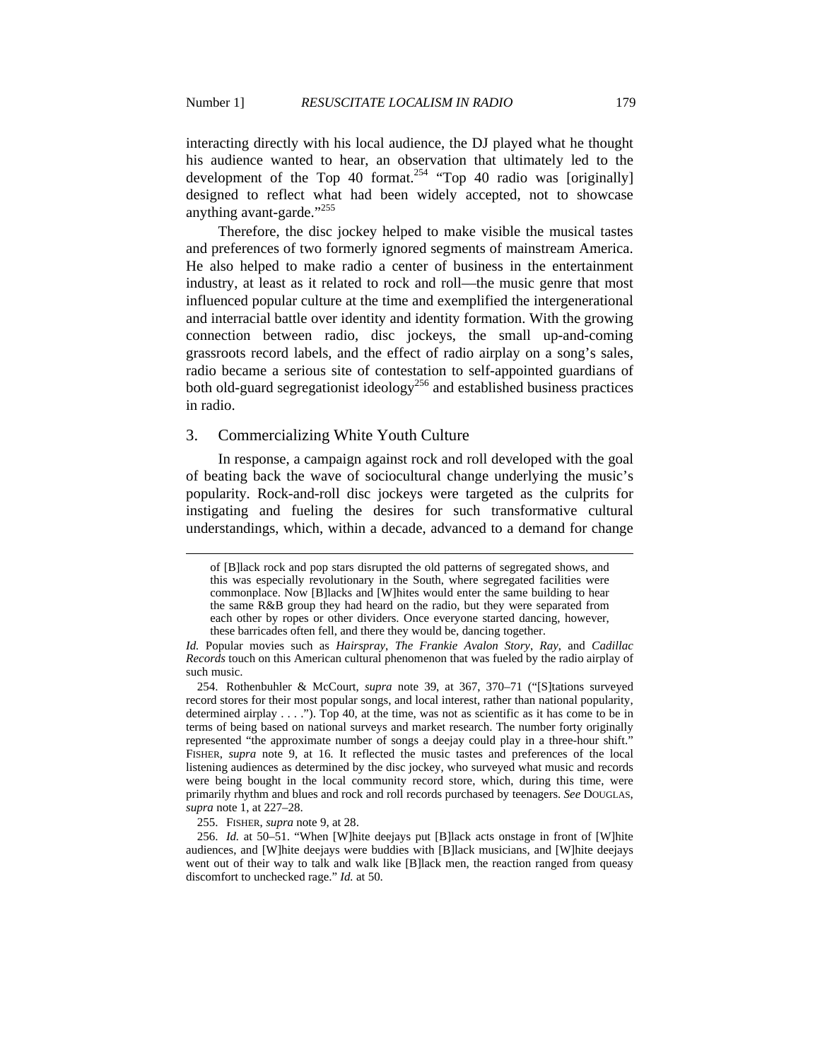interacting directly with his local audience, the DJ played what he thought his audience wanted to hear, an observation that ultimately led to the development of the Top  $\frac{1}{254}$   $\frac{1}{254}$   $\frac{1}{254}$   $\frac{1}{254}$   $\frac{1}{254}$   $\frac{1}{254}$   $\frac{1}{254}$   $\frac{1}{254}$   $\frac{1}{254}$   $\frac{1}{254}$   $\frac{1}{254}$   $\frac{1}{254}$   $\frac{1}{254}$   $\frac{1}{254}$   $\frac{1}{254}$   $\frac{1}{254}$   $\frac{1}{$ designed to reflect what had been widely accepted, not to showcase anything avant-garde."<sup>255</sup>

Therefore, the disc jockey helped to make visible the musical tastes and preferences of two formerly ignored segments of mainstream America. He also helped to make radio a center of business in the entertainment industry, at least as it related to rock and roll—the music genre that most influenced popular culture at the time and exemplified the intergenerational and interracial battle over identity and identity formation. With the growing connection between radio, disc jockeys, the small up-and-coming grassroots record labels, and the effect of radio airplay on a song's sales, radio became a serious site of contestation to self-appointed guardians of both old-guard segregationist ideology<sup>256</sup> and established business practices in radio.

#### 3. Commercializing White Youth Culture

In response, a campaign against rock and roll developed with the goal of beating back the wave of sociocultural change underlying the music's popularity. Rock-and-roll disc jockeys were targeted as the culprits for instigating and fueling the desires for such transformative cultural understandings, which, within a decade, advanced to a demand for change

of [B]lack rock and pop stars disrupted the old patterns of segregated shows, and this was especially revolutionary in the South, where segregated facilities were commonplace. Now [B]lacks and [W]hites would enter the same building to hear the same R&B group they had heard on the radio, but they were separated from each other by ropes or other dividers. Once everyone started dancing, however, these barricades often fell, and there they would be, dancing together.

*Id.* Popular movies such as *Hairspray*, *The Frankie Avalon Story*, *Ray*, and *Cadillac Records* touch on this American cultural phenomenon that was fueled by the radio airplay of such music.

 <sup>254.</sup> Rothenbuhler & McCourt, *supra* note 39, at 367, 370–71 ("[S]tations surveyed record stores for their most popular songs, and local interest, rather than national popularity, determined airplay . . . ."). Top 40, at the time, was not as scientific as it has come to be in terms of being based on national surveys and market research. The number forty originally represented "the approximate number of songs a deejay could play in a three-hour shift." FISHER, *supra* note 9, at 16. It reflected the music tastes and preferences of the local listening audiences as determined by the disc jockey, who surveyed what music and records were being bought in the local community record store, which, during this time, were primarily rhythm and blues and rock and roll records purchased by teenagers. *See* DOUGLAS, *supra* note 1, at 227–28.

 <sup>255.</sup> FISHER, *supra* note 9, at 28.

 <sup>256.</sup> *Id.* at 50–51. "When [W]hite deejays put [B]lack acts onstage in front of [W]hite audiences, and [W]hite deejays were buddies with [B]lack musicians, and [W]hite deejays went out of their way to talk and walk like [B]lack men, the reaction ranged from queasy discomfort to unchecked rage." *Id.* at 50.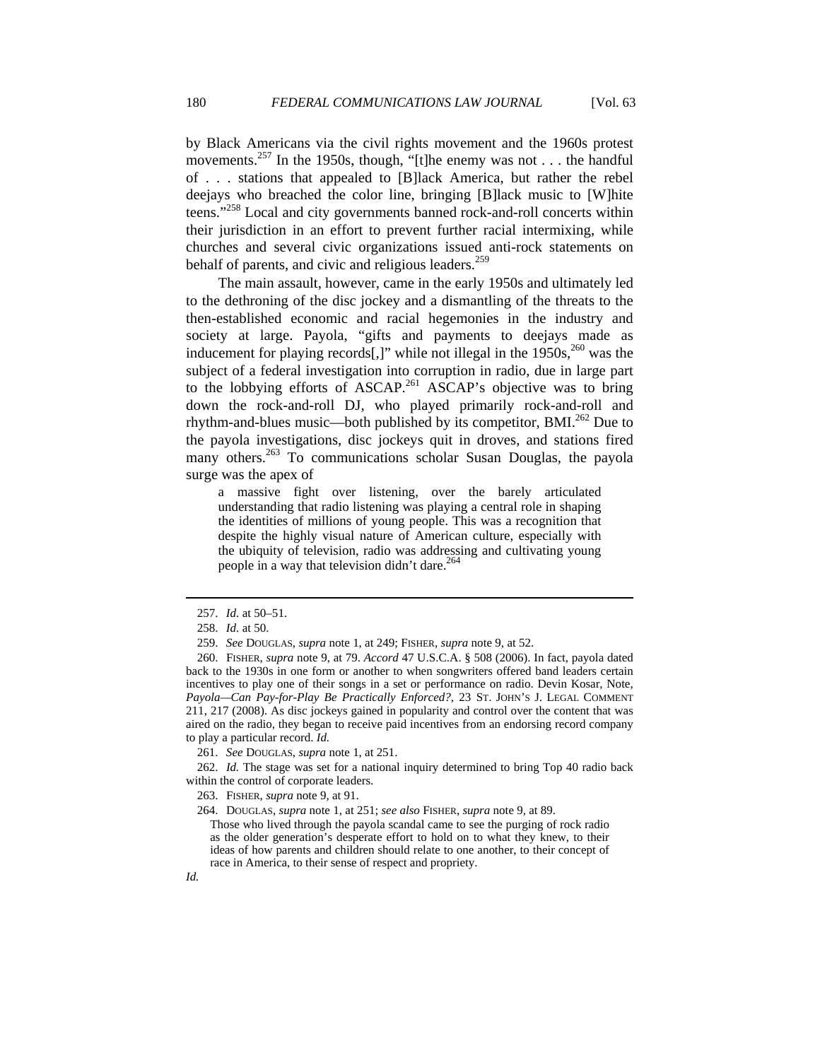by Black Americans via the civil rights movement and the 1960s protest movements.<sup>257</sup> In the 1950s, though, "[t]he enemy was not . . . the handful of . . . stations that appealed to [B]lack America, but rather the rebel deejays who breached the color line, bringing [B]lack music to [W]hite teens."<sup>258</sup> Local and city governments banned rock-and-roll concerts within their jurisdiction in an effort to prevent further racial intermixing, while churches and several civic organizations issued anti-rock statements on behalf of parents, and civic and religious leaders.<sup>259</sup>

The main assault, however, came in the early 1950s and ultimately led to the dethroning of the disc jockey and a dismantling of the threats to the then-established economic and racial hegemonies in the industry and society at large. Payola, "gifts and payments to deejays made as inducement for playing records[,]" while not illegal in the  $1950s$ ,<sup>260</sup> was the subject of a federal investigation into corruption in radio, due in large part to the lobbying efforts of ASCAP.<sup>261</sup> ASCAP's objective was to bring down the rock-and-roll DJ, who played primarily rock-and-roll and rhythm-and-blues music—both published by its competitor,  $BMI^{262}$  Due to the payola investigations, disc jockeys quit in droves, and stations fired many others.<sup>263</sup> To communications scholar Susan Douglas, the payola surge was the apex of

a massive fight over listening, over the barely articulated understanding that radio listening was playing a central role in shaping the identities of millions of young people. This was a recognition that despite the highly visual nature of American culture, especially with the ubiquity of television, radio was addressing and cultivating young people in a way that television didn't dare.<sup>26</sup>

 $\overline{a}$ 

261. *See* DOUGLAS, *supra* note 1, at 251.

 262. *Id.* The stage was set for a national inquiry determined to bring Top 40 radio back within the control of corporate leaders.

 <sup>257.</sup> *Id.* at 50–51.

 <sup>258.</sup> *Id.* at 50.

 <sup>259.</sup> *See* DOUGLAS, *supra* note 1, at 249; FISHER, *supra* note 9, at 52.

 <sup>260.</sup> FISHER, *supra* note 9, at 79. *Accord* 47 U.S.C.A. § 508 (2006). In fact, payola dated back to the 1930s in one form or another to when songwriters offered band leaders certain incentives to play one of their songs in a set or performance on radio. Devin Kosar, Note, *Payola—Can Pay-for-Play Be Practically Enforced?*, 23 ST. JOHN'S J. LEGAL COMMENT 211, 217 (2008). As disc jockeys gained in popularity and control over the content that was aired on the radio, they began to receive paid incentives from an endorsing record company to play a particular record. *Id.*

 <sup>263.</sup> FISHER, *supra* note 9, at 91.

 <sup>264.</sup> DOUGLAS, *supra* note 1, at 251; *see also* FISHER, *supra* note 9, at 89.

Those who lived through the payola scandal came to see the purging of rock radio as the older generation's desperate effort to hold on to what they knew, to their ideas of how parents and children should relate to one another, to their concept of race in America, to their sense of respect and propriety.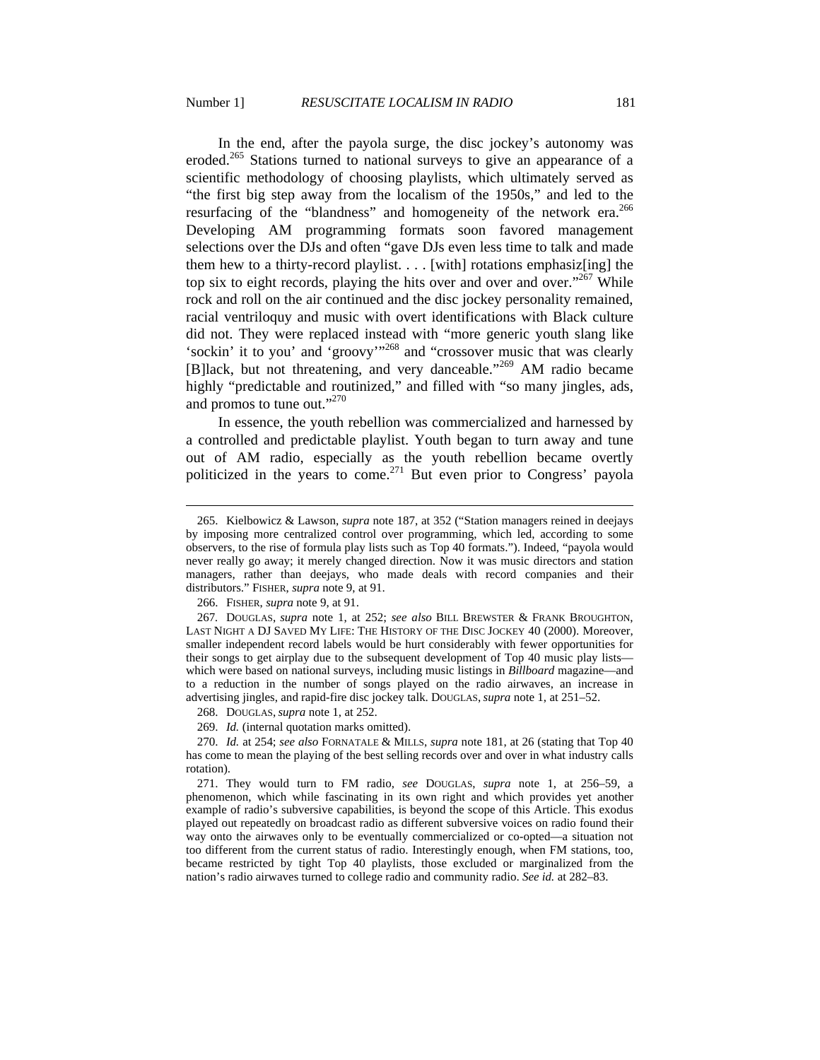In the end, after the payola surge, the disc jockey's autonomy was eroded.<sup>265</sup> Stations turned to national surveys to give an appearance of a scientific methodology of choosing playlists, which ultimately served as "the first big step away from the localism of the 1950s," and led to the resurfacing of the "blandness" and homogeneity of the network era.<sup>266</sup> Developing AM programming formats soon favored management selections over the DJs and often "gave DJs even less time to talk and made them hew to a thirty-record playlist.  $\ldots$  [with] rotations emphasiz[ing] the top six to eight records, playing the hits over and over and over."<sup>267</sup> While rock and roll on the air continued and the disc jockey personality remained, racial ventriloquy and music with overt identifications with Black culture did not. They were replaced instead with "more generic youth slang like 'sockin' it to you' and 'groovy'"268 and "crossover music that was clearly [B]lack, but not threatening, and very danceable."<sup>269</sup> AM radio became highly "predictable and routinized," and filled with "so many jingles, ads, and promos to tune out."<sup>270</sup>

In essence, the youth rebellion was commercialized and harnessed by a controlled and predictable playlist. Youth began to turn away and tune out of AM radio, especially as the youth rebellion became overtly politicized in the years to come.271 But even prior to Congress' payola

 $\overline{a}$ 

268. DOUGLAS, *supra* note 1, at 252.

269. *Id.* (internal quotation marks omitted).

 <sup>265.</sup> Kielbowicz & Lawson, *supra* note 187, at 352 ("Station managers reined in deejays by imposing more centralized control over programming, which led, according to some observers, to the rise of formula play lists such as Top 40 formats."). Indeed, "payola would never really go away; it merely changed direction. Now it was music directors and station managers, rather than deejays, who made deals with record companies and their distributors." FISHER, *supra* note 9, at 91.

 <sup>266.</sup> FISHER, *supra* note 9, at 91.

<sup>267</sup>*.* DOUGLAS, *supra* note 1, at 252; *see also* BILL BREWSTER & FRANK BROUGHTON, LAST NIGHT A DJ SAVED MY LIFE: THE HISTORY OF THE DISC JOCKEY 40 (2000). Moreover, smaller independent record labels would be hurt considerably with fewer opportunities for their songs to get airplay due to the subsequent development of Top 40 music play lists which were based on national surveys, including music listings in *Billboard* magazine—and to a reduction in the number of songs played on the radio airwaves, an increase in advertising jingles, and rapid-fire disc jockey talk. DOUGLAS, *supra* note 1, at 251–52.

 <sup>270.</sup> *Id.* at 254; *see also* FORNATALE & MILLS, *supra* note 181, at 26 (stating that Top 40 has come to mean the playing of the best selling records over and over in what industry calls rotation).

 <sup>271.</sup> They would turn to FM radio, *see* DOUGLAS, *supra* note 1, at 256–59, a phenomenon, which while fascinating in its own right and which provides yet another example of radio's subversive capabilities, is beyond the scope of this Article. This exodus played out repeatedly on broadcast radio as different subversive voices on radio found their way onto the airwaves only to be eventually commercialized or co-opted—a situation not too different from the current status of radio. Interestingly enough, when FM stations, too, became restricted by tight Top 40 playlists, those excluded or marginalized from the nation's radio airwaves turned to college radio and community radio. *See id.* at 282–83.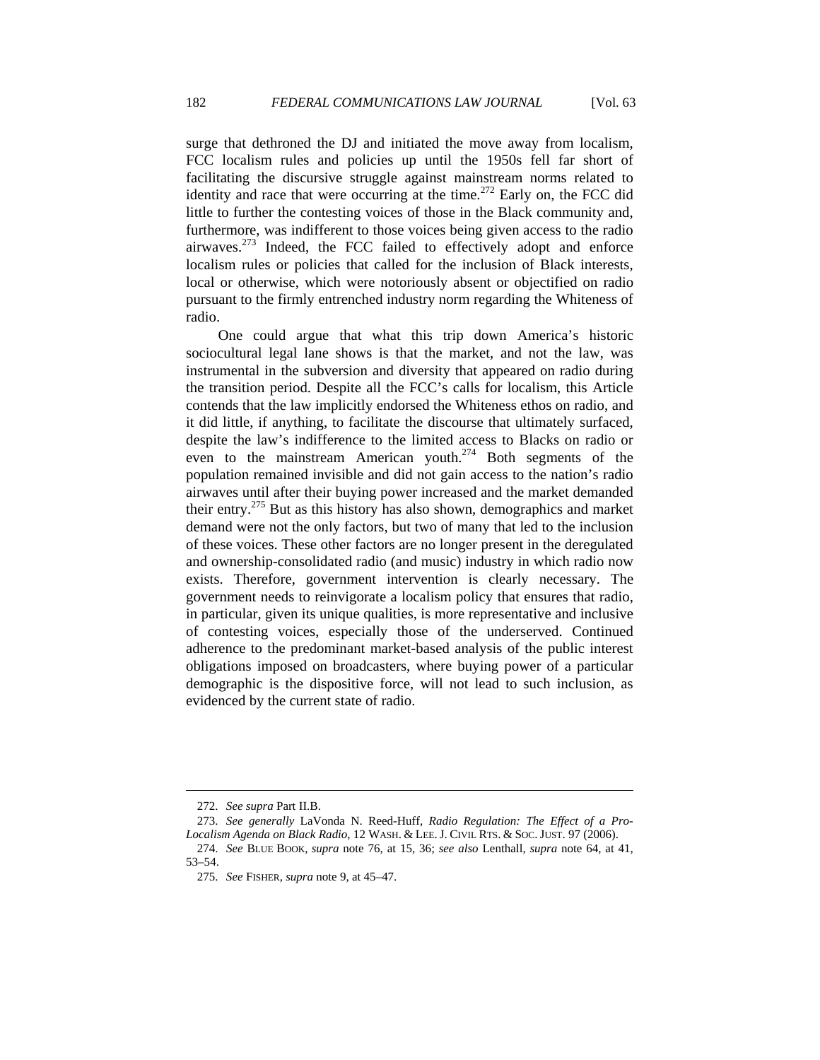surge that dethroned the DJ and initiated the move away from localism, FCC localism rules and policies up until the 1950s fell far short of facilitating the discursive struggle against mainstream norms related to identity and race that were occurring at the time.<sup>272</sup> Early on, the FCC did little to further the contesting voices of those in the Black community and, furthermore, was indifferent to those voices being given access to the radio airwaves. $273$  Indeed, the FCC failed to effectively adopt and enforce localism rules or policies that called for the inclusion of Black interests, local or otherwise, which were notoriously absent or objectified on radio pursuant to the firmly entrenched industry norm regarding the Whiteness of radio.

One could argue that what this trip down America's historic sociocultural legal lane shows is that the market, and not the law, was instrumental in the subversion and diversity that appeared on radio during the transition period. Despite all the FCC's calls for localism, this Article contends that the law implicitly endorsed the Whiteness ethos on radio, and it did little, if anything, to facilitate the discourse that ultimately surfaced, despite the law's indifference to the limited access to Blacks on radio or even to the mainstream American youth.<sup>274</sup> Both segments of the population remained invisible and did not gain access to the nation's radio airwaves until after their buying power increased and the market demanded their entry.275 But as this history has also shown, demographics and market demand were not the only factors, but two of many that led to the inclusion of these voices. These other factors are no longer present in the deregulated and ownership-consolidated radio (and music) industry in which radio now exists. Therefore, government intervention is clearly necessary. The government needs to reinvigorate a localism policy that ensures that radio, in particular, given its unique qualities, is more representative and inclusive of contesting voices, especially those of the underserved. Continued adherence to the predominant market-based analysis of the public interest obligations imposed on broadcasters, where buying power of a particular demographic is the dispositive force, will not lead to such inclusion, as evidenced by the current state of radio.

 <sup>272.</sup> *See supra* Part II.B.

 <sup>273.</sup> *See generally* LaVonda N. Reed-Huff, *Radio Regulation: The Effect of a Pro-Localism Agenda on Black Radio*, 12 WASH. & LEE. J. CIVIL RTS. & SOC. JUST. 97 (2006).

 <sup>274.</sup> *See* BLUE BOOK, *supra* note 76, at 15, 36; *see also* Lenthall, *supra* note 64, at 41, 53–54.

 <sup>275.</sup> *See* FISHER, *supra* note 9, at 45–47.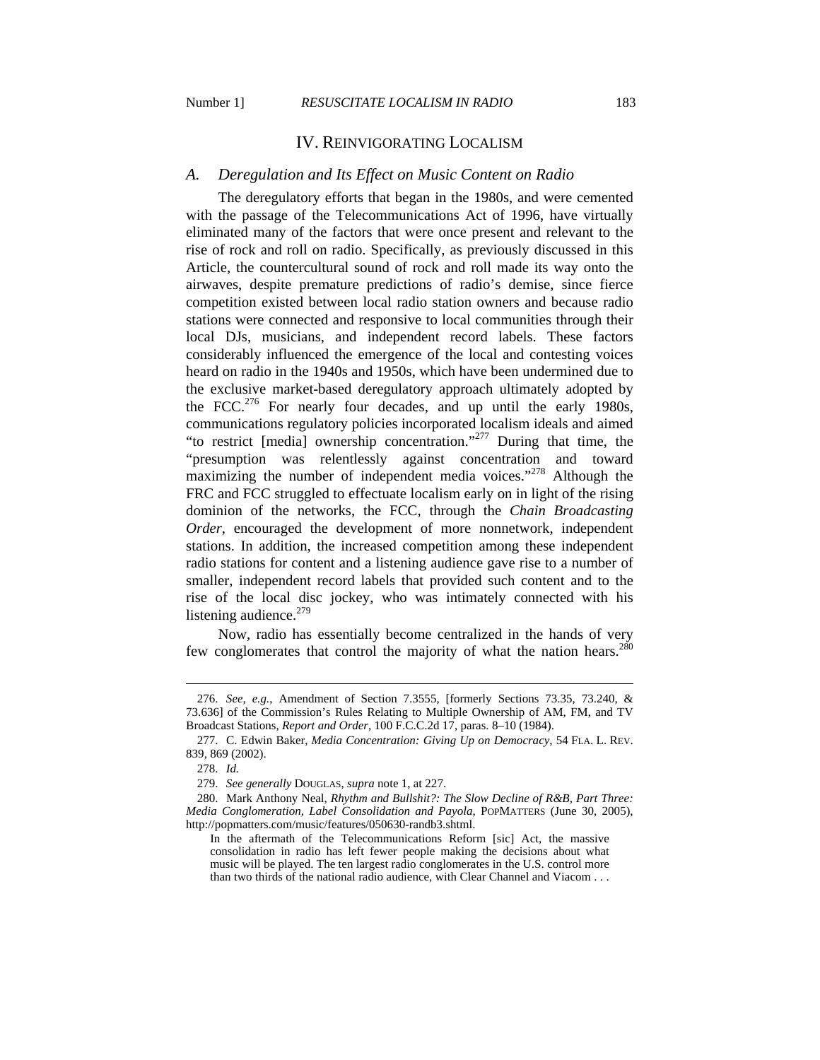### IV. REINVIGORATING LOCALISM

#### *A. Deregulation and Its Effect on Music Content on Radio*

The deregulatory efforts that began in the 1980s, and were cemented with the passage of the Telecommunications Act of 1996, have virtually eliminated many of the factors that were once present and relevant to the rise of rock and roll on radio. Specifically, as previously discussed in this Article, the countercultural sound of rock and roll made its way onto the airwaves, despite premature predictions of radio's demise, since fierce competition existed between local radio station owners and because radio stations were connected and responsive to local communities through their local DJs, musicians, and independent record labels. These factors considerably influenced the emergence of the local and contesting voices heard on radio in the 1940s and 1950s, which have been undermined due to the exclusive market-based deregulatory approach ultimately adopted by the FCC.<sup>276</sup> For nearly four decades, and up until the early 1980s, communications regulatory policies incorporated localism ideals and aimed "to restrict [media] ownership concentration."277 During that time, the "presumption was relentlessly against concentration and toward maximizing the number of independent media voices."<sup>278</sup> Although the FRC and FCC struggled to effectuate localism early on in light of the rising dominion of the networks, the FCC, through the *Chain Broadcasting Order*, encouraged the development of more nonnetwork, independent stations. In addition, the increased competition among these independent radio stations for content and a listening audience gave rise to a number of smaller, independent record labels that provided such content and to the rise of the local disc jockey, who was intimately connected with his listening audience.<sup>279</sup>

Now, radio has essentially become centralized in the hands of very few conglomerates that control the majority of what the nation hears. $280$ 

 <sup>276.</sup> *See, e.g.*, Amendment of Section 7.3555, [formerly Sections 73.35, 73.240, & 73.636] of the Commission's Rules Relating to Multiple Ownership of AM, FM, and TV Broadcast Stations, *Report and Order*, 100 F.C.C.2d 17, paras. 8–10 (1984).

 <sup>277.</sup> C. Edwin Baker, *Media Concentration: Giving Up on Democracy*, 54 FLA. L. REV. 839, 869 (2002).

<sup>278.</sup> *Id.*

 <sup>279.</sup> *See generally* DOUGLAS, *supra* note 1, at 227.

 <sup>280.</sup> Mark Anthony Neal, *Rhythm and Bullshit?: The Slow Decline of R&B, Part Three: Media Conglomeration, Label Consolidation and Payola*, POPMATTERS (June 30, 2005), http://popmatters.com/music/features/050630-randb3.shtml.

In the aftermath of the Telecommunications Reform [sic] Act, the massive consolidation in radio has left fewer people making the decisions about what music will be played. The ten largest radio conglomerates in the U.S. control more than two thirds of the national radio audience, with Clear Channel and Viacom . . .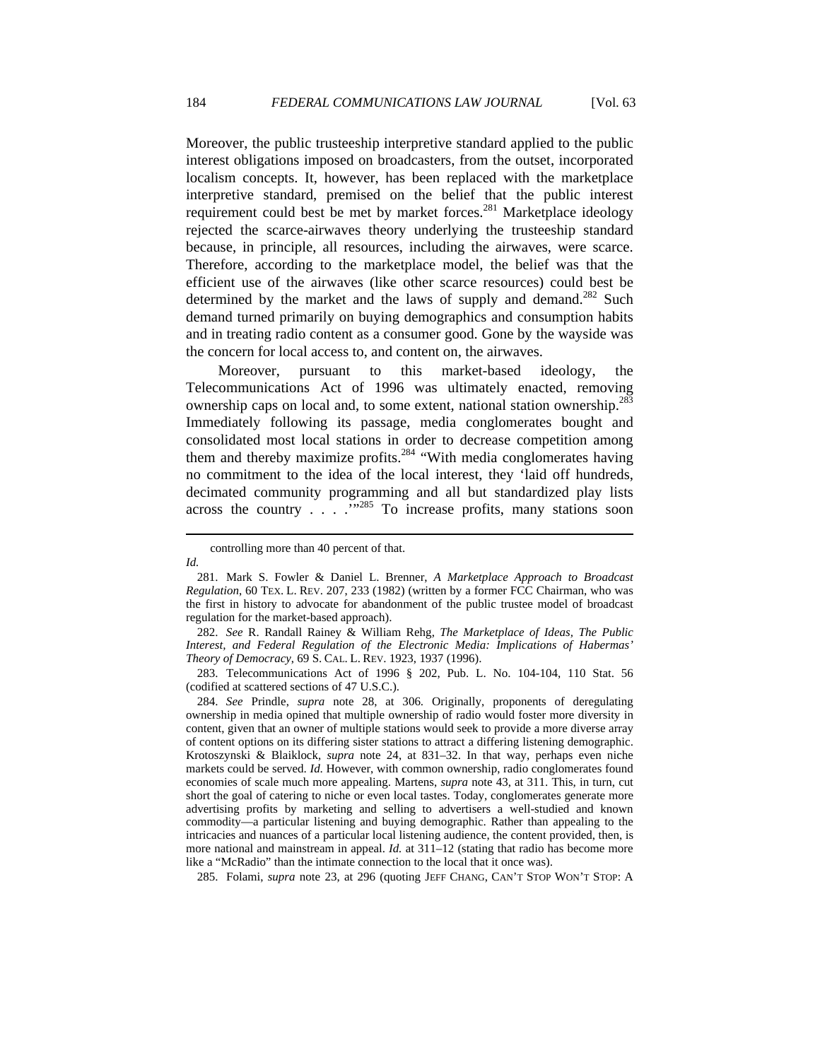Moreover, the public trusteeship interpretive standard applied to the public interest obligations imposed on broadcasters, from the outset, incorporated localism concepts. It, however, has been replaced with the marketplace interpretive standard, premised on the belief that the public interest requirement could best be met by market forces.<sup>281</sup> Marketplace ideology rejected the scarce-airwaves theory underlying the trusteeship standard because, in principle, all resources, including the airwaves, were scarce. Therefore, according to the marketplace model, the belief was that the efficient use of the airwaves (like other scarce resources) could best be determined by the market and the laws of supply and demand. $282$  Such demand turned primarily on buying demographics and consumption habits and in treating radio content as a consumer good. Gone by the wayside was the concern for local access to, and content on, the airwaves.

Moreover, pursuant to this market-based ideology, the Telecommunications Act of 1996 was ultimately enacted, removing ownership caps on local and, to some extent, national station ownership.<sup>283</sup> Immediately following its passage, media conglomerates bought and consolidated most local stations in order to decrease competition among them and thereby maximize profits.<sup>284</sup> "With media conglomerates having no commitment to the idea of the local interest, they 'laid off hundreds, decimated community programming and all but standardized play lists across the country  $\ldots$   $\ldots$   $\ldots$   $\ldots$   $\ldots$   $\ldots$  To increase profits, many stations soon

*Id.* 

 283. Telecommunications Act of 1996 § 202, Pub. L. No. 104-104, 110 Stat. 56 (codified at scattered sections of 47 U.S.C.).

 284. *See* Prindle, *supra* note 28, at 306. Originally, proponents of deregulating ownership in media opined that multiple ownership of radio would foster more diversity in content, given that an owner of multiple stations would seek to provide a more diverse array of content options on its differing sister stations to attract a differing listening demographic. Krotoszynski & Blaiklock, *supra* note 24, at 831–32. In that way, perhaps even niche markets could be served. *Id*. However, with common ownership, radio conglomerates found economies of scale much more appealing. Martens, *supra* note 43, at 311. This, in turn, cut short the goal of catering to niche or even local tastes. Today, conglomerates generate more advertising profits by marketing and selling to advertisers a well-studied and known commodity—a particular listening and buying demographic. Rather than appealing to the intricacies and nuances of a particular local listening audience, the content provided, then, is more national and mainstream in appeal. *Id.* at 311–12 (stating that radio has become more like a "McRadio" than the intimate connection to the local that it once was).

285. Folami, *supra* note 23, at 296 (quoting JEFF CHANG, CAN'T STOP WON'T STOP: A

controlling more than 40 percent of that.

 <sup>281.</sup> Mark S. Fowler & Daniel L. Brenner, *A Marketplace Approach to Broadcast Regulation*, 60 TEX. L. REV. 207, 233 (1982) (written by a former FCC Chairman, who was the first in history to advocate for abandonment of the public trustee model of broadcast regulation for the market-based approach).

 <sup>282.</sup> *See* R. Randall Rainey & William Rehg, *The Marketplace of Ideas, The Public Interest, and Federal Regulation of the Electronic Media: Implications of Habermas' Theory of Democracy*, 69 S. CAL. L. REV. 1923, 1937 (1996).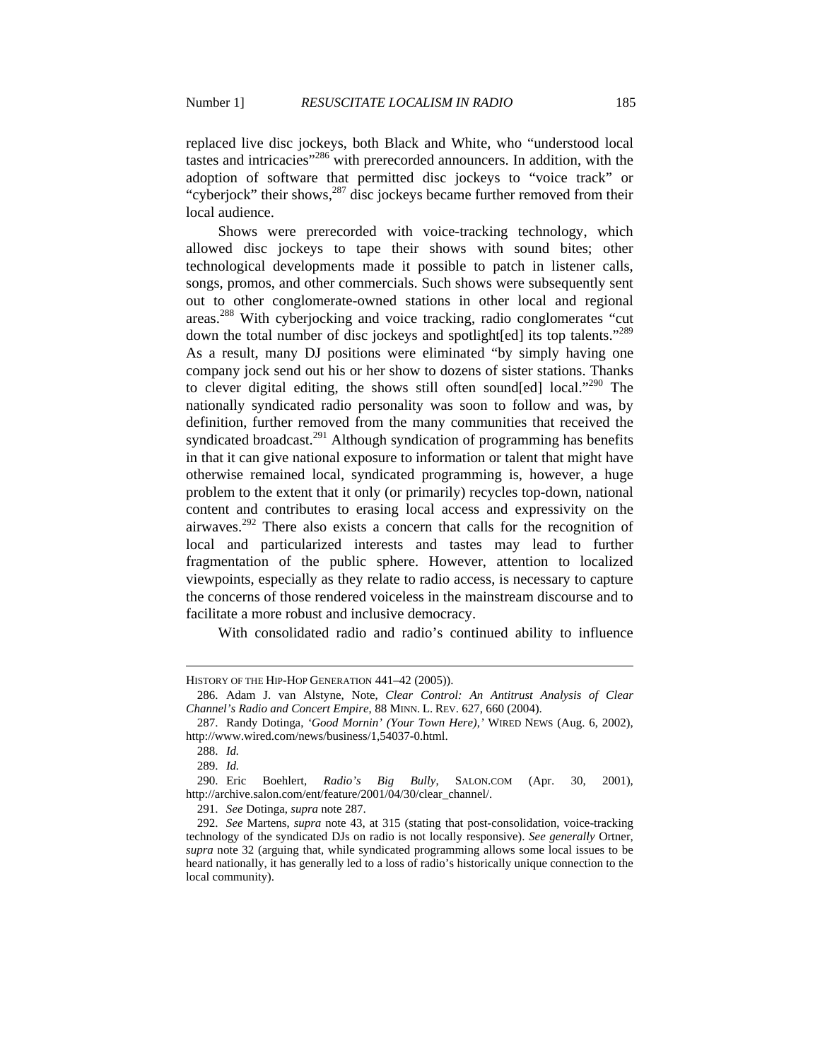replaced live disc jockeys, both Black and White, who "understood local tastes and intricacies"286 with prerecorded announcers. In addition, with the adoption of software that permitted disc jockeys to "voice track" or "cyberjock" their shows, $287$  disc jockeys became further removed from their local audience.

Shows were prerecorded with voice-tracking technology, which allowed disc jockeys to tape their shows with sound bites; other technological developments made it possible to patch in listener calls, songs, promos, and other commercials. Such shows were subsequently sent out to other conglomerate-owned stations in other local and regional areas.288 With cyberjocking and voice tracking, radio conglomerates "cut down the total number of disc jockeys and spotlight[ed] its top talents."<sup>289</sup> As a result, many DJ positions were eliminated "by simply having one company jock send out his or her show to dozens of sister stations. Thanks to clever digital editing, the shows still often sound[ed] local."<sup>290</sup> The nationally syndicated radio personality was soon to follow and was, by definition, further removed from the many communities that received the syndicated broadcast.<sup>291</sup> Although syndication of programming has benefits in that it can give national exposure to information or talent that might have otherwise remained local, syndicated programming is, however, a huge problem to the extent that it only (or primarily) recycles top-down, national content and contributes to erasing local access and expressivity on the airwaves.<sup>292</sup> There also exists a concern that calls for the recognition of local and particularized interests and tastes may lead to further fragmentation of the public sphere. However, attention to localized viewpoints, especially as they relate to radio access, is necessary to capture the concerns of those rendered voiceless in the mainstream discourse and to facilitate a more robust and inclusive democracy.

With consolidated radio and radio's continued ability to influence

HISTORY OF THE HIP-HOP GENERATION 441–42 (2005)).

 <sup>286.</sup> Adam J. van Alstyne, Note, *Clear Control: An Antitrust Analysis of Clear Channel's Radio and Concert Empire*, 88 MINN. L. REV. 627, 660 (2004).

 <sup>287.</sup> Randy Dotinga, *'Good Mornin' (Your Town Here)*,*'* WIRED NEWS (Aug. 6, 2002), http://www.wired.com/news/business/1,54037-0.html.

 <sup>288.</sup> *Id.*

 <sup>289.</sup> *Id.*

 <sup>290.</sup> Eric Boehlert, *Radio's Big Bully*, SALON.COM (Apr. 30, 2001), http://archive.salon.com/ent/feature/2001/04/30/clear\_channel/.

 <sup>291.</sup> *See* Dotinga, *supra* note 287.

 <sup>292.</sup> *See* Martens, *supra* note 43, at 315 (stating that post-consolidation, voice-tracking technology of the syndicated DJs on radio is not locally responsive). *See generally* Ortner, *supra* note 32 (arguing that, while syndicated programming allows some local issues to be heard nationally, it has generally led to a loss of radio's historically unique connection to the local community).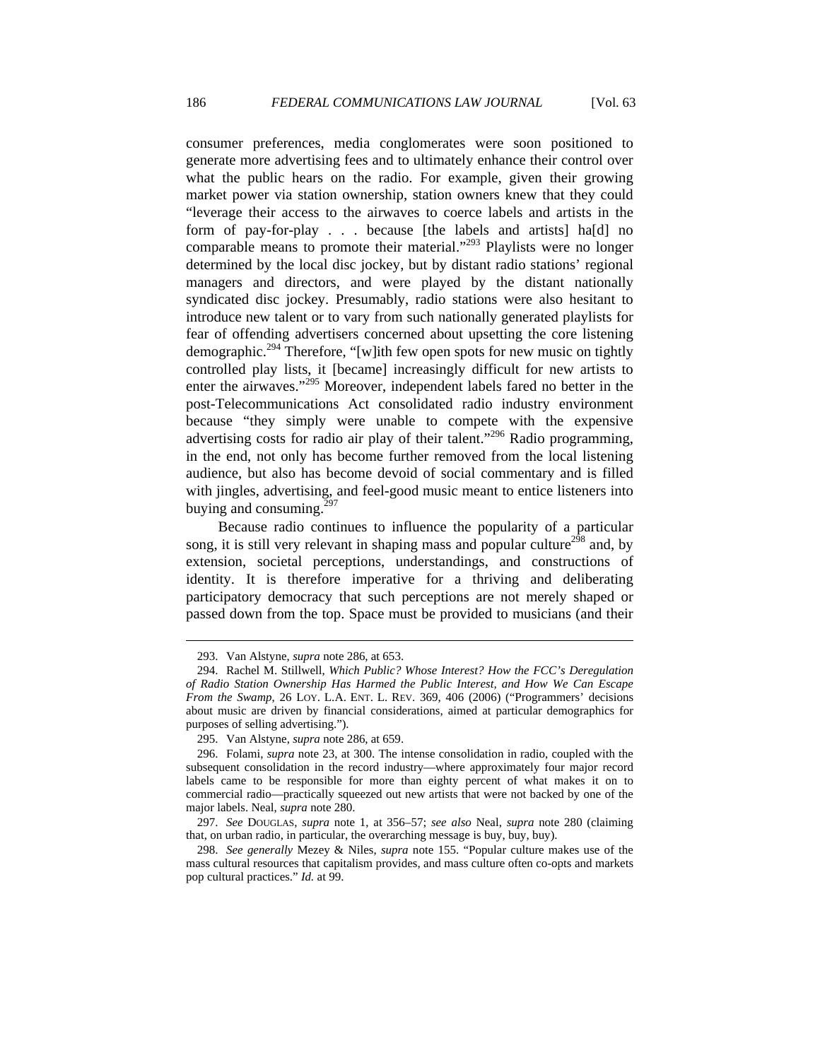consumer preferences, media conglomerates were soon positioned to generate more advertising fees and to ultimately enhance their control over what the public hears on the radio. For example, given their growing market power via station ownership, station owners knew that they could "leverage their access to the airwaves to coerce labels and artists in the form of pay-for-play . . . because [the labels and artists] ha[d] no comparable means to promote their material."293 Playlists were no longer determined by the local disc jockey, but by distant radio stations' regional managers and directors, and were played by the distant nationally syndicated disc jockey. Presumably, radio stations were also hesitant to introduce new talent or to vary from such nationally generated playlists for fear of offending advertisers concerned about upsetting the core listening demographic.<sup>294</sup> Therefore, "[w]ith few open spots for new music on tightly controlled play lists, it [became] increasingly difficult for new artists to enter the airwaves."295 Moreover, independent labels fared no better in the post-Telecommunications Act consolidated radio industry environment because "they simply were unable to compete with the expensive advertising costs for radio air play of their talent."<sup>296</sup> Radio programming, in the end, not only has become further removed from the local listening audience, but also has become devoid of social commentary and is filled with jingles, advertising, and feel-good music meant to entice listeners into buying and consuming. $297$ 

Because radio continues to influence the popularity of a particular song, it is still very relevant in shaping mass and popular culture<sup> $2\overline{98}$ </sup> and, by extension, societal perceptions, understandings, and constructions of identity. It is therefore imperative for a thriving and deliberating participatory democracy that such perceptions are not merely shaped or passed down from the top. Space must be provided to musicians (and their

<sup>293.</sup> Van Alstyne, *supra* note 286, at 653.

 <sup>294.</sup> Rachel M. Stillwell, *Which Public? Whose Interest? How the FCC's Deregulation of Radio Station Ownership Has Harmed the Public Interest, and How We Can Escape From the Swamp*, 26 LOY. L.A. ENT. L. REV. 369, 406 (2006) ("Programmers' decisions about music are driven by financial considerations, aimed at particular demographics for purposes of selling advertising.").

 <sup>295.</sup> Van Alstyne, *supra* note 286, at 659.

 <sup>296.</sup> Folami, *supra* note 23, at 300. The intense consolidation in radio, coupled with the subsequent consolidation in the record industry—where approximately four major record labels came to be responsible for more than eighty percent of what makes it on to commercial radio—practically squeezed out new artists that were not backed by one of the major labels. Neal, *supra* note 280.

 <sup>297.</sup> *See* DOUGLAS, *supra* note 1, at 356–57; *see also* Neal, *supra* note 280 (claiming that, on urban radio, in particular, the overarching message is buy, buy, buy).

 <sup>298.</sup> *See generally* Mezey & Niles, *supra* note 155. "Popular culture makes use of the mass cultural resources that capitalism provides, and mass culture often co-opts and markets pop cultural practices." *Id.* at 99.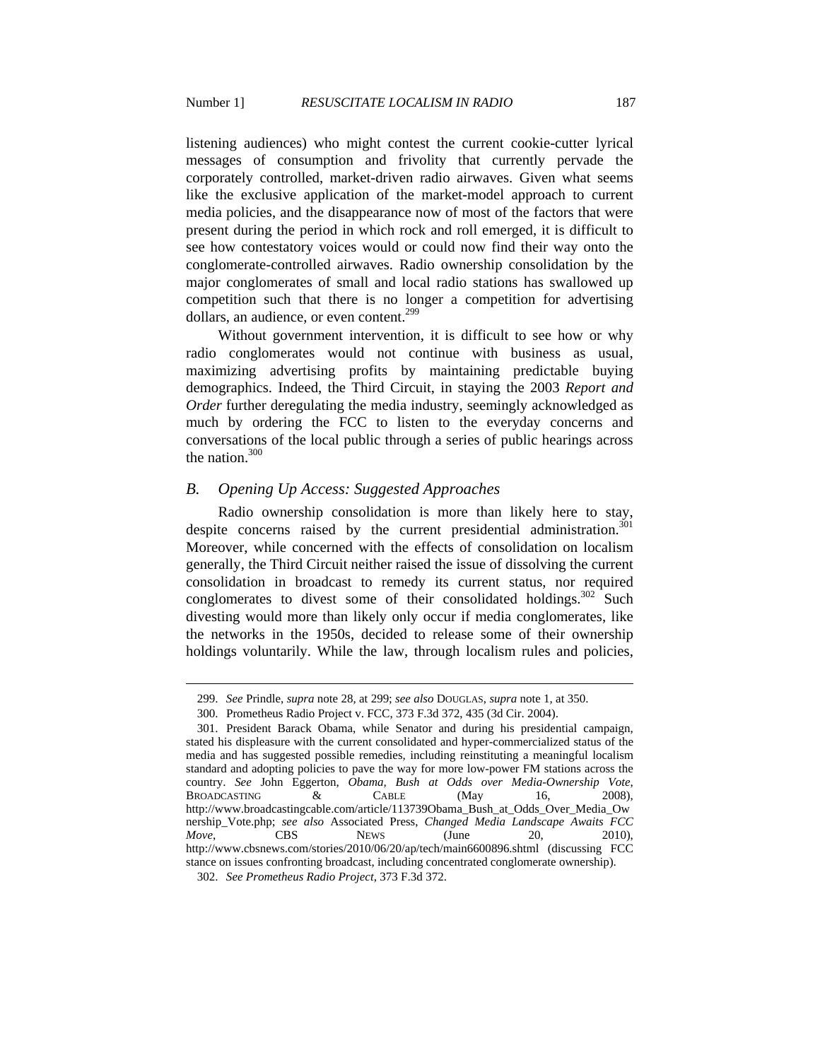listening audiences) who might contest the current cookie-cutter lyrical messages of consumption and frivolity that currently pervade the corporately controlled, market-driven radio airwaves. Given what seems like the exclusive application of the market-model approach to current media policies, and the disappearance now of most of the factors that were present during the period in which rock and roll emerged, it is difficult to see how contestatory voices would or could now find their way onto the conglomerate-controlled airwaves. Radio ownership consolidation by the major conglomerates of small and local radio stations has swallowed up competition such that there is no longer a competition for advertising dollars, an audience, or even content.<sup>299</sup>

Without government intervention, it is difficult to see how or why radio conglomerates would not continue with business as usual, maximizing advertising profits by maintaining predictable buying demographics. Indeed, the Third Circuit, in staying the 2003 *Report and Order* further deregulating the media industry, seemingly acknowledged as much by ordering the FCC to listen to the everyday concerns and conversations of the local public through a series of public hearings across the nation. $300$ 

#### *B. Opening Up Access: Suggested Approaches*

Radio ownership consolidation is more than likely here to stay, despite concerns raised by the current presidential administration.<sup>301</sup> Moreover, while concerned with the effects of consolidation on localism generally, the Third Circuit neither raised the issue of dissolving the current consolidation in broadcast to remedy its current status, nor required conglomerates to divest some of their consolidated holdings. $302$  Such divesting would more than likely only occur if media conglomerates, like the networks in the 1950s, decided to release some of their ownership holdings voluntarily. While the law, through localism rules and policies,

 <sup>299.</sup> *See* Prindle, *supra* note 28, at 299; *see also* DOUGLAS, *supra* note 1, at 350.

 <sup>300.</sup> Prometheus Radio Project v. FCC, 373 F.3d 372, 435 (3d Cir. 2004).

 <sup>301.</sup> President Barack Obama, while Senator and during his presidential campaign, stated his displeasure with the current consolidated and hyper-commercialized status of the media and has suggested possible remedies, including reinstituting a meaningful localism standard and adopting policies to pave the way for more low-power FM stations across the country. *See* John Eggerton, *Obama, Bush at Odds over Media-Ownership Vote*, BROADCASTING  $\&$  CABLE (May 16, 2008), http://www.broadcastingcable.com/article/113739Obama\_Bush\_at\_Odds\_Over\_Media\_Ow nership\_Vote.php; *see also* Associated Press, *Changed Media Landscape Awaits FCC Move*, **CBS** NEWS (June 20, 2010), http://www.cbsnews.com/stories/2010/06/20/ap/tech/main6600896.shtml (discussing FCC stance on issues confronting broadcast, including concentrated conglomerate ownership).

 <sup>302.</sup> *See Prometheus Radio Project*, 373 F.3d 372.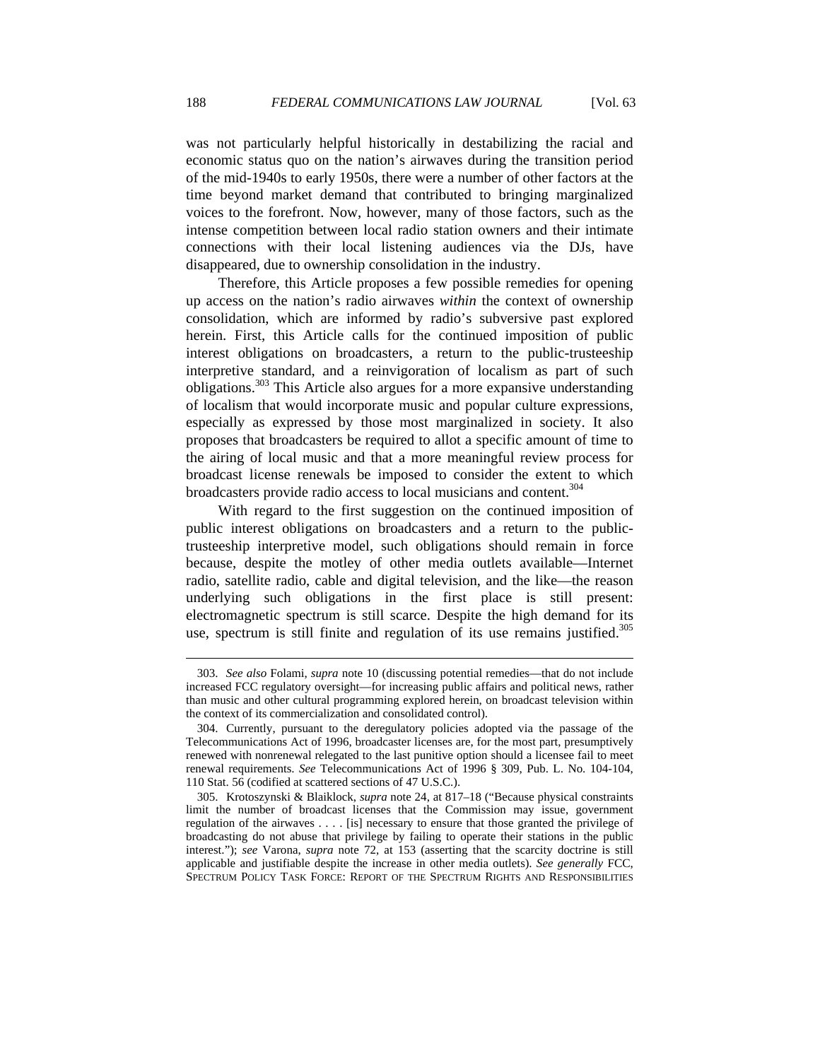was not particularly helpful historically in destabilizing the racial and economic status quo on the nation's airwaves during the transition period of the mid-1940s to early 1950s, there were a number of other factors at the time beyond market demand that contributed to bringing marginalized voices to the forefront. Now, however, many of those factors, such as the intense competition between local radio station owners and their intimate connections with their local listening audiences via the DJs, have disappeared, due to ownership consolidation in the industry.

Therefore, this Article proposes a few possible remedies for opening up access on the nation's radio airwaves *within* the context of ownership consolidation, which are informed by radio's subversive past explored herein. First, this Article calls for the continued imposition of public interest obligations on broadcasters, a return to the public-trusteeship interpretive standard, and a reinvigoration of localism as part of such obligations.<sup>303</sup> This Article also argues for a more expansive understanding of localism that would incorporate music and popular culture expressions, especially as expressed by those most marginalized in society. It also proposes that broadcasters be required to allot a specific amount of time to the airing of local music and that a more meaningful review process for broadcast license renewals be imposed to consider the extent to which broadcasters provide radio access to local musicians and content.<sup>304</sup>

With regard to the first suggestion on the continued imposition of public interest obligations on broadcasters and a return to the publictrusteeship interpretive model, such obligations should remain in force because, despite the motley of other media outlets available—Internet radio, satellite radio, cable and digital television, and the like—the reason underlying such obligations in the first place is still present: electromagnetic spectrum is still scarce. Despite the high demand for its use, spectrum is still finite and regulation of its use remains justified.<sup>305</sup>

 <sup>303.</sup> *See also* Folami, *supra* note 10 (discussing potential remedies—that do not include increased FCC regulatory oversight—for increasing public affairs and political news, rather than music and other cultural programming explored herein, on broadcast television within the context of its commercialization and consolidated control).

 <sup>304.</sup> Currently, pursuant to the deregulatory policies adopted via the passage of the Telecommunications Act of 1996, broadcaster licenses are, for the most part, presumptively renewed with nonrenewal relegated to the last punitive option should a licensee fail to meet renewal requirements. *See* Telecommunications Act of 1996 § 309, Pub. L. No. 104-104, 110 Stat. 56 (codified at scattered sections of 47 U.S.C.).

 <sup>305.</sup> Krotoszynski & Blaiklock, *supra* note 24, at 817–18 ("Because physical constraints limit the number of broadcast licenses that the Commission may issue, government regulation of the airwaves . . . . [is] necessary to ensure that those granted the privilege of broadcasting do not abuse that privilege by failing to operate their stations in the public interest."); *see* Varona, *supra* note 72, at 153 (asserting that the scarcity doctrine is still applicable and justifiable despite the increase in other media outlets). *See generally* FCC, SPECTRUM POLICY TASK FORCE: REPORT OF THE SPECTRUM RIGHTS AND RESPONSIBILITIES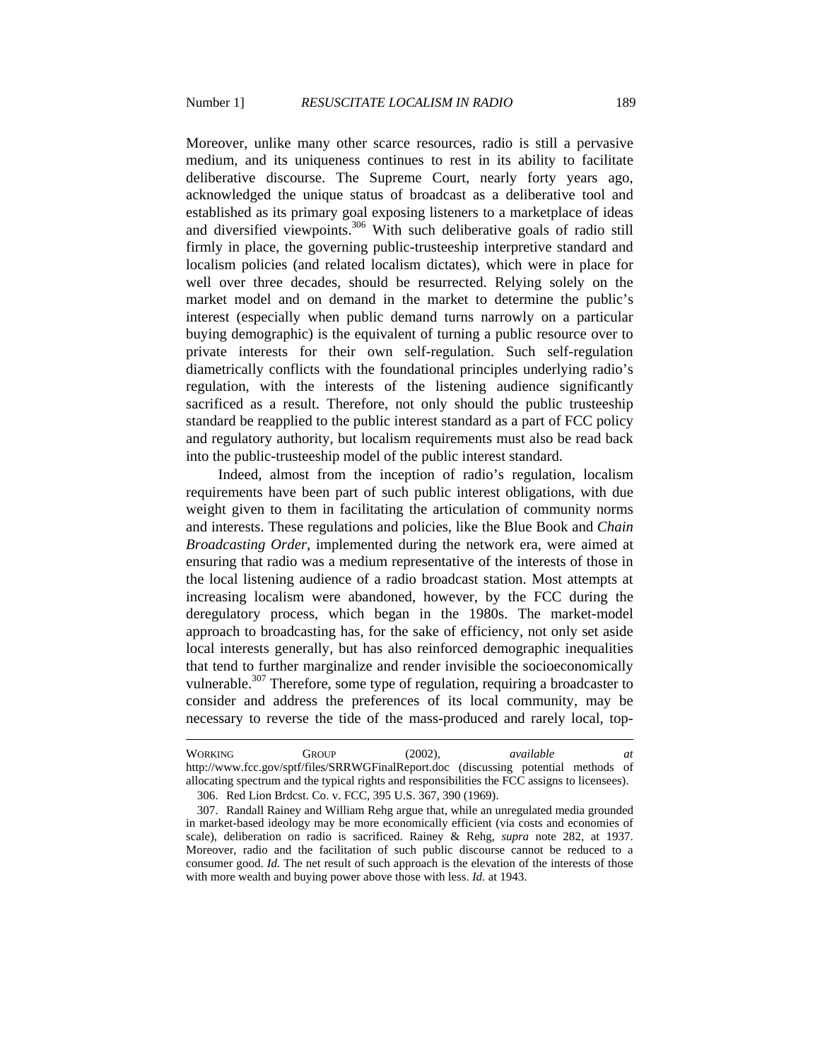Moreover, unlike many other scarce resources, radio is still a pervasive medium, and its uniqueness continues to rest in its ability to facilitate deliberative discourse. The Supreme Court, nearly forty years ago, acknowledged the unique status of broadcast as a deliberative tool and established as its primary goal exposing listeners to a marketplace of ideas and diversified viewpoints.<sup>306</sup> With such deliberative goals of radio still firmly in place, the governing public-trusteeship interpretive standard and localism policies (and related localism dictates), which were in place for well over three decades, should be resurrected. Relying solely on the market model and on demand in the market to determine the public's interest (especially when public demand turns narrowly on a particular buying demographic) is the equivalent of turning a public resource over to private interests for their own self-regulation. Such self-regulation diametrically conflicts with the foundational principles underlying radio's regulation, with the interests of the listening audience significantly sacrificed as a result. Therefore, not only should the public trusteeship standard be reapplied to the public interest standard as a part of FCC policy and regulatory authority, but localism requirements must also be read back into the public-trusteeship model of the public interest standard.

Indeed, almost from the inception of radio's regulation, localism requirements have been part of such public interest obligations, with due weight given to them in facilitating the articulation of community norms and interests. These regulations and policies, like the Blue Book and *Chain Broadcasting Order*, implemented during the network era, were aimed at ensuring that radio was a medium representative of the interests of those in the local listening audience of a radio broadcast station. Most attempts at increasing localism were abandoned, however, by the FCC during the deregulatory process, which began in the 1980s. The market-model approach to broadcasting has, for the sake of efficiency, not only set aside local interests generally, but has also reinforced demographic inequalities that tend to further marginalize and render invisible the socioeconomically vulnerable.<sup>307</sup> Therefore, some type of regulation, requiring a broadcaster to consider and address the preferences of its local community, may be necessary to reverse the tide of the mass-produced and rarely local, top-

306. Red Lion Brdcst. Co. v. FCC, 395 U.S. 367, 390 (1969).

WORKING GROUP (2002), *available at* http://www.fcc.gov/sptf/files/SRRWGFinalReport.doc (discussing potential methods of allocating spectrum and the typical rights and responsibilities the FCC assigns to licensees).

 <sup>307.</sup> Randall Rainey and William Rehg argue that, while an unregulated media grounded in market-based ideology may be more economically efficient (via costs and economies of scale), deliberation on radio is sacrificed. Rainey & Rehg, *supra* note 282, at 1937. Moreover, radio and the facilitation of such public discourse cannot be reduced to a consumer good. *Id.* The net result of such approach is the elevation of the interests of those with more wealth and buying power above those with less. *Id.* at 1943.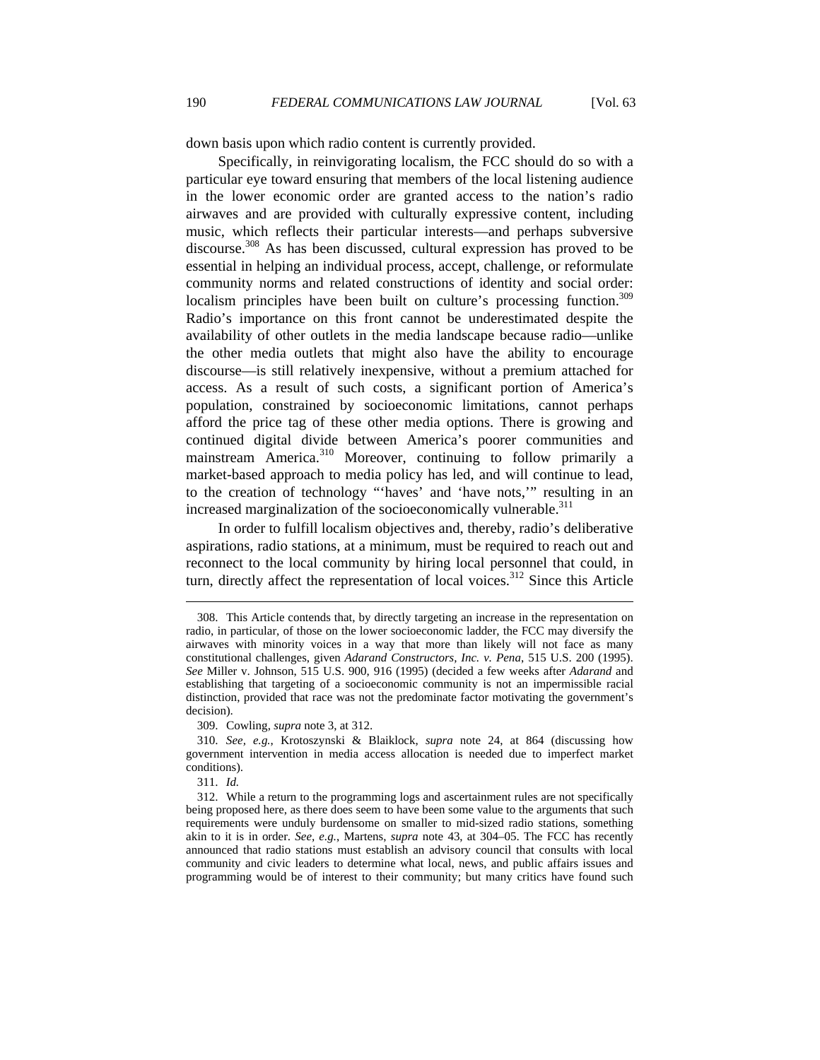down basis upon which radio content is currently provided.

Specifically, in reinvigorating localism, the FCC should do so with a particular eye toward ensuring that members of the local listening audience in the lower economic order are granted access to the nation's radio airwaves and are provided with culturally expressive content, including music, which reflects their particular interests—and perhaps subversive discourse.<sup>308</sup> As has been discussed, cultural expression has proved to be essential in helping an individual process, accept, challenge, or reformulate community norms and related constructions of identity and social order: localism principles have been built on culture's processing function.<sup>309</sup> Radio's importance on this front cannot be underestimated despite the availability of other outlets in the media landscape because radio—unlike the other media outlets that might also have the ability to encourage discourse—is still relatively inexpensive, without a premium attached for access. As a result of such costs, a significant portion of America's population, constrained by socioeconomic limitations, cannot perhaps afford the price tag of these other media options. There is growing and continued digital divide between America's poorer communities and mainstream America.<sup>310</sup> Moreover, continuing to follow primarily a market-based approach to media policy has led, and will continue to lead, to the creation of technology "'haves' and 'have nots,'" resulting in an increased marginalization of the socioeconomically vulnerable.<sup>311</sup>

In order to fulfill localism objectives and, thereby, radio's deliberative aspirations, radio stations, at a minimum, must be required to reach out and reconnect to the local community by hiring local personnel that could, in turn, directly affect the representation of local voices.<sup>312</sup> Since this Article

311. *Id.*

 <sup>308.</sup> This Article contends that, by directly targeting an increase in the representation on radio, in particular, of those on the lower socioeconomic ladder, the FCC may diversify the airwaves with minority voices in a way that more than likely will not face as many constitutional challenges, given *Adarand Constructors, Inc. v. Pena*, 515 U.S. 200 (1995). *See* Miller v. Johnson, 515 U.S. 900, 916 (1995) (decided a few weeks after *Adarand* and establishing that targeting of a socioeconomic community is not an impermissible racial distinction, provided that race was not the predominate factor motivating the government's decision).

 <sup>309.</sup> Cowling, *supra* note 3, at 312.

 <sup>310.</sup> *See, e.g.*, Krotoszynski & Blaiklock, *supra* note 24, at 864 (discussing how government intervention in media access allocation is needed due to imperfect market conditions).

 <sup>312.</sup> While a return to the programming logs and ascertainment rules are not specifically being proposed here, as there does seem to have been some value to the arguments that such requirements were unduly burdensome on smaller to mid-sized radio stations, something akin to it is in order. *See, e.g.*, Martens, *supra* note 43, at 304–05. The FCC has recently announced that radio stations must establish an advisory council that consults with local community and civic leaders to determine what local, news, and public affairs issues and programming would be of interest to their community; but many critics have found such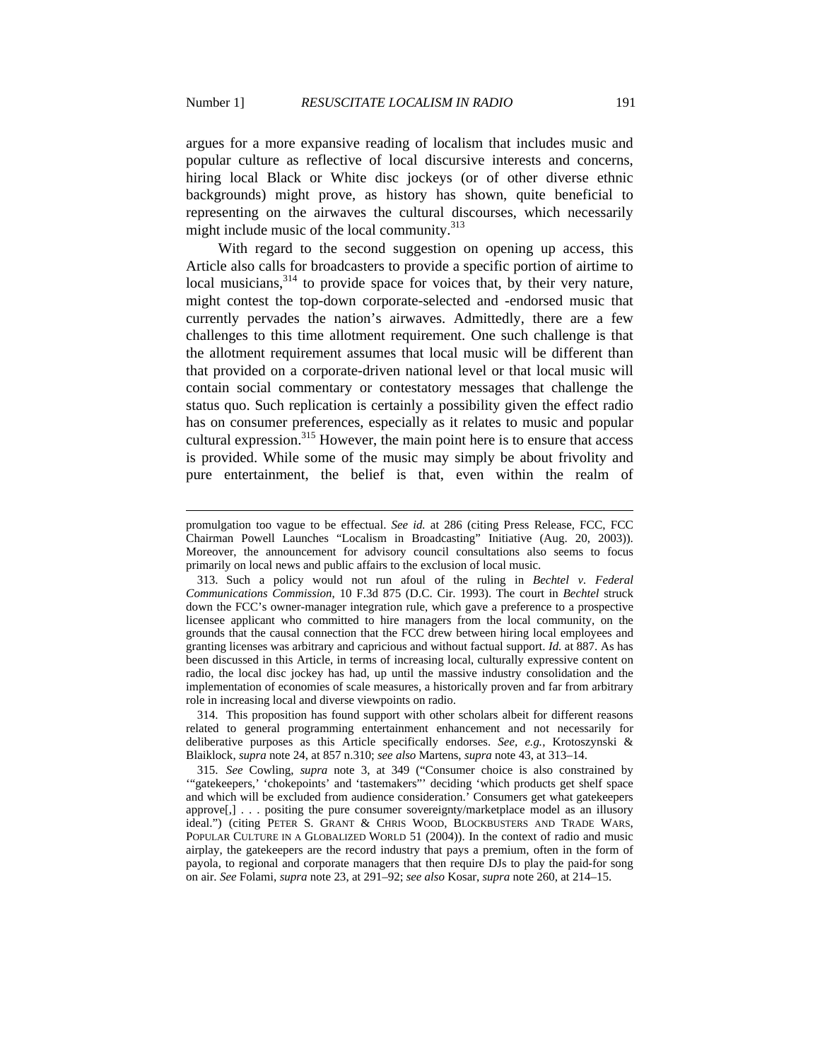$\overline{a}$ 

argues for a more expansive reading of localism that includes music and popular culture as reflective of local discursive interests and concerns, hiring local Black or White disc jockeys (or of other diverse ethnic backgrounds) might prove, as history has shown, quite beneficial to representing on the airwaves the cultural discourses, which necessarily might include music of the local community.<sup>313</sup>

With regard to the second suggestion on opening up access, this Article also calls for broadcasters to provide a specific portion of airtime to local musicians,  $3^{314}$  to provide space for voices that, by their very nature, might contest the top-down corporate-selected and -endorsed music that currently pervades the nation's airwaves. Admittedly, there are a few challenges to this time allotment requirement. One such challenge is that the allotment requirement assumes that local music will be different than that provided on a corporate-driven national level or that local music will contain social commentary or contestatory messages that challenge the status quo. Such replication is certainly a possibility given the effect radio has on consumer preferences, especially as it relates to music and popular cultural expression.<sup>315</sup> However, the main point here is to ensure that access is provided. While some of the music may simply be about frivolity and pure entertainment, the belief is that, even within the realm of

 314. This proposition has found support with other scholars albeit for different reasons related to general programming entertainment enhancement and not necessarily for deliberative purposes as this Article specifically endorses. *See, e.g.*, Krotoszynski & Blaiklock, *supra* note 24, at 857 n.310; *see also* Martens, *supra* note 43, at 313–14.

promulgation too vague to be effectual. *See id.* at 286 (citing Press Release, FCC, FCC Chairman Powell Launches "Localism in Broadcasting" Initiative (Aug. 20, 2003)). Moreover, the announcement for advisory council consultations also seems to focus primarily on local news and public affairs to the exclusion of local music.

 <sup>313.</sup> Such a policy would not run afoul of the ruling in *Bechtel v. Federal Communications Commission*, 10 F.3d 875 (D.C. Cir. 1993). The court in *Bechtel* struck down the FCC's owner-manager integration rule, which gave a preference to a prospective licensee applicant who committed to hire managers from the local community, on the grounds that the causal connection that the FCC drew between hiring local employees and granting licenses was arbitrary and capricious and without factual support. *Id.* at 887. As has been discussed in this Article, in terms of increasing local, culturally expressive content on radio, the local disc jockey has had, up until the massive industry consolidation and the implementation of economies of scale measures, a historically proven and far from arbitrary role in increasing local and diverse viewpoints on radio.

 <sup>315.</sup> *See* Cowling, *supra* note 3, at 349 ("Consumer choice is also constrained by '"gatekeepers,' 'chokepoints' and 'tastemakers"' deciding 'which products get shelf space and which will be excluded from audience consideration.' Consumers get what gatekeepers approve[,] . . . positing the pure consumer sovereignty/marketplace model as an illusory ideal.") (citing PETER S. GRANT & CHRIS WOOD, BLOCKBUSTERS AND TRADE WARS, POPULAR CULTURE IN A GLOBALIZED WORLD 51 (2004)). In the context of radio and music airplay, the gatekeepers are the record industry that pays a premium, often in the form of payola, to regional and corporate managers that then require DJs to play the paid-for song on air. *See* Folami, *supra* note 23, at 291–92; *see also* Kosar, *supra* note 260, at 214–15.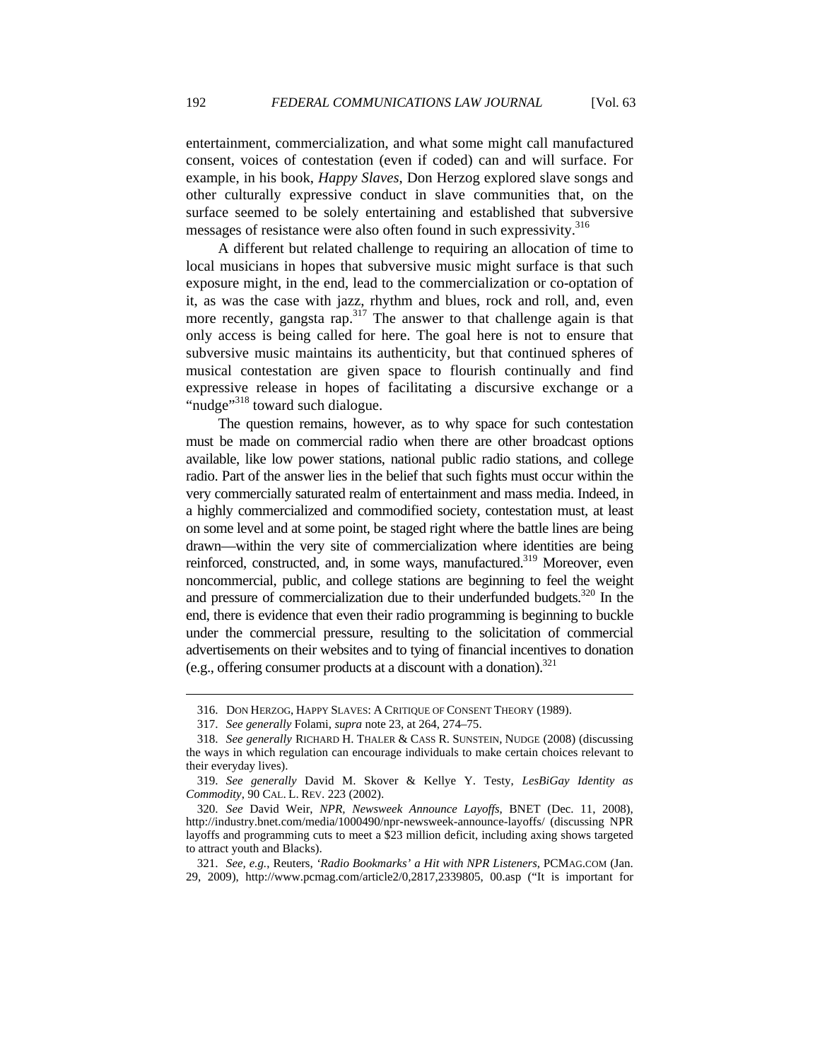entertainment, commercialization, and what some might call manufactured consent, voices of contestation (even if coded) can and will surface. For example, in his book, *Happy Slaves*, Don Herzog explored slave songs and other culturally expressive conduct in slave communities that, on the surface seemed to be solely entertaining and established that subversive messages of resistance were also often found in such expressivity.<sup>316</sup>

A different but related challenge to requiring an allocation of time to local musicians in hopes that subversive music might surface is that such exposure might, in the end, lead to the commercialization or co-optation of it, as was the case with jazz, rhythm and blues, rock and roll, and, even more recently, gangsta rap.<sup>317</sup> The answer to that challenge again is that only access is being called for here. The goal here is not to ensure that subversive music maintains its authenticity, but that continued spheres of musical contestation are given space to flourish continually and find expressive release in hopes of facilitating a discursive exchange or a "nudge"<sup>318</sup> toward such dialogue.

The question remains, however, as to why space for such contestation must be made on commercial radio when there are other broadcast options available, like low power stations, national public radio stations, and college radio. Part of the answer lies in the belief that such fights must occur within the very commercially saturated realm of entertainment and mass media. Indeed, in a highly commercialized and commodified society, contestation must, at least on some level and at some point, be staged right where the battle lines are being drawn—within the very site of commercialization where identities are being reinforced, constructed, and, in some ways, manufactured.<sup>319</sup> Moreover, even noncommercial, public, and college stations are beginning to feel the weight and pressure of commercialization due to their underfunded budgets.<sup>320</sup> In the end, there is evidence that even their radio programming is beginning to buckle under the commercial pressure, resulting to the solicitation of commercial advertisements on their websites and to tying of financial incentives to donation (e.g., offering consumer products at a discount with a donation). $321$ 

 <sup>316.</sup> DON HERZOG, HAPPY SLAVES: A CRITIQUE OF CONSENT THEORY (1989).

 <sup>317.</sup> *See generally* Folami, *supra* note 23, at 264, 274–75.

 <sup>318.</sup> *See generally* RICHARD H. THALER & CASS R. SUNSTEIN, NUDGE (2008) (discussing the ways in which regulation can encourage individuals to make certain choices relevant to their everyday lives).

 <sup>319.</sup> *See generally* David M. Skover & Kellye Y. Testy, *LesBiGay Identity as Commodity*, 90 CAL. L. REV. 223 (2002).

 <sup>320.</sup> *See* David Weir, *NPR, Newsweek Announce Layoffs*, BNET (Dec. 11, 2008), http://industry.bnet.com/media/1000490/npr-newsweek-announce-layoffs/ (discussing NPR layoffs and programming cuts to meet a \$23 million deficit, including axing shows targeted to attract youth and Blacks).

 <sup>321.</sup> *See, e.g.*, Reuters, *'Radio Bookmarks' a Hit with NPR Listeners*, PCMAG.COM (Jan. 29, 2009), http://www.pcmag.com/article2/0,2817,2339805, 00.asp ("It is important for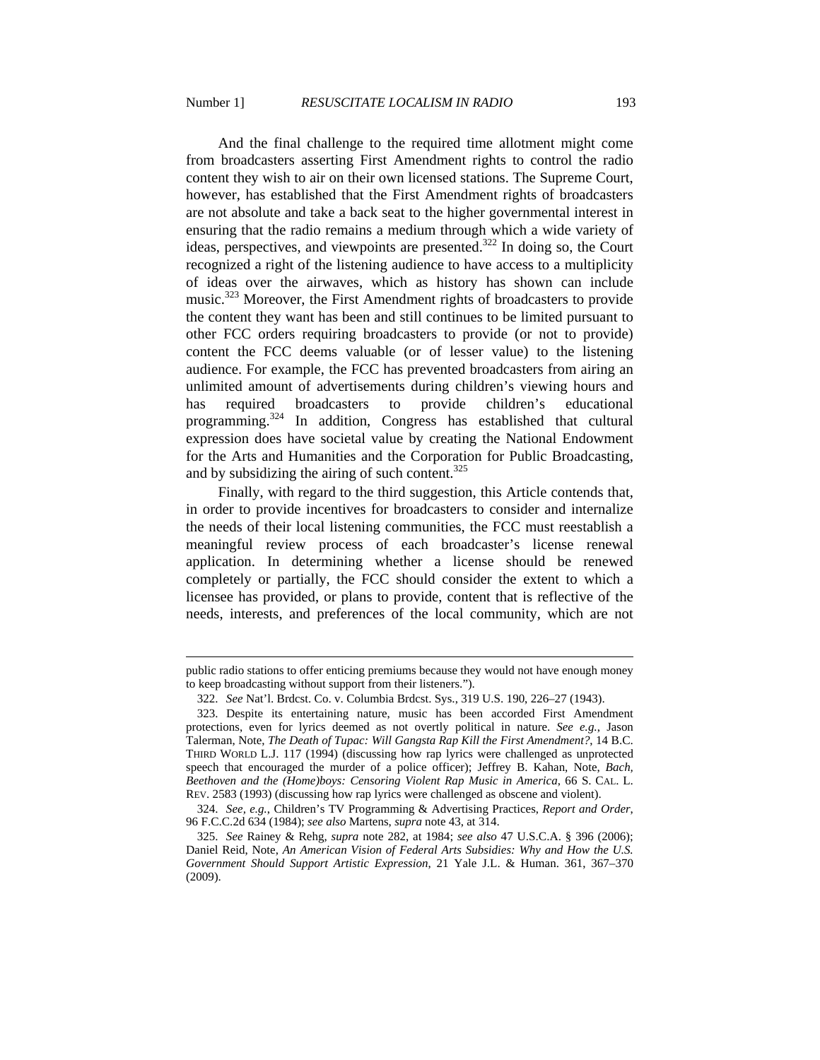And the final challenge to the required time allotment might come from broadcasters asserting First Amendment rights to control the radio content they wish to air on their own licensed stations. The Supreme Court, however, has established that the First Amendment rights of broadcasters are not absolute and take a back seat to the higher governmental interest in ensuring that the radio remains a medium through which a wide variety of ideas, perspectives, and viewpoints are presented.322 In doing so, the Court recognized a right of the listening audience to have access to a multiplicity of ideas over the airwaves, which as history has shown can include music.<sup>323</sup> Moreover, the First Amendment rights of broadcasters to provide the content they want has been and still continues to be limited pursuant to other FCC orders requiring broadcasters to provide (or not to provide) content the FCC deems valuable (or of lesser value) to the listening audience. For example, the FCC has prevented broadcasters from airing an unlimited amount of advertisements during children's viewing hours and has required broadcasters to provide children's educational programming.<sup>324</sup> In addition, Congress has established that cultural expression does have societal value by creating the National Endowment for the Arts and Humanities and the Corporation for Public Broadcasting, and by subsidizing the airing of such content.<sup>325</sup>

Finally, with regard to the third suggestion, this Article contends that, in order to provide incentives for broadcasters to consider and internalize the needs of their local listening communities, the FCC must reestablish a meaningful review process of each broadcaster's license renewal application. In determining whether a license should be renewed completely or partially, the FCC should consider the extent to which a licensee has provided, or plans to provide, content that is reflective of the needs, interests, and preferences of the local community, which are not

public radio stations to offer enticing premiums because they would not have enough money to keep broadcasting without support from their listeners.").

 <sup>322.</sup> *See* Nat'l. Brdcst. Co. v. Columbia Brdcst. Sys., 319 U.S. 190, 226–27 (1943).

 <sup>323.</sup> Despite its entertaining nature, music has been accorded First Amendment protections, even for lyrics deemed as not overtly political in nature. *See e.g.*, Jason Talerman, Note, *The Death of Tupac: Will Gangsta Rap Kill the First Amendment?*, 14 B.C. THIRD WORLD L.J. 117 (1994) (discussing how rap lyrics were challenged as unprotected speech that encouraged the murder of a police officer); Jeffrey B. Kahan, Note, *Bach, Beethoven and the (Home)boys: Censoring Violent Rap Music in America*, 66 S. CAL. L. REV. 2583 (1993) (discussing how rap lyrics were challenged as obscene and violent).

 <sup>324.</sup> *See, e.g.*, Children's TV Programming & Advertising Practices, *Report and Order*, 96 F.C.C.2d 634 (1984); *see also* Martens, *supra* note 43, at 314.

 <sup>325.</sup> *See* Rainey & Rehg, *supra* note 282, at 1984; *see also* 47 U.S.C.A. § 396 (2006); Daniel Reid, Note, *An American Vision of Federal Arts Subsidies: Why and How the U.S. Government Should Support Artistic Expression*, 21 Yale J.L. & Human. 361, 367–370 (2009).